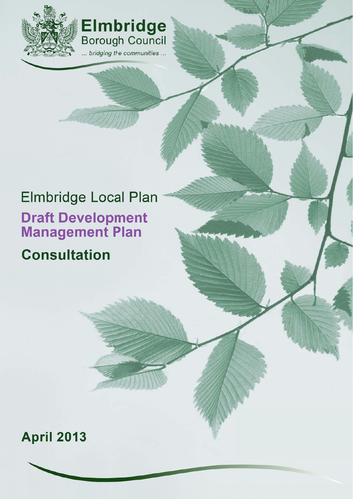

**Elmbridge**<br>Borough Council ... bridging the communities ...

# **Elmbridge Local Plan Draft Development**<br>Management Plan

**Consultation** 

## **April 2013**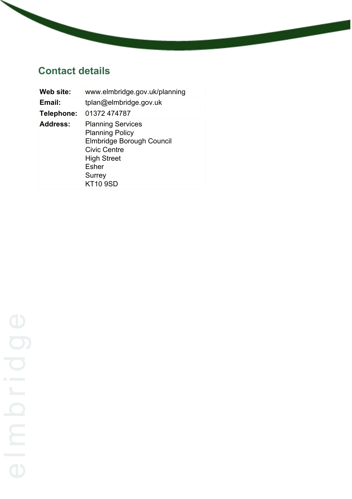## **Contact details**

| Web site:       | www.elmbridge.gov.uk/planning                                                                                                                                             |
|-----------------|---------------------------------------------------------------------------------------------------------------------------------------------------------------------------|
| Email:          | tplan@elmbridge.gov.uk                                                                                                                                                    |
| Telephone:      | 01372 474787                                                                                                                                                              |
| <b>Address:</b> | <b>Planning Services</b><br><b>Planning Policy</b><br>Elmbridge Borough Council<br><b>Civic Centre</b><br><b>High Street</b><br><b>Esher</b><br>Surrey<br><b>KT10 9SD</b> |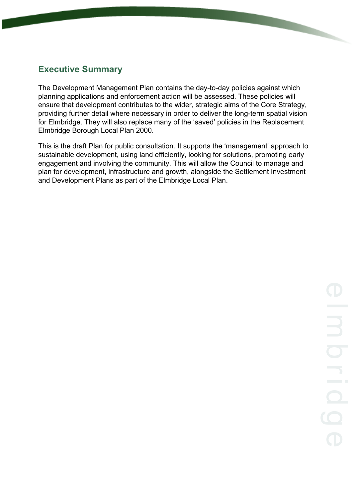## **Executive Summary**

The Development Management Plan contains the day-to-day policies against which planning applications and enforcement action will be assessed. These policies will ensure that development contributes to the wider, strategic aims of the Core Strategy, providing further detail where necessary in order to deliver the long-term spatial vision for Elmbridge. They will also replace many of the 'saved' policies in the Replacement Elmbridge Borough Local Plan 2000.

This is the draft Plan for public consultation. It supports the 'management' approach to sustainable development, using land efficiently, looking for solutions, promoting early engagement and involving the community. This will allow the Council to manage and plan for development, infrastructure and growth, alongside the Settlement Investment and Development Plans as part of the Elmbridge Local Plan.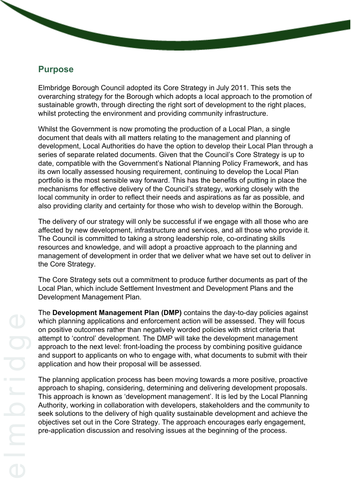## **Purpose**

Elmbridge Borough Council adopted its Core Strategy in July 2011. This sets the overarching strategy for the Borough which adopts a local approach to the promotion of sustainable growth, through directing the right sort of development to the right places, whilst protecting the environment and providing community infrastructure.

Whilst the Government is now promoting the production of a Local Plan, a single document that deals with all matters relating to the management and planning of development, Local Authorities do have the option to develop their Local Plan through a series of separate related documents. Given that the Council's Core Strategy is up to date, compatible with the Government's National Planning Policy Framework, and has its own locally assessed housing requirement, continuing to develop the Local Plan portfolio is the most sensible way forward. This has the benefits of putting in place the mechanisms for effective delivery of the Council's strategy, working closely with the local community in order to reflect their needs and aspirations as far as possible, and also providing clarity and certainty for those who wish to develop within the Borough.

The delivery of our strategy will only be successful if we engage with all those who are affected by new development, infrastructure and services, and all those who provide it. The Council is committed to taking a strong leadership role, co-ordinating skills resources and knowledge, and will adopt a proactive approach to the planning and management of development in order that we deliver what we have set out to deliver in the Core Strategy.

The Core Strategy sets out a commitment to produce further documents as part of the Local Plan, which include Settlement Investment and Development Plans and the Development Management Plan.

The **Development Management Plan (DMP)** contains the day-to-day policies against which planning applications and enforcement action will be assessed. They will focus on positive outcomes rather than negatively worded policies with strict criteria that attempt to 'control' development. The DMP will take the development management approach to the next level: front-loading the process by combining positive guidance and support to applicants on who to engage with, what documents to submit with their application and how their proposal will be assessed.

The planning application process has been moving towards a more positive, proactive approach to shaping, considering, determining and delivering development proposals. This approach is known as 'development management'. It is led by the Local Planning Authority, working in collaboration with developers, stakeholders and the community to seek solutions to the delivery of high quality sustainable development and achieve the objectives set out in the Core Strategy. The approach encourages early engagement, pre-application discussion and resolving issues at the beginning of the process.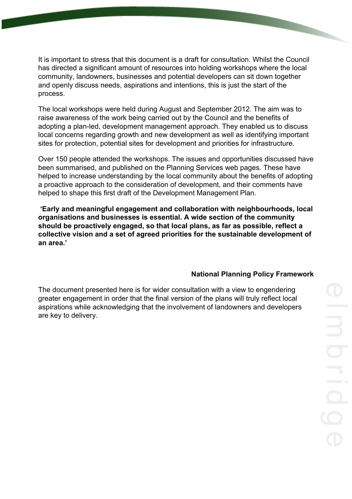It is important to stress that this document is a draft for consultation. Whilst the Council has directed a significant amount of resources into holding workshops where the local community, landowners, businesses and potential developers can sit down together and openly discuss needs, aspirations and intentions, this is just the start of the process.

The local workshops were held during August and September 2012. The aim was to raise awareness of the work being carried out by the Council and the benefits of adopting a plan-led, development management approach. They enabled us to discuss local concerns regarding growth and new development as well as identifying important sites for protection, potential sites for development and priorities for infrastructure.

Over 150 people attended the workshops. The issues and opportunities discussed have been summarised, and published on the Planning Services web pages. These have helped to increase understanding by the local community about the benefits of adopting a proactive approach to the consideration of development, and their comments have helped to shape this first draft of the Development Management Plan.

**'Early and meaningful engagement and collaboration with neighbourhoods, local organisations and businesses is essential. A wide section of the community should be proactively engaged, so that local plans, as far as possible, reflect a collective vision and a set of agreed priorities for the sustainable development of an area.'**

#### **National Planning Policy Framework**

The document presented here is for wider consultation with a view to engendering greater engagement in order that the final version of the plans will truly reflect local aspirations while acknowledging that the involvement of landowners and developers are key to delivery.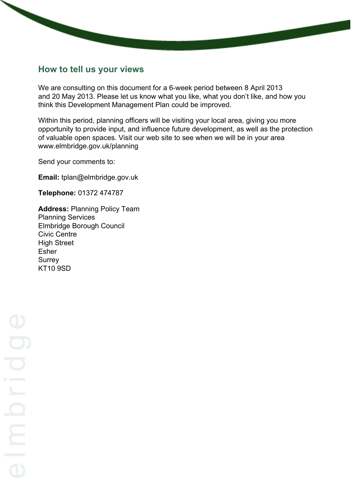## **How to tell us your views**

We are consulting on this document for a 6-week period between 8 April 2013 and 20 May 2013. Please let us know what you like, what you don't like, and how you think this Development Management Plan could be improved.

Within this period, planning officers will be visiting your local area, giving you more opportunity to provide input, and influence future development, as well as the protection of valuable open spaces. Visit our web site to see when we will be in your area www.elmbridge.gov.uk/planning

Send your comments to:

**Email:** tplan@elmbridge.gov.uk

**Telephone:** 01372 474787

**Address:** Planning Policy Team Planning Services Elmbridge Borough Council Civic Centre High Street Esher Surrey KT10 9SD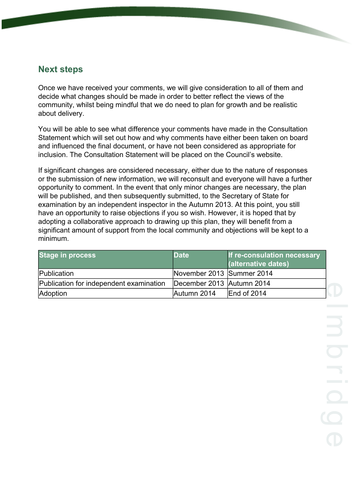## **Next steps**

Once we have received your comments, we will give consideration to all of them and decide what changes should be made in order to better reflect the views of the community, whilst being mindful that we do need to plan for growth and be realistic about delivery.

You will be able to see what difference your comments have made in the Consultation Statement which will set out how and why comments have either been taken on board and influenced the final document, or have not been considered as appropriate for inclusion. The Consultation Statement will be placed on the Council's website.

If significant changes are considered necessary, either due to the nature of responses or the submission of new information, we will reconsult and everyone will have a further opportunity to comment. In the event that only minor changes are necessary, the plan will be published, and then subsequently submitted, to the Secretary of State for examination by an independent inspector in the Autumn 2013. At this point, you still have an opportunity to raise objections if you so wish. However, it is hoped that by adopting a collaborative approach to drawing up this plan, they will benefit from a significant amount of support from the local community and objections will be kept to a minimum.

| <b>Stage in process</b>                 | <b>Date</b>               | If re-consulation necessary<br>(alternative dates) |
|-----------------------------------------|---------------------------|----------------------------------------------------|
| Publication                             | November 2013 Summer 2014 |                                                    |
| Publication for independent examination | December 2013 Autumn 2014 |                                                    |
| Adoption                                | Autumn 2014               | End of 2014                                        |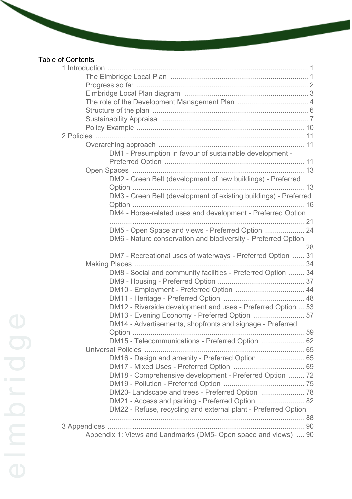## Table of Contents

| DM1 - Presumption in favour of sustainable development -         |  |
|------------------------------------------------------------------|--|
|                                                                  |  |
| DM2 - Green Belt (development of new buildings) - Preferred      |  |
|                                                                  |  |
| DM3 - Green Belt (development of existing buildings) - Preferred |  |
|                                                                  |  |
| DM4 - Horse-related uses and development - Preferred Option      |  |
|                                                                  |  |
| DM5 - Open Space and views - Preferred Option  24                |  |
| DM6 - Nature conservation and biodiversity - Preferred Option    |  |
|                                                                  |  |
| DM7 - Recreational uses of waterways - Preferred Option  31      |  |
|                                                                  |  |
| DM8 - Social and community facilities - Preferred Option  34     |  |
|                                                                  |  |
|                                                                  |  |
|                                                                  |  |
| DM12 - Riverside development and uses - Preferred Option  53     |  |
| DM13 - Evening Economy - Preferred Option  57                    |  |
| DM14 - Advertisements, shopfronts and signage - Preferred        |  |
|                                                                  |  |
| DM15 - Telecommunications - Preferred Option  62                 |  |
|                                                                  |  |
| DM16 - Design and amenity - Preferred Option  65                 |  |
|                                                                  |  |
| DM18 - Comprehensive development - Preferred Option  72          |  |
| DM20- Landscape and trees - Preferred Option  78                 |  |
| DM21 - Access and parking - Preferred Option  82                 |  |
| DM22 - Refuse, recycling and external plant - Preferred Option   |  |
|                                                                  |  |
|                                                                  |  |
| Appendix 1: Views and Landmarks (DM5- Open space and views)  90  |  |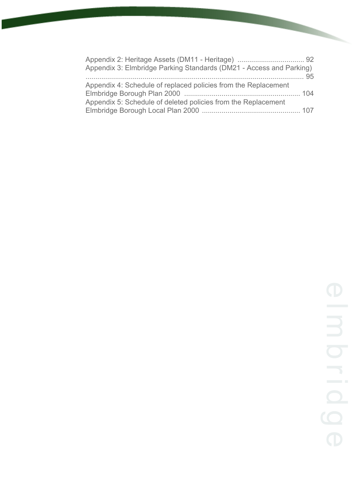| Appendix 3: Elmbridge Parking Standards (DM21 - Access and Parking)                                                             |  |
|---------------------------------------------------------------------------------------------------------------------------------|--|
| Appendix 4: Schedule of replaced policies from the Replacement<br>Appendix 5: Schedule of deleted policies from the Replacement |  |
|                                                                                                                                 |  |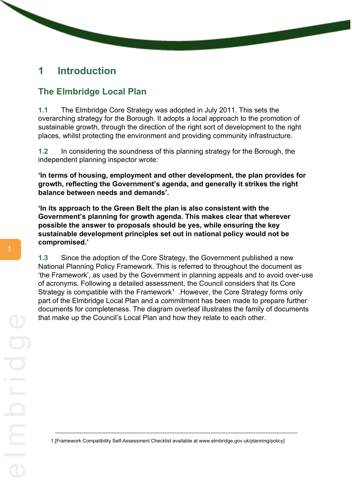## <span id="page-9-0"></span>**1 Introduction**

## <span id="page-9-1"></span>**The Elmbridge Local Plan**

**1.1** The Elmbridge Core Strategy was adopted in July 2011. This sets the overarching strategy for the Borough. It adopts a local approach to the promotion of sustainable growth, through the direction of the right sort of development to the right places, whilst protecting the environment and providing community infrastructure.

**1.2** In considering the soundness of this planning strategy for the Borough, the independent planning inspector wrote:

**'In terms of housing, employment and other development, the plan provides for growth, reflecting the Government's agenda, and generally it strikes the right balance between needs and demands'.**

**'In its approach to the Green Belt the plan is also consistent with the Government's planning for growth agenda. This makes clear that wherever possible the answer to proposals should be yes, while ensuring the key sustainable development principles set out in national policy would not be compromised.'**

**1.3** Since the adoption of the Core Strategy, the Government published a new National Planning Policy Framework. This is referred to throughout the document as 'the Framework', as used by the Government in planning appeals and to avoid over-use of acronyms. Following a detailed assessment, the Council considers that its Core Strategy is compatible with the Framework<sup>1</sup>. However, the Core Strategy forms only part of the Elmbridge Local Plan and a commitment has been made to prepare further documents for completeness. The diagram overleaf illustrates the family of documents that make up the Council's Local Plan and how they relate to each other.

1.[Framework Compatibility Self-Assessment Checklist available at www.elmbridge.gov.uk/planning/policy]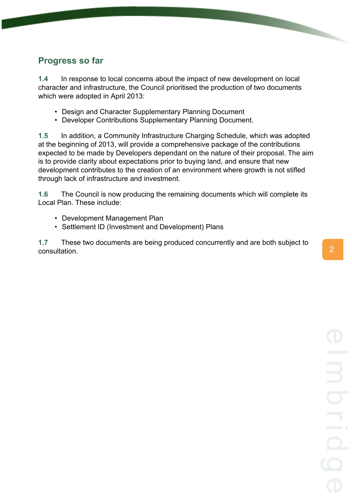## <span id="page-10-0"></span>**Progress so far**

**1.4** In response to local concerns about the impact of new development on local character and infrastructure, the Council prioritised the production of two documents which were adopted in April 2013:

- Design and Character Supplementary Planning Document
- Developer Contributions Supplementary Planning Document.

**1.5** In addition, a Community Infrastructure Charging Schedule, which was adopted at the beginning of 2013, will provide a comprehensive package of the contributions expected to be made by Developers dependant on the nature of their proposal. The aim is to provide clarity about expectations prior to buying land, and ensure that new development contributes to the creation of an environment where growth is not stifled through lack of infrastructure and investment.

**1.6** The Council is now producing the remaining documents which will complete its Local Plan. These include:

- Development Management Plan
- Settlement ID (Investment and Development) Plans

**1.7** These two documents are being produced concurrently and are both subject to  $\sum_{i=1}^{n}$  consultation.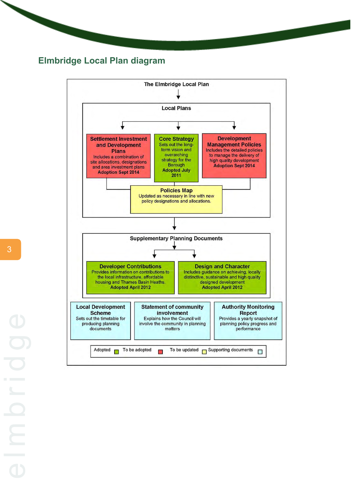## <span id="page-11-0"></span>**Elmbridge Local Plan diagram**

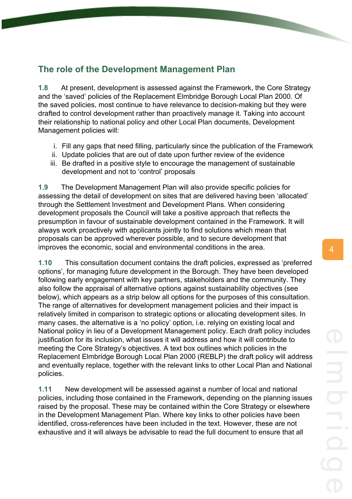## <span id="page-12-0"></span>**The role of the Development Management Plan**

**1.8** At present, development is assessed against the Framework, the Core Strategy and the 'saved' policies of the Replacement Elmbridge Borough Local Plan 2000. Of the saved policies, most continue to have relevance to decision-making but they were drafted to control development rather than proactively manage it. Taking into account their relationship to national policy and other Local Plan documents, Development Management policies will:

- i. Fill any gaps that need filling, particularly since the publication of the Framework
- ii. Update policies that are out of date upon further review of the evidence
- iii. Be drafted in a positive style to encourage the management of sustainable development and not to 'control' proposals

**1.9** The Development Management Plan will also provide specific policies for assessing the detail of development on sites that are delivered having been 'allocated' through the Settlement Investment and Development Plans. When considering development proposals the Council will take a positive approach that reflects the presumption in favour of sustainable development contained in the Framework. It will always work proactively with applicants jointly to find solutions which mean that proposals can be approved wherever possible, and to secure development that improves the economic, social and environmental conditions in the area.

**1.10** This consultation document contains the draft policies, expressed as 'preferred options', for managing future development in the Borough. They have been developed following early engagement with key partners, stakeholders and the community. They also follow the appraisal of alternative options against sustainability objectives (see below), which appears as a strip below all options for the purposes of this consultation. The range of alternatives for development management policies and their impact is relatively limited in comparison to strategic options or allocating development sites. In many cases, the alternative is a 'no policy' option, i.e. relying on existing local and National policy in lieu of a Development Management policy. Each draft policy includes justification for its inclusion, what issues it will address and how it will contribute to meeting the Core Strategy's objectives. A text box outlines which policies in the Replacement Elmbridge Borough Local Plan 2000 (REBLP) the draft policy will address and eventually replace, together with the relevant links to other Local Plan and National policies.

**1.11** New development will be assessed against a number of local and national policies, including those contained in the Framework, depending on the planning issues raised by the proposal. These may be contained within the Core Strategy or elsewhere in the Development Management Plan. Where key links to other policies have been identified, cross-references have been included in the text. However, these are not exhaustive and it will always be advisable to read the full document to ensure that all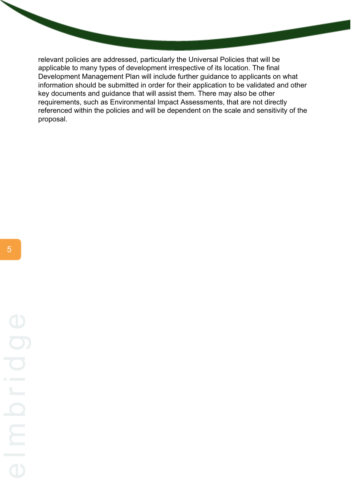relevant policies are addressed, particularly the Universal Policies that will be applicable to many types of development irrespective of its location. The final Development Management Plan will include further guidance to applicants on what information should be submitted in order for their application to be validated and other key documents and guidance that will assist them. There may also be other requirements, such as Environmental Impact Assessments, that are not directly referenced within the policies and will be dependent on the scale and sensitivity of the proposal.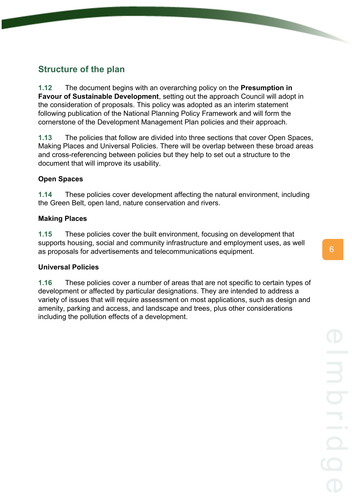## <span id="page-14-0"></span>**Structure of the plan**

**1.12** The document begins with an overarching policy on the **Presumption in Favour of Sustainable Development**, setting out the approach Council will adopt in the consideration of proposals. This policy was adopted as an interim statement following publication of the National Planning Policy Framework and will form the cornerstone of the Development Management Plan policies and their approach.

**1.13** The policies that follow are divided into three sections that cover Open Spaces, Making Places and Universal Policies. There will be overlap between these broad areas and cross-referencing between policies but they help to set out a structure to the document that will improve its usability.

#### **Open Spaces**

**1.14** These policies cover development affecting the natural environment, including the Green Belt, open land, nature conservation and rivers.

#### **Making Places**

**1.15** These policies cover the built environment, focusing on development that supports housing, social and community infrastructure and employment uses, as well as proposals for advertisements and telecommunications equipment.

#### **Universal Policies**

**1.16** These policies cover a number of areas that are not specific to certain types of development or affected by particular designations. They are intended to address a variety of issues that will require assessment on most applications, such as design and amenity, parking and access, and landscape and trees, plus other considerations including the pollution effects of a development.

6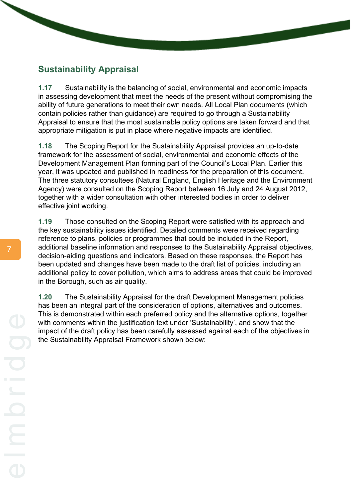## <span id="page-15-0"></span>**Sustainability Appraisal**

**1.17** Sustainability is the balancing of social, environmental and economic impacts in assessing development that meet the needs of the present without compromising the ability of future generations to meet their own needs. All Local Plan documents (which contain policies rather than guidance) are required to go through a Sustainability Appraisal to ensure that the most sustainable policy options are taken forward and that appropriate mitigation is put in place where negative impacts are identified.

**1.18** The Scoping Report for the Sustainability Appraisal provides an up-to-date framework for the assessment of social, environmental and economic effects of the Development Management Plan forming part of the Council's Local Plan. Earlier this year, it was updated and published in readiness for the preparation of this document. The three statutory consultees (Natural England, English Heritage and the Environment Agency) were consulted on the Scoping Report between 16 July and 24 August 2012, together with a wider consultation with other interested bodies in order to deliver effective joint working.

**1.19** Those consulted on the Scoping Report were satisfied with its approach and the key sustainability issues identified. Detailed comments were received regarding reference to plans, policies or programmes that could be included in the Report, additional baseline information and responses to the Sustainability Appraisal objectives, decision-aiding questions and indicators. Based on these responses, the Report has been updated and changes have been made to the draft list of policies, including an additional policy to cover pollution, which aims to address areas that could be improved in the Borough, such as air quality.

**1.20** The Sustainability Appraisal for the draft Development Management policies has been an integral part of the consideration of options, alternatives and outcomes. This is demonstrated within each preferred policy and the alternative options, together with comments within the justification text under 'Sustainability', and show that the impact of the draft policy has been carefully assessed against each of the objectives in the Sustainability Appraisal Framework shown below: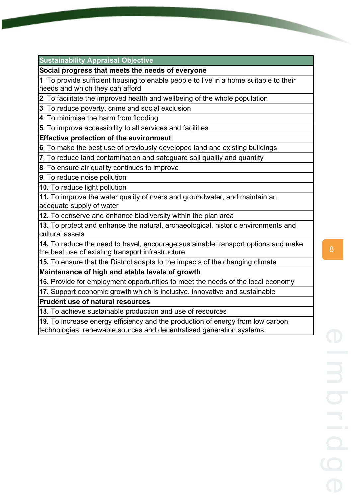#### **Sustainability Appraisal Objective**

#### **Social progress that meets the needs of everyone**

**1.** To provide sufficient housing to enable people to live in a home suitable to their needs and which they can afford

**2.** To facilitate the improved health and wellbeing of the whole population

**3.** To reduce poverty, crime and social exclusion

**4.** To minimise the harm from flooding

**5.** To improve accessibility to all services and facilities

#### **Effective protection of the environment**

**6.** To make the best use of previously developed land and existing buildings

**7.** To reduce land contamination and safeguard soil quality and quantity

**8.** To ensure air quality continues to improve

**9.** To reduce noise pollution

**10.** To reduce light pollution

**11.** To improve the water quality of rivers and groundwater, and maintain an adequate supply of water

**12.** To conserve and enhance biodiversity within the plan area

**13.** To protect and enhance the natural, archaeological, historic environments and cultural assets

**14.** To reduce the need to travel, encourage sustainable transport options and make the best use of existing transport infrastructure

**15.** To ensure that the District adapts to the impacts of the changing climate

**Maintenance of high and stable levels of growth**

**16.** Provide for employment opportunities to meet the needs of the local economy

**17.** Support economic growth which is inclusive, innovative and sustainable

#### **Prudent use of natural resources**

**18.** To achieve sustainable production and use of resources

**19.** To increase energy efficiency and the production of energy from low carbon technologies, renewable sources and decentralised generation systems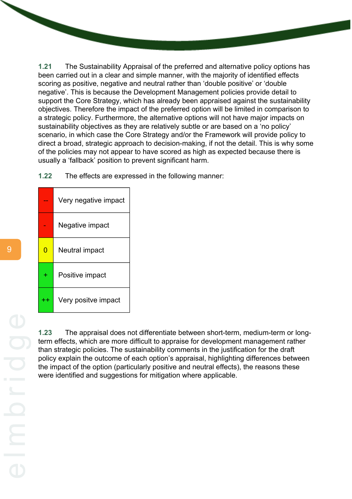**1.21** The Sustainability Appraisal of the preferred and alternative policy options has been carried out in a clear and simple manner, with the majority of identified effects scoring as positive, negative and neutral rather than 'double positive' or 'double negative'. This is because the Development Management policies provide detail to support the Core Strategy, which has already been appraised against the sustainability objectives. Therefore the impact of the preferred option will be limited in comparison to a strategic policy. Furthermore, the alternative options will not have major impacts on sustainability objectives as they are relatively subtle or are based on a 'no policy' scenario, in which case the Core Strategy and/or the Framework will provide policy to direct a broad, strategic approach to decision-making, if not the detail. This is why some of the policies may not appear to have scored as high as expected because there is usually a 'fallback' position to prevent significant harm.

**1.22** The effects are expressed in the following manner:

|       | Very negative impact |
|-------|----------------------|
|       | Negative impact      |
| ი     | Neutral impact       |
|       | Positive impact      |
| $+ +$ | Very positve impact  |

**1.23** The appraisal does not differentiate between short-term, medium-term or longterm effects, which are more difficult to appraise for development management rather than strategic policies. The sustainability comments in the justification for the draft policy explain the outcome of each option's appraisal, highlighting differences between the impact of the option (particularly positive and neutral effects), the reasons these were identified and suggestions for mitigation where applicable.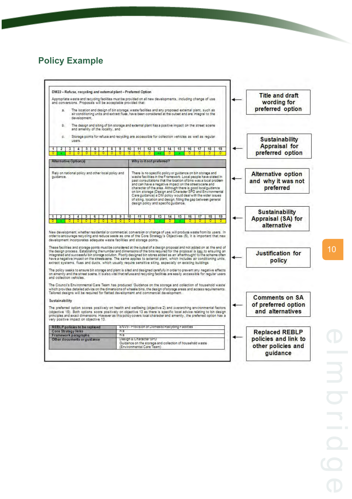## <span id="page-18-0"></span>**Policy Example**



10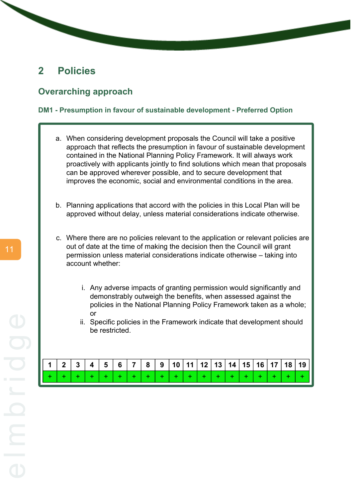## <span id="page-19-0"></span>**2 Policies**

#### <span id="page-19-1"></span>**Overarching approach**

#### <span id="page-19-2"></span>**DM1 - Presumption in favour of sustainable development - Preferred Option**

- a. When considering development proposals the Council will take a positive approach that reflects the presumption in favour of sustainable development contained in the National Planning Policy Framework. It will always work proactively with applicants jointly to find solutions which mean that proposals can be approved wherever possible, and to secure development that improves the economic, social and environmental conditions in the area.
- b. Planning applications that accord with the policies in this Local Plan will be approved without delay, unless material considerations indicate otherwise.
- c. Where there are no policies relevant to the application or relevant policies are out of date at the time of making the decision then the Council will grant permission unless material considerations indicate otherwise – taking into account whether:
	- i. Any adverse impacts of granting permission would significantly and demonstrably outweigh the benefits, when assessed against the policies in the National Planning Policy Framework taken as a whole; or
	- ii. Specific policies in the Framework indicate that development should be restricted.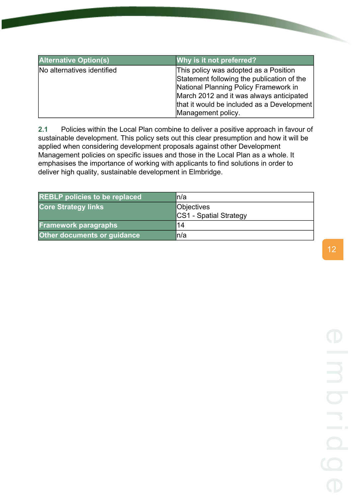| <b>Alternative Option(s)</b> | Why is it not preferred?                                                            |
|------------------------------|-------------------------------------------------------------------------------------|
| No alternatives identified   | This policy was adopted as a Position<br>Statement following the publication of the |
|                              | National Planning Policy Framework in                                               |
|                              | March 2012 and it was always anticipated                                            |
|                              | that it would be included as a Development                                          |
|                              | Management policy.                                                                  |

**2.1** Policies within the Local Plan combine to deliver a positive approach in favour of sustainable development. This policy sets out this clear presumption and how it will be applied when considering development proposals against other Development Management policies on specific issues and those in the Local Plan as a whole. It emphasises the importance of working with applicants to find solutions in order to deliver high quality, sustainable development in Elmbridge.

| <b>REBLP</b> policies to be replaced | ln/a                   |
|--------------------------------------|------------------------|
| <b>Core Strategy links</b>           | <b>Objectives</b>      |
|                                      | CS1 - Spatial Strategy |
| <b>Framework paragraphs</b>          | 14                     |
| <b>Other documents or guidance</b>   | ln/a                   |

12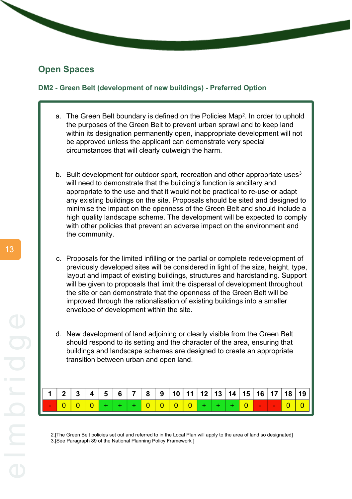## <span id="page-21-0"></span>**Open Spaces**

#### <span id="page-21-1"></span>**DM2 - Green Belt (development of new buildings) - Preferred Option**

- a. The Green Belt boundary is defined on the Policies Map<sup>2</sup>. In order to uphold the purposes of the Green Belt to prevent urban sprawl and to keep land within its designation permanently open, inappropriate development will not be approved unless the applicant can demonstrate very special circumstances that will clearly outweigh the harm.
- b. Built development for outdoor sport, recreation and other appropriate uses<sup>3</sup> will need to demonstrate that the building's function is ancillary and appropriate to the use and that it would not be practical to re-use or adapt any existing buildings on the site. Proposals should be sited and designed to minimise the impact on the openness of the Green Belt and should include a high quality landscape scheme. The development will be expected to comply with other policies that prevent an adverse impact on the environment and the community.
- c. Proposals for the limited infilling or the partial or complete redevelopment of previously developed sites will be considered in light of the size, height, type, layout and impact of existing buildings, structures and hardstanding. Support will be given to proposals that limit the dispersal of development throughout the site or can demonstrate that the openness of the Green Belt will be improved through the rationalisation of existing buildings into a smaller envelope of development within the site.
- d. New development of land adjoining or clearly visible from the Green Belt should respond to its setting and the character of the area, ensuring that buildings and landscape schemes are designed to create an appropriate transition between urban and open land.

|             |  |  |  |                                |  |  |  |  | $1 \mid 2 \mid 3 \mid 4 \mid 5 \mid 6 \mid 7 \mid 8 \mid 9 \mid 10 \mid 11 \mid 12 \mid 13 \mid 14 \mid 15 \mid 16 \mid 17 \mid 18 \mid 19 \mid$ |
|-------------|--|--|--|--------------------------------|--|--|--|--|--------------------------------------------------------------------------------------------------------------------------------------------------|
| $-$ 0 0 0 0 |  |  |  | +   0   0   0   0   + <i> </i> |  |  |  |  |                                                                                                                                                  |

2.[The Green Belt policies set out and referred to in the Local Plan will apply to the area of land so designated] 3.[See Paragraph 89 of the National Planning Policy Framework ]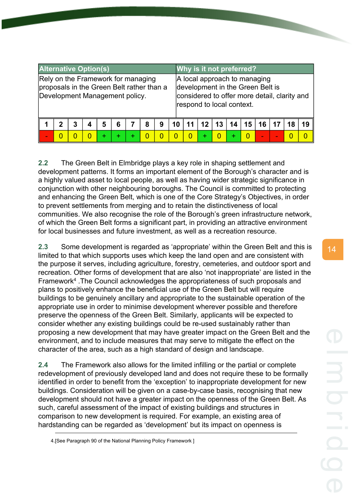| <b>Alternative Option(s)</b>                                                                                      |  |  |  |  |  |  |  |  |  |  | Why is it not preferred?  |              |                                                                                                                  |    |    |                 |    |    |  |
|-------------------------------------------------------------------------------------------------------------------|--|--|--|--|--|--|--|--|--|--|---------------------------|--------------|------------------------------------------------------------------------------------------------------------------|----|----|-----------------|----|----|--|
| Rely on the Framework for managing<br>proposals in the Green Belt rather than a<br>Development Management policy. |  |  |  |  |  |  |  |  |  |  | respond to local context. |              | A local approach to managing<br>development in the Green Belt is<br>considered to offer more detail, clarity and |    |    |                 |    |    |  |
| 5<br>2<br>3<br>6<br>8<br>9                                                                                        |  |  |  |  |  |  |  |  |  |  |                           | $12 \mid 13$ | 14                                                                                                               | 15 | 16 | 17              | 18 | 19 |  |
|                                                                                                                   |  |  |  |  |  |  |  |  |  |  |                           |              |                                                                                                                  | O  | ٠  | $\qquad \qquad$ |    |    |  |

**2.2** The Green Belt in Elmbridge plays a key role in shaping settlement and development patterns. It forms an important element of the Borough's character and is a highly valued asset to local people, as well as having wider strategic significance in conjunction with other neighbouring boroughs. The Council is committed to protecting and enhancing the Green Belt, which is one of the Core Strategy's Objectives, in order to prevent settlements from merging and to retain the distinctiveness of local communities. We also recognise the role of the Borough's green infrastructure network, of which the Green Belt forms a significant part, in providing an attractive environment for local businesses and future investment, as well as a recreation resource.

**2.3** Some development is regarded as 'appropriate' within the Green Belt and this is limited to that which supports uses which keep the land open and are consistent with the purpose it serves, including agriculture, forestry, cemeteries, and outdoor sport and recreation. Other forms of development that are also 'not inappropriate' are listed in the Framework<sup>4</sup> .The Council acknowledges the appropriateness of such proposals and plans to positively enhance the beneficial use of the Green Belt but will require buildings to be genuinely ancillary and appropriate to the sustainable operation of the appropriate use in order to minimise development wherever possible and therefore preserve the openness of the Green Belt. Similarly, applicants will be expected to consider whether any existing buildings could be re-used sustainably rather than proposing a new development that may have greater impact on the Green Belt and the environment, and to include measures that may serve to mitigate the effect on the character of the area, such as a high standard of design and landscape.

**2.4** The Framework also allows for the limited infilling or the partial or complete redevelopment of previously developed land and does not require these to be formally identified in order to benefit from the 'exception' to inappropriate development for new buildings. Consideration will be given on a case-by-case basis, recognising that new development should not have a greater impact on the openness of the Green Belt. As such, careful assessment of the impact of existing buildings and structures in comparison to new development is required. For example, an existing area of hardstanding can be regarded as 'development' but its impact on openness is

<sup>4.[</sup>See Paragraph 90 of the National Planning Policy Framework ]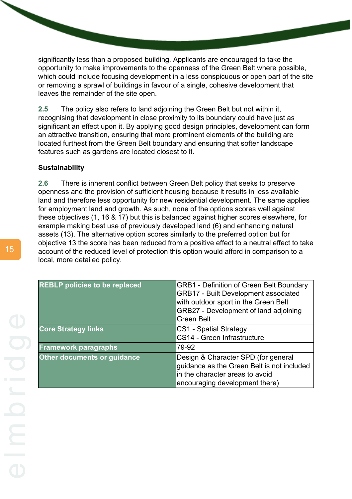significantly less than a proposed building. Applicants are encouraged to take the opportunity to make improvements to the openness of the Green Belt where possible, which could include focusing development in a less conspicuous or open part of the site or removing a sprawl of buildings in favour of a single, cohesive development that leaves the remainder of the site open.

**2.5** The policy also refers to land adjoining the Green Belt but not within it, recognising that development in close proximity to its boundary could have just as significant an effect upon it. By applying good design principles, development can form an attractive transition, ensuring that more prominent elements of the building are located furthest from the Green Belt boundary and ensuring that softer landscape features such as gardens are located closest to it.

#### **Sustainability**

**2.6** There is inherent conflict between Green Belt policy that seeks to preserve openness and the provision of sufficient housing because it results in less available land and therefore less opportunity for new residential development. The same applies for employment land and growth. As such, none of the options scores well against these objectives (1, 16 & 17) but this is balanced against higher scores elsewhere, for example making best use of previously developed land (6) and enhancing natural assets (13). The alternative option scores similarly to the preferred option but for objective 13 the score has been reduced from a positive effect to a neutral effect to take account of the reduced level of protection this option would afford in comparison to a local, more detailed policy.

| <b>REBLP policies to be replaced</b> | <b>GRB1 - Definition of Green Belt Boundary</b><br><b>GRB17 - Built Development associated</b><br>with outdoor sport in the Green Belt<br>GRB27 - Development of land adjoining<br><b>Green Belt</b> |
|--------------------------------------|------------------------------------------------------------------------------------------------------------------------------------------------------------------------------------------------------|
| <b>Core Strategy links</b>           | <b>CS1 - Spatial Strategy</b><br>CS14 - Green Infrastructure                                                                                                                                         |
| <b>Framework paragraphs</b>          | 79-92                                                                                                                                                                                                |
| Other documents or guidance          | Design & Character SPD (for general<br>guidance as the Green Belt is not included<br>lin the character areas to avoid<br>encouraging development there)                                              |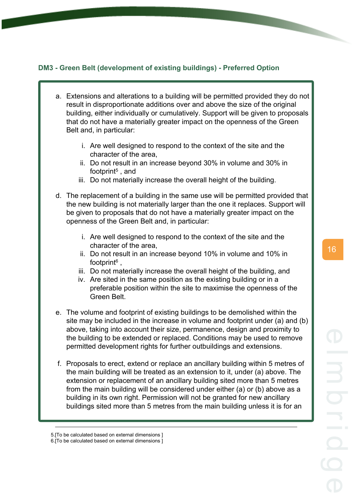#### <span id="page-24-0"></span>**DM3 - Green Belt (development of existing buildings) - Preferred Option**

- a. Extensions and alterations to a building will be permitted provided they do not result in disproportionate additions over and above the size of the original building, either individually or cumulatively. Support will be given to proposals that do not have a materially greater impact on the openness of the Green Belt and, in particular:
	- i. Are well designed to respond to the context of the site and the character of the area,
	- ii. Do not result in an increase beyond 30% in volume and 30% in footprint<sup>5</sup>, and
	- iii. Do not materially increase the overall height of the building.
- d. The replacement of a building in the same use will be permitted provided that the new building is not materially larger than the one it replaces. Support will be given to proposals that do not have a materially greater impact on the openness of the Green Belt and, in particular:
	- i. Are well designed to respond to the context of the site and the character of the area,
	- ii. Do not result in an increase beyond 10% in volume and 10% in footprint<sup>6</sup>,
	- iii. Do not materially increase the overall height of the building, and
	- iv. Are sited in the same position as the existing building or in a preferable position within the site to maximise the openness of the Green Belt.
- e. The volume and footprint of existing buildings to be demolished within the site may be included in the increase in volume and footprint under (a) and (b) above, taking into account their size, permanence, design and proximity to the building to be extended or replaced. Conditions may be used to remove permitted development rights for further outbuildings and extensions.
- f. Proposals to erect, extend or replace an ancillary building within 5 metres of the main building will be treated as an extension to it, under (a) above. The extension or replacement of an ancillary building sited more than 5 metres from the main building will be considered under either (a) or (b) above as a building in its own right. Permission will not be granted for new ancillary buildings sited more than 5 metres from the main building unless it is for an

<sup>5.[</sup>To be calculated based on external dimensions ]

<sup>6.[</sup>To be calculated based on external dimensions ]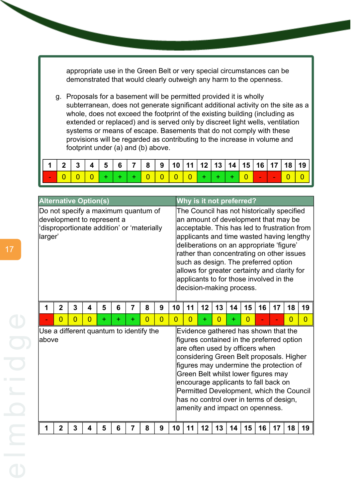appropriate use in the Green Belt or very special circumstances can be demonstrated that would clearly outweigh any harm to the openness.

g. Proposals for a basement will be permitted provided it is wholly subterranean, does not generate significant additional activity on the site as a whole, does not exceed the footprint of the existing building (including as extended or replaced) and is served only by discreet light wells, ventilation systems or means of escape. Basements that do not comply with these provisions will be regarded as contributing to the increase in volume and footprint under (a) and (b) above.



| <b>Alternative Option(s)</b>                                                                                               |                                                  |                |                |   |   |                |                |                | Why is it not preferred? |                                                                                                                                                                                                                                                                                                                                                                                                                                         |                                                                                                                                                                                                                                                                                                                                                                                                                      |                |    |          |    |    |                |                |
|----------------------------------------------------------------------------------------------------------------------------|--------------------------------------------------|----------------|----------------|---|---|----------------|----------------|----------------|--------------------------|-----------------------------------------------------------------------------------------------------------------------------------------------------------------------------------------------------------------------------------------------------------------------------------------------------------------------------------------------------------------------------------------------------------------------------------------|----------------------------------------------------------------------------------------------------------------------------------------------------------------------------------------------------------------------------------------------------------------------------------------------------------------------------------------------------------------------------------------------------------------------|----------------|----|----------|----|----|----------------|----------------|
| Do not specify a maximum quantum of<br>development to represent a<br>disproportionate addition' or 'materially'<br>larger' |                                                  |                |                |   |   |                |                |                |                          | The Council has not historically specified<br>an amount of development that may be<br>acceptable. This has led to frustration from<br>applicants and time wasted having lengthy<br>deliberations on an appropriate 'figure'<br>rather than concentrating on other issues<br>such as design. The preferred option<br>allows for greater certainty and clarity for<br>applicants to for those involved in the<br>decision-making process. |                                                                                                                                                                                                                                                                                                                                                                                                                      |                |    |          |    |    |                |                |
| 1                                                                                                                          | $\overline{2}$                                   | 3              | 4              | 5 | 6 | $\overline{7}$ | 8              | 9              | 10                       | 11                                                                                                                                                                                                                                                                                                                                                                                                                                      | 12                                                                                                                                                                                                                                                                                                                                                                                                                   | 13             | 14 | 15       | 16 | 17 | 18             | 19             |
|                                                                                                                            | $\overline{0}$                                   | $\overline{0}$ | $\overline{0}$ | ÷ | ÷ | ÷              | $\overline{0}$ | $\overline{0}$ | $\overline{0}$           | $\Omega$                                                                                                                                                                                                                                                                                                                                                                                                                                | $\ddot{}$                                                                                                                                                                                                                                                                                                                                                                                                            | $\overline{0}$ | ÷  | $\Omega$ |    |    | $\overline{0}$ | $\overline{0}$ |
|                                                                                                                            | Use a different quantum to identify the<br>above |                |                |   |   |                |                |                |                          |                                                                                                                                                                                                                                                                                                                                                                                                                                         | Evidence gathered has shown that the<br>figures contained in the preferred option<br>are often used by officers when<br>considering Green Belt proposals. Higher<br>figures may undermine the protection of<br>Green Belt whilst lower figures may<br>encourage applicants to fall back on<br>Permitted Development, which the Council<br>has no control over in terms of design,<br>amenity and impact on openness. |                |    |          |    |    |                |                |
|                                                                                                                            | $\mathbf{2}$                                     | 3              | 4              | 5 | 6 | 7              | 8              | 9              | 10                       | 11                                                                                                                                                                                                                                                                                                                                                                                                                                      | 12                                                                                                                                                                                                                                                                                                                                                                                                                   | 13             | 14 | 15       | 16 | 17 | 18             | 19             |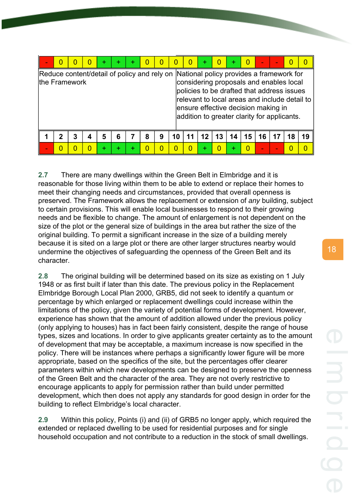|                                                              |   |   |   |   | + |   |   |    |    |    |    |                                                                                                                                                                                                                                                                          |    |    | O  |    |
|--------------------------------------------------------------|---|---|---|---|---|---|---|----|----|----|----|--------------------------------------------------------------------------------------------------------------------------------------------------------------------------------------------------------------------------------------------------------------------------|----|----|----|----|
| Reduce content/detail of policy and rely on<br>the Framework |   |   |   |   |   |   |   |    |    |    |    | National policy provides a framework for<br>considering proposals and enables local<br>policies to be drafted that address issues<br>relevant to local areas and include detail to<br>ensure effective decision making in<br>addition to greater clarity for applicants. |    |    |    |    |
|                                                              | 2 | 3 | 5 | 6 |   | 8 | 9 | 10 | 12 | 13 | 14 | 15                                                                                                                                                                                                                                                                       | 16 | 17 | 18 | 19 |
|                                                              |   |   |   |   |   |   |   |    |    |    |    |                                                                                                                                                                                                                                                                          |    |    |    |    |

**2.7** There are many dwellings within the Green Belt in Elmbridge and it is reasonable for those living within them to be able to extend or replace their homes to meet their changing needs and circumstances, provided that overall openness is preserved. The Framework allows the replacement or extension of *any* building, subject to certain provisions. This will enable local businesses to respond to their growing needs and be flexible to change. The amount of enlargement is not dependent on the size of the plot or the general size of buildings in the area but rather the size of the original building. To permit a significant increase in the size of a building merely because it is sited on a large plot or there are other larger structures nearby would undermine the objectives of safeguarding the openness of the Green Belt and its character.

**2.8** The original building will be determined based on its size as existing on 1 July 1948 or as first built if later than this date. The previous policy in the Replacement Elmbridge Borough Local Plan 2000, GRB5, did not seek to identify a quantum or percentage by which enlarged or replacement dwellings could increase within the limitations of the policy, given the variety of potential forms of development. However, experience has shown that the amount of addition allowed under the previous policy (only applying to houses) has in fact been fairly consistent, despite the range of house types, sizes and locations. In order to give applicants greater certainty as to the amount of development that may be acceptable, a maximum increase is now specified in the policy. There will be instances where perhaps a significantly lower figure will be more appropriate, based on the specifics of the site, but the percentages offer clearer parameters within which new developments can be designed to preserve the openness of the Green Belt and the character of the area. They are not overly restrictive to encourage applicants to apply for permission rather than build under permitted development, which then does not apply any standards for good design in order for the building to reflect Elmbridge's local character.

**2.9** Within this policy, Points (i) and (ii) of GRB5 no longer apply, which required the extended or replaced dwelling to be used for residential purposes and for single household occupation and not contribute to a reduction in the stock of small dwellings.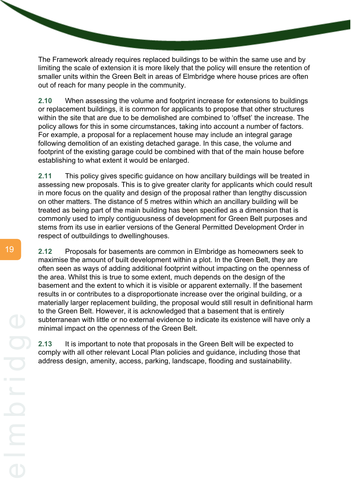The Framework already requires replaced buildings to be within the same use and by limiting the scale of extension it is more likely that the policy will ensure the retention of smaller units within the Green Belt in areas of Elmbridge where house prices are often out of reach for many people in the community.

**2.10** When assessing the volume and footprint increase for extensions to buildings or replacement buildings, it is common for applicants to propose that other structures within the site that are due to be demolished are combined to 'offset' the increase. The policy allows for this in some circumstances, taking into account a number of factors. For example, a proposal for a replacement house may include an integral garage following demolition of an existing detached garage. In this case, the volume and footprint of the existing garage could be combined with that of the main house before establishing to what extent it would be enlarged.

**2.11** This policy gives specific guidance on how ancillary buildings will be treated in assessing new proposals. This is to give greater clarity for applicants which could result in more focus on the quality and design of the proposal rather than lengthy discussion on other matters. The distance of 5 metres within which an ancillary building will be treated as being part of the main building has been specified as a dimension that is commonly used to imply contiguousness of development for Green Belt purposes and stems from its use in earlier versions of the General Permitted Development Order in respect of outbuildings to dwellinghouses.

**2.12** Proposals for basements are common in Elmbridge as homeowners seek to maximise the amount of built development within a plot. In the Green Belt, they are often seen as ways of adding additional footprint without impacting on the openness of the area. Whilst this is true to some extent, much depends on the design of the basement and the extent to which it is visible or apparent externally. If the basement results in or contributes to a disproportionate increase over the original building, or a materially larger replacement building, the proposal would still result in definitional harm to the Green Belt. However, it is acknowledged that a basement that is entirely subterranean with little or no external evidence to indicate its existence will have only a minimal impact on the openness of the Green Belt.

**2.13** It is important to note that proposals in the Green Belt will be expected to comply with all other relevant Local Plan policies and guidance, including those that address design, amenity, access, parking, landscape, flooding and sustainability.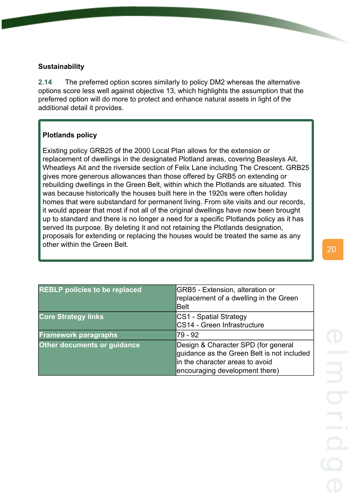#### **Sustainability**

**2.14** The preferred option scores similarly to policy DM2 whereas the alternative options score less well against objective 13, which highlights the assumption that the preferred option will do more to protect and enhance natural assets in light of the additional detail it provides.

#### **Plotlands policy**

Existing policy GRB25 of the 2000 Local Plan allows for the extension or replacement of dwellings in the designated Plotland areas, covering Beasleys Ait, Wheatleys Ait and the riverside section of Felix Lane including The Crescent. GRB25 gives more generous allowances than those offered by GRB5 on extending or rebuilding dwellings in the Green Belt, within which the Plotlands are situated. This was because historically the houses built here in the 1920s were often holiday homes that were substandard for permanent living. From site visits and our records, it would appear that most if not all of the original dwellings have now been brought up to standard and there is no longer a need for a specific Plotlands policy as it has served its purpose. By deleting it and not retaining the Plotlands designation, proposals for extending or replacing the houses would be treated the same as any other within the Green Belt.

| <b>REBLP</b> policies to be replaced | GRB5 - Extension, alteration or<br>replacement of a dwelling in the Green<br><b>Belt</b>                                                               |
|--------------------------------------|--------------------------------------------------------------------------------------------------------------------------------------------------------|
| <b>Core Strategy links</b>           | CS1 - Spatial Strategy<br>CS14 - Green Infrastructure                                                                                                  |
| <b>Framework paragraphs</b>          | 79 - 92                                                                                                                                                |
| Other documents or guidance          | Design & Character SPD (for general<br>guidance as the Green Belt is not included<br>in the character areas to avoid<br>encouraging development there) |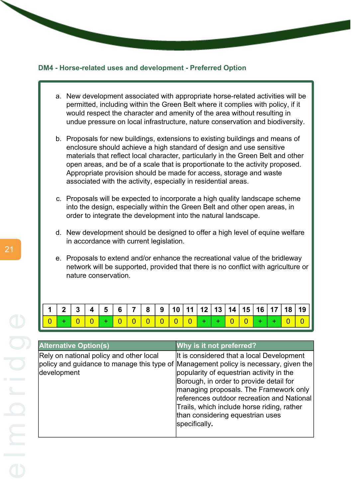#### <span id="page-29-0"></span>**DM4 - Horse-related uses and development - Preferred Option**

- a. New development associated with appropriate horse-related activities will be permitted, including within the Green Belt where it complies with policy, if it would respect the character and amenity of the area without resulting in undue pressure on local infrastructure, nature conservation and biodiversity.
- b. Proposals for new buildings, extensions to existing buildings and means of enclosure should achieve a high standard of design and use sensitive materials that reflect local character, particularly in the Green Belt and other open areas, and be of a scale that is proportionate to the activity proposed. Appropriate provision should be made for access, storage and waste associated with the activity, especially in residential areas.
- c. Proposals will be expected to incorporate a high quality landscape scheme into the design, especially within the Green Belt and other open areas, in order to integrate the development into the natural landscape.
- d. New development should be designed to offer a high level of equine welfare in accordance with current legislation.
- e. Proposals to extend and/or enhance the recreational value of the bridleway network will be supported, provided that there is no conflict with agriculture or nature conservation.

|  |  |                     |  |  |  |  |  |  | 1   2   3   4   5   6   7   8   9  10  11  12  13  14  15  16  17  18  19 |
|--|--|---------------------|--|--|--|--|--|--|---------------------------------------------------------------------------|
|  |  | $ 0 0 0 0 0 0 + + $ |  |  |  |  |  |  |                                                                           |

| <b>Alternative Option(s)</b>                           | Why is it not preferred?                                                                                                                                                                                                                                                                                                                                                                                            |
|--------------------------------------------------------|---------------------------------------------------------------------------------------------------------------------------------------------------------------------------------------------------------------------------------------------------------------------------------------------------------------------------------------------------------------------------------------------------------------------|
| Rely on national policy and other local<br>development | It is considered that a local Development<br>policy and guidance to manage this type of Management policy is necessary, given the<br>popularity of equestrian activity in the<br>Borough, in order to provide detail for<br>managing proposals. The Framework only<br>references outdoor recreation and National<br>Trails, which include horse riding, rather<br>than considering equestrian uses<br>specifically. |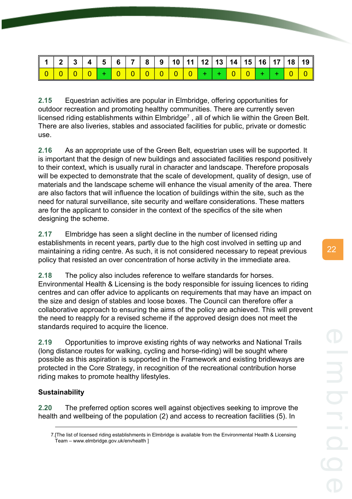**2.15** Equestrian activities are popular in Elmbridge, offering opportunities for outdoor recreation and promoting healthy communities. There are currently seven licensed riding establishments within Elmbridge<sup>7</sup>, all of which lie within the Green Belt. There are also liveries, stables and associated facilities for public, private or domestic use.

**2.16** As an appropriate use of the Green Belt, equestrian uses will be supported. It is important that the design of new buildings and associated facilities respond positively to their context, which is usually rural in character and landscape. Therefore proposals will be expected to demonstrate that the scale of development, quality of design, use of materials and the landscape scheme will enhance the visual amenity of the area. There are also factors that will influence the location of buildings within the site, such as the need for natural surveillance, site security and welfare considerations. These matters are for the applicant to consider in the context of the specifics of the site when designing the scheme.

**2.17** Elmbridge has seen a slight decline in the number of licensed riding establishments in recent years, partly due to the high cost involved in setting up and maintaining a riding centre. As such, it is not considered necessary to repeat previous policy that resisted an over concentration of horse activity in the immediate area.

**2.18** The policy also includes reference to welfare standards for horses. Environmental Health & Licensing is the body responsible for issuing licences to riding centres and can offer advice to applicants on requirements that may have an impact on the size and design of stables and loose boxes. The Council can therefore offer a collaborative approach to ensuring the aims of the policy are achieved. This will prevent the need to reapply for a revised scheme if the approved design does not meet the standards required to acquire the licence.

**2.19** Opportunities to improve existing rights of way networks and National Trails (long distance routes for walking, cycling and horse-riding) will be sought where possible as this aspiration is supported in the Framework and existing bridleways are protected in the Core Strategy, in recognition of the recreational contribution horse riding makes to promote healthy lifestyles.

#### **Sustainability**

**2.20** The preferred option scores well against objectives seeking to improve the health and wellbeing of the population (2) and access to recreation facilities (5). In

<sup>7.[</sup>The list of licensed riding establishments in Elmbridge is available from the Environmental Health & Licensing Team – www.elmbridge.gov.uk/envhealth ]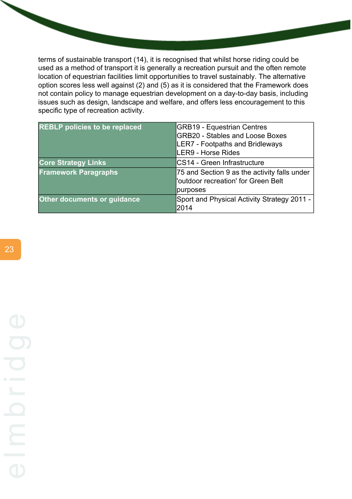terms of sustainable transport (14), it is recognised that whilst horse riding could be used as a method of transport it is generally a recreation pursuit and the often remote location of equestrian facilities limit opportunities to travel sustainably. The alternative option scores less well against (2) and (5) as it is considered that the Framework does not contain policy to manage equestrian development on a day-to-day basis, including issues such as design, landscape and welfare, and offers less encouragement to this specific type of recreation activity.

| <b>REBLP policies to be replaced</b> | <b>GRB19 - Equestrian Centres</b>                                                               |
|--------------------------------------|-------------------------------------------------------------------------------------------------|
|                                      | <b>GRB20 - Stables and Loose Boxes</b>                                                          |
|                                      | LER7 - Footpaths and Bridleways                                                                 |
|                                      | LER9 - Horse Rides                                                                              |
| <b>Core Strategy Links</b>           | <b>CS14 - Green Infrastructure</b>                                                              |
| <b>Framework Paragraphs</b>          | 75 and Section 9 as the activity falls under<br>'outdoor recreation' for Green Belt<br>purposes |
|                                      |                                                                                                 |
| <b>Other documents or guidance</b>   | Sport and Physical Activity Strategy 2011 -<br>l2014                                            |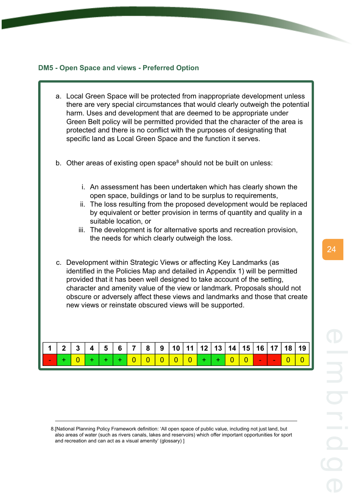#### <span id="page-32-0"></span>**DM5 - Open Space and views - Preferred Option**

- a. Local Green Space will be protected from inappropriate development unless there are very special circumstances that would clearly outweigh the potential harm. Uses and development that are deemed to be appropriate under Green Belt policy will be permitted provided that the character of the area is protected and there is no conflict with the purposes of designating that specific land as Local Green Space and the function it serves.
- b. Other areas of existing open space<sup>8</sup> should not be built on unless:
	- i. An assessment has been undertaken which has clearly shown the open space, buildings or land to be surplus to requirements,
	- ii. The loss resulting from the proposed development would be replaced by equivalent or better provision in terms of quantity and quality in a suitable location, or
	- iii. The development is for alternative sports and recreation provision, the needs for which clearly outweigh the loss.
- c. Development within Strategic Views or affecting Key Landmarks (as identified in the Policies Map and detailed in Appendix 1) will be permitted provided that it has been well designed to take account of the setting, character and amenity value of the view or landmark. Proposals should not obscure or adversely affect these views and landmarks and those that create new views or reinstate obscured views will be supported.

|  | $\vert$ 3 |  |  |  |  |  |                     |  |  |
|--|-----------|--|--|--|--|--|---------------------|--|--|
|  |           |  |  |  |  |  | $  +   +   0   0  $ |  |  |

<sup>8.[</sup>National Planning Policy Framework definition: 'All open space of public value, including not just land, but also areas of water (such as rivers canals, lakes and reservoirs) which offer important opportunities for sport and recreation and can act as a visual amenity' (glossary) ]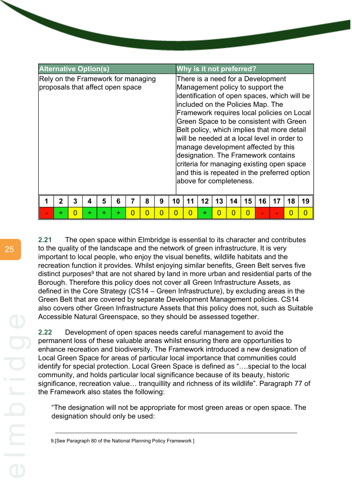| <b>Alternative Option(s)</b>       |                                  |   |   |   |   |          |   |   | Why is it not preferred? |    |    |                         |    |    |    |                                                                                                                                                                                          |                                                                                                                                                                                                                                                                                                                                  |    |
|------------------------------------|----------------------------------|---|---|---|---|----------|---|---|--------------------------|----|----|-------------------------|----|----|----|------------------------------------------------------------------------------------------------------------------------------------------------------------------------------------------|----------------------------------------------------------------------------------------------------------------------------------------------------------------------------------------------------------------------------------------------------------------------------------------------------------------------------------|----|
| Rely on the Framework for managing | proposals that affect open space |   |   |   |   |          |   |   |                          |    |    | above for completeness. |    |    |    | There is a need for a Development<br>Management policy to support the<br>included on the Policies Map. The<br>manage development affected by this<br>designation. The Framework contains | identification of open spaces, which will be<br>Framework requires local policies on Local<br>Green Space to be consistent with Green<br>Belt policy, which implies that more detail<br>will be needed at a local level in order to<br>criteria for managing existing open space<br>and this is repeated in the preferred option |    |
|                                    | 2                                | 3 | 4 | 5 | 6 |          | 8 | 9 | 10                       | 11 | 12 | 13                      | 14 | 15 | 16 |                                                                                                                                                                                          | 18                                                                                                                                                                                                                                                                                                                               | 19 |
|                                    | +                                | O | ٠ | ٠ | ÷ | $\Omega$ | O | በ | O                        | O  | +  |                         |    |    |    |                                                                                                                                                                                          | O                                                                                                                                                                                                                                                                                                                                | O  |

**2.21** The open space within Elmbridge is essential to its character and contributes to the quality of the landscape and the network of green infrastructure. It is very important to local people, who enjoy the visual benefits, wildlife habitats and the recreation function it provides. Whilst enjoying similar benefits, Green Belt serves five distinct purposes<sup>9</sup> that are not shared by land in more urban and residential parts of the Borough. Therefore this policy does not cover all Green Infrastructure Assets, as defined in the Core Strategy (CS14 – Green Infrastructure), by excluding areas in the Green Belt that are covered by separate Development Management policies. CS14 also covers other Green Infrastructure Assets that this policy does not, such as Suitable Accessible Natural Greenspace, so they should be assessed together.

**2.22** Development of open spaces needs careful management to avoid the permanent loss of these valuable areas whilst ensuring there are opportunities to enhance recreation and biodiversity. The Framework introduced a new designation of Local Green Space for areas of particular local importance that communities could identify for special protection. Local Green Space is defined as "….special to the local community, and holds particular local significance because of its beauty, historic significance, recreation value… tranquillity and richness of its wildlife". Paragraph 77 of the Framework also states the following:

"The designation will not be appropriate for most green areas or open space. The designation should only be used:

9.[See Paragraph 80 of the National Planning Policy Framework ]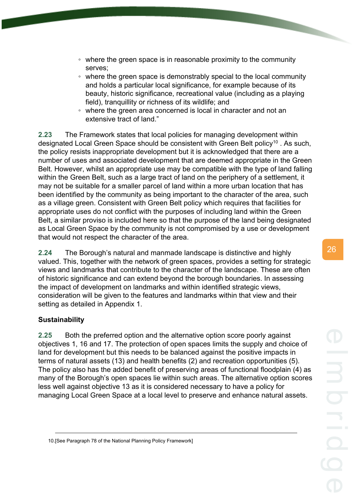- where the green space is in reasonable proximity to the community serves;
- where the green space is demonstrably special to the local community and holds a particular local significance, for example because of its beauty, historic significance, recreational value (including as a playing field), tranquillity or richness of its wildlife; and
- where the green area concerned is local in character and not an extensive tract of land."

**2.23** The Framework states that local policies for managing development within designated Local Green Space should be consistent with Green Belt policy<sup>10</sup>. As such, the policy resists inappropriate development but it is acknowledged that there are a number of uses and associated development that are deemed appropriate in the Green Belt. However, whilst an appropriate use may be compatible with the type of land falling within the Green Belt, such as a large tract of land on the periphery of a settlement, it may not be suitable for a smaller parcel of land within a more urban location that has been identified by the community as being important to the character of the area, such as a village green. Consistent with Green Belt policy which requires that facilities for appropriate uses do not conflict with the purposes of including land within the Green Belt, a similar proviso is included here so that the purpose of the land being designated as Local Green Space by the community is not compromised by a use or development that would not respect the character of the area.

**2.24** The Borough's natural and manmade landscape is distinctive and highly valued. This, together with the network of green spaces, provides a setting for strategic views and landmarks that contribute to the character of the landscape. These are often of historic significance and can extend beyond the borough boundaries. In assessing the impact of development on landmarks and within identified strategic views, consideration will be given to the features and landmarks within that view and their setting as detailed in Appendix 1.

#### **Sustainability**

**2.25** Both the preferred option and the alternative option score poorly against objectives 1, 16 and 17. The protection of open spaces limits the supply and choice of land for development but this needs to be balanced against the positive impacts in terms of natural assets (13) and health benefits (2) and recreation opportunities (5). The policy also has the added benefit of preserving areas of functional floodplain (4) as many of the Borough's open spaces lie within such areas. The alternative option scores less well against objective 13 as it is considered necessary to have a policy for managing Local Green Space at a local level to preserve and enhance natural assets.

10.[See Paragraph 78 of the National Planning Policy Framework]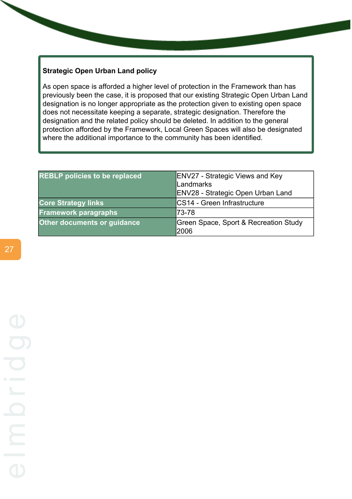#### **Strategic Open Urban Land policy**

As open space is afforded a higher level of protection in the Framework than has previously been the case, it is proposed that our existing Strategic Open Urban Land designation is no longer appropriate as the protection given to existing open space does not necessitate keeping a separate, strategic designation. Therefore the designation and the related policy should be deleted. In addition to the general protection afforded by the Framework, Local Green Spaces will also be designated where the additional importance to the community has been identified.

| <b>REBLP policies to be replaced</b> | <b>ENV27 - Strategic Views and Key</b><br>Landmarks<br>ENV28 - Strategic Open Urban Land |
|--------------------------------------|------------------------------------------------------------------------------------------|
| <b>Core Strategy links</b>           | CS14 - Green Infrastructure                                                              |
| <b>Framework paragraphs</b>          | 73-78                                                                                    |
| <b>Other documents or guidance</b>   | Green Space, Sport & Recreation Study<br>2006                                            |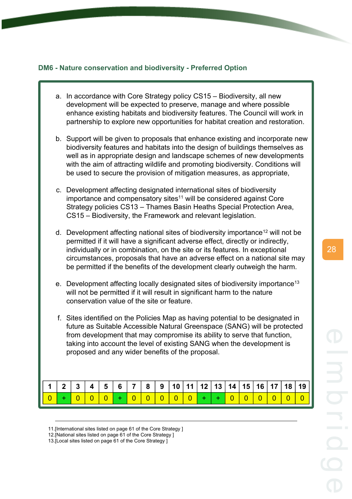#### **DM6 - Nature conservation and biodiversity - Preferred Option**

- a. In accordance with Core Strategy policy CS15 Biodiversity, all new development will be expected to preserve, manage and where possible enhance existing habitats and biodiversity features. The Council will work in partnership to explore new opportunities for habitat creation and restoration.
- b. Support will be given to proposals that enhance existing and incorporate new biodiversity features and habitats into the design of buildings themselves as well as in appropriate design and landscape schemes of new developments with the aim of attracting wildlife and promoting biodiversity. Conditions will be used to secure the provision of mitigation measures, as appropriate,
- c. Development affecting designated international sites of biodiversity importance and compensatory sites<sup>11</sup> will be considered against Core Strategy policies CS13 – Thames Basin Heaths Special Protection Area, CS15 – Biodiversity, the Framework and relevant legislation.
- d. Development affecting national sites of biodiversity importance<sup>12</sup> will not be permitted if it will have a significant adverse effect, directly or indirectly, individually or in combination, on the site or its features. In exceptional circumstances, proposals that have an adverse effect on a national site may be permitted if the benefits of the development clearly outweigh the harm.
- e. Development affecting locally designated sites of biodiversity importance<sup>13</sup> will not be permitted if it will result in significant harm to the nature conservation value of the site or feature.
- f. Sites identified on the Policies Map as having potential to be designated in future as Suitable Accessible Natural Greenspace (SANG) will be protected from development that may compromise its ability to serve that function, taking into account the level of existing SANG when the development is proposed and any wider benefits of the proposal.

| $\vert$   1   2   3   4   5   6   7   8   9  10  11  12  13  14  15  16  17  18  19 |  |  |  |  |                                       |  |  |  |  |  |
|-------------------------------------------------------------------------------------|--|--|--|--|---------------------------------------|--|--|--|--|--|
|                                                                                     |  |  |  |  | + 0 0 0 + 0 0 0 0 0 0 + + 0 0 0 0 0 0 |  |  |  |  |  |

<sup>11.[</sup>International sites listed on page 61 of the Core Strategy ]

<sup>12.[</sup>National sites listed on page 61 of the Core Strategy ]

<sup>13.[</sup>Local sites listed on page 61 of the Core Strategy ]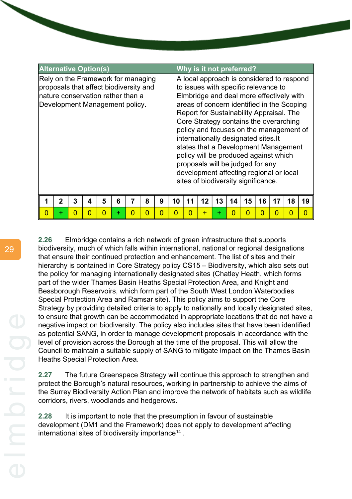| <b>Alternative Option(s)</b>                                                                                                                         |   |   |   |   |   |   |   |    |    | Why is it not preferred?                                                                                                                                                                                                                                                                                                                                                                                                                                                                                                                                   |    |    |    |    |    |    |    |
|------------------------------------------------------------------------------------------------------------------------------------------------------|---|---|---|---|---|---|---|----|----|------------------------------------------------------------------------------------------------------------------------------------------------------------------------------------------------------------------------------------------------------------------------------------------------------------------------------------------------------------------------------------------------------------------------------------------------------------------------------------------------------------------------------------------------------------|----|----|----|----|----|----|----|
| Rely on the Framework for managing<br>proposals that affect biodiversity and<br>Inature conservation rather than a<br>Development Management policy. |   |   |   |   |   |   |   |    |    | A local approach is considered to respond<br>to issues with specific relevance to<br>Elmbridge and deal more effectively with<br>areas of concern identified in the Scoping<br>Report for Sustainability Appraisal. The<br>Core Strategy contains the overarching<br>policy and focuses on the management of<br>internationally designated sites.It<br>states that a Development Management<br>policy will be produced against which<br>proposals will be judged for any<br>development affecting regional or local<br>sites of biodiversity significance. |    |    |    |    |    |    |    |
|                                                                                                                                                      | 2 | 3 | 4 | 5 | 6 | 8 | 9 | 10 | 11 | 12                                                                                                                                                                                                                                                                                                                                                                                                                                                                                                                                                         | 13 | 14 | 15 | 16 | 17 | 18 | 19 |
| 0                                                                                                                                                    | ÷ | O | n | 0 | ÷ | 0 | 0 | O  | O  |                                                                                                                                                                                                                                                                                                                                                                                                                                                                                                                                                            |    |    |    |    |    | O  | Ω  |

**2.26** Elmbridge contains a rich network of green infrastructure that supports biodiversity, much of which falls within international, national or regional designations that ensure their continued protection and enhancement. The list of sites and their hierarchy is contained in Core Strategy policy CS15 – Biodiversity, which also sets out the policy for managing internationally designated sites (Chatley Heath, which forms part of the wider Thames Basin Heaths Special Protection Area, and Knight and Bessborough Reservoirs, which form part of the South West London Waterbodies Special Protection Area and Ramsar site). This policy aims to support the Core Strategy by providing detailed criteria to apply to nationally and locally designated sites, to ensure that growth can be accommodated in appropriate locations that do not have a negative impact on biodiversity. The policy also includes sites that have been identified as potential SANG, in order to manage development proposals in accordance with the level of provision across the Borough at the time of the proposal. This will allow the Council to maintain a suitable supply of SANG to mitigate impact on the Thames Basin Heaths Special Protection Area.

**2.27** The future Greenspace Strategy will continue this approach to strengthen and protect the Borough's natural resources, working in partnership to achieve the aims of the Surrey Biodiversity Action Plan and improve the network of habitats such as wildlife corridors, rivers, woodlands and hedgerows.

**2.28** It is important to note that the presumption in favour of sustainable development (DM1 and the Framework) does not apply to development affecting international sites of biodiversity importance<sup>14</sup>.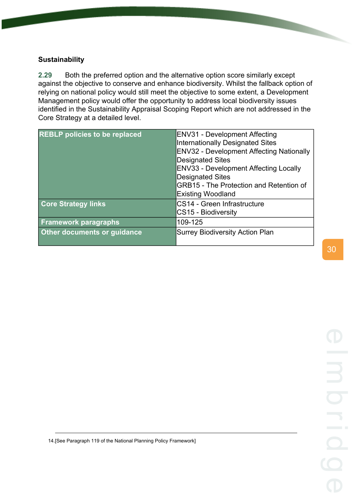# **Sustainability**

**2.29** Both the preferred option and the alternative option score similarly except against the objective to conserve and enhance biodiversity. Whilst the fallback option of relying on national policy would still meet the objective to some extent, a Development Management policy would offer the opportunity to address local biodiversity issues identified in the Sustainability Appraisal Scoping Report which are not addressed in the Core Strategy at a detailed level.

| <b>REBLP</b> policies to be replaced | <b>ENV31 - Development Affecting</b><br><b>Internationally Designated Sites</b><br><b>ENV32 - Development Affecting Nationally</b><br><b>Designated Sites</b><br><b>ENV33 - Development Affecting Locally</b><br><b>Designated Sites</b><br><b>GRB15 - The Protection and Retention of</b><br><b>Existing Woodland</b> |
|--------------------------------------|------------------------------------------------------------------------------------------------------------------------------------------------------------------------------------------------------------------------------------------------------------------------------------------------------------------------|
| <b>Core Strategy links</b>           | CS14 - Green Infrastructure<br>CS15 - Biodiversity                                                                                                                                                                                                                                                                     |
| <b>Framework paragraphs</b>          | 109-125                                                                                                                                                                                                                                                                                                                |
| Other documents or guidance          | <b>Surrey Biodiversity Action Plan</b>                                                                                                                                                                                                                                                                                 |

14.[See Paragraph 119 of the National Planning Policy Framework]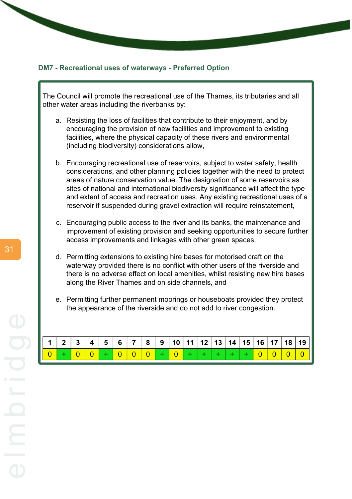#### **DM7 - Recreational uses of waterways - Preferred Option**

The Council will promote the recreational use of the Thames, its tributaries and all other water areas including the riverbanks by:

- a. Resisting the loss of facilities that contribute to their enjoyment, and by encouraging the provision of new facilities and improvement to existing facilities, where the physical capacity of these rivers and environmental (including biodiversity) considerations allow,
- b. Encouraging recreational use of reservoirs, subject to water safety, health considerations, and other planning policies together with the need to protect areas of nature conservation value. The designation of some reservoirs as sites of national and international biodiversity significance will affect the type and extent of access and recreation uses. Any existing recreational uses of a reservoir if suspended during gravel extraction will require reinstatement.
- c. Encouraging public access to the river and its banks, the maintenance and improvement of existing provision and seeking opportunities to secure further access improvements and linkages with other green spaces,
- d. Permitting extensions to existing hire bases for motorised craft on the waterway provided there is no conflict with other users of the riverside and there is no adverse effect on local amenities, whilst resisting new hire bases along the River Thames and on side channels, and
- e. Permitting further permanent moorings or houseboats provided they protect the appearance of the riverside and do not add to river congestion.

|  |  |  |  |  |  |  |  |  | $\mid$ 1 $\mid$ 2 $\mid$ 3 $\mid$ 4 $\mid$ 5 $\mid$ 6 $\mid$ 7 $\mid$ 8 $\mid$ 9 $\mid$ 10 $\mid$ 11 $\mid$ 12 $\mid$ 13 $\mid$ 14 $\mid$ 15 $\mid$ 16 $\mid$ 17 $\mid$ 18 $\mid$ 19 $\mid$ |
|--|--|--|--|--|--|--|--|--|---------------------------------------------------------------------------------------------------------------------------------------------------------------------------------------------|
|  |  |  |  |  |  |  |  |  | 0 + 0 0 + 0 0 0 + 0 + 0 + + + + + 0 0 0 0 0                                                                                                                                                 |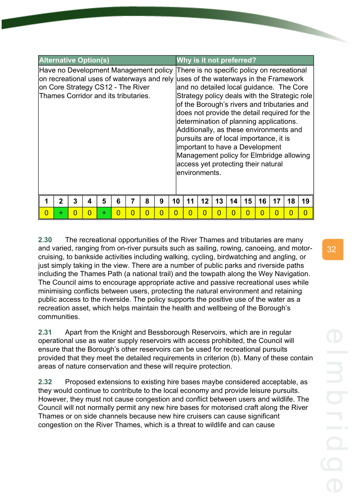| <b>Alternative Option(s)</b>                                                                                                                                                                            |             |   |   |   |   |   |   |   |    |    | Why is it not preferred?                                                                                                                                                                                                                                                                                                                                                                                                                                       |    |    |    |    |    |    |                                               |
|---------------------------------------------------------------------------------------------------------------------------------------------------------------------------------------------------------|-------------|---|---|---|---|---|---|---|----|----|----------------------------------------------------------------------------------------------------------------------------------------------------------------------------------------------------------------------------------------------------------------------------------------------------------------------------------------------------------------------------------------------------------------------------------------------------------------|----|----|----|----|----|----|-----------------------------------------------|
| Have no Development Management policy<br>on recreational uses of waterways and rely uses of the waterways in the Framework<br>on Core Strategy CS12 - The River<br>Thames Corridor and its tributaries. |             |   |   |   |   |   |   |   |    |    | There is no specific policy on recreational<br>and no detailed local guidance. The Core<br>of the Borough's rivers and tributaries and<br>does not provide the detail required for the<br>determination of planning applications.<br>Additionally, as these environments and<br>pursuits are of local importance, it is<br>important to have a Development<br>Management policy for Elmbridge allowing<br>access yet protecting their natural<br>environments. |    |    |    |    |    |    | Strategy policy deals with the Strategic role |
|                                                                                                                                                                                                         | $\mathbf 2$ | 3 | 4 | 5 | 6 |   | 8 | 9 | 10 | 11 | 12                                                                                                                                                                                                                                                                                                                                                                                                                                                             | 13 | 14 | 15 | 16 | 17 | 18 | 19                                            |
| 0                                                                                                                                                                                                       | ÷           | ი | 0 | ╊ | O | 0 | 0 | 0 | n  |    | O                                                                                                                                                                                                                                                                                                                                                                                                                                                              | n  | O  | O  |    | 0  | 0  | n                                             |

**2.30** The recreational opportunities of the River Thames and tributaries are many and varied, ranging from on-river pursuits such as sailing, rowing, canoeing, and motorcruising, to bankside activities including walking, cycling, birdwatching and angling, or just simply taking in the view. There are a number of public parks and riverside paths including the Thames Path (a national trail) and the towpath along the Wey Navigation. The Council aims to encourage appropriate active and passive recreational uses while minimising conflicts between users, protecting the natural environment and retaining public access to the riverside. The policy supports the positive use of the water as a recreation asset, which helps maintain the health and wellbeing of the Borough's communities.

**2.31** Apart from the Knight and Bessborough Reservoirs, which are in regular operational use as water supply reservoirs with access prohibited, the Council will ensure that the Borough's other reservoirs can be used for recreational pursuits provided that they meet the detailed requirements in criterion (b). Many of these contain areas of nature conservation and these will require protection.

**2.32** Proposed extensions to existing hire bases maybe considered acceptable, as they would continue to contribute to the local economy and provide leisure pursuits. However, they must not cause congestion and conflict between users and wildlife. The Council will not normally permit any new hire bases for motorised craft along the River Thames or on side channels because new hire cruisers can cause significant congestion on the River Thames, which is a threat to wildlife and can cause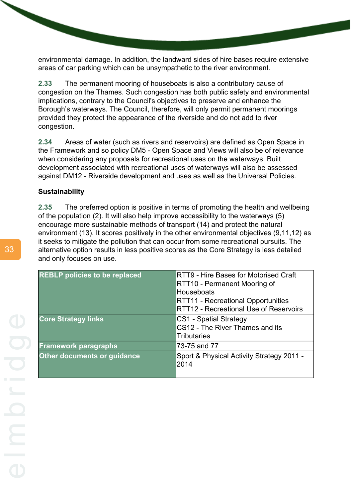environmental damage. In addition, the landward sides of hire bases require extensive areas of car parking which can be unsympathetic to the river environment.

**2.33** The permanent mooring of houseboats is also a contributory cause of congestion on the Thames. Such congestion has both public safety and environmental implications, contrary to the Council's objectives to preserve and enhance the Borough's waterways. The Council, therefore, will only permit permanent moorings provided they protect the appearance of the riverside and do not add to river congestion.

**2.34** Areas of water (such as rivers and reservoirs) are defined as Open Space in the Framework and so policy DM5 - Open Space and Views will also be of relevance when considering any proposals for recreational uses on the waterways. Built development associated with recreational uses of waterways will also be assessed against DM12 - Riverside development and uses as well as the Universal Policies.

#### **Sustainability**

**2.35** The preferred option is positive in terms of promoting the health and wellbeing of the population (2). It will also help improve accessibility to the waterways (5) encourage more sustainable methods of transport (14) and protect the natural environment (13). It scores positively in the other environmental objectives (9,11,12) as it seeks to mitigate the pollution that can occur from some recreational pursuits. The alternative option results in less positive scores as the Core Strategy is less detailed and only focuses on use.

| <b>REBLP policies to be replaced</b> | RTT9 - Hire Bases for Motorised Craft     |
|--------------------------------------|-------------------------------------------|
|                                      | RTT10 - Permanent Mooring of              |
|                                      | <b>Houseboats</b>                         |
|                                      | <b>RTT11 - Recreational Opportunities</b> |
|                                      | RTT12 - Recreational Use of Reservoirs    |
| <b>Core Strategy links</b>           | CS1 - Spatial Strategy                    |
|                                      | CS12 - The River Thames and its           |
|                                      | <b>Tributaries</b>                        |
| <b>Framework paragraphs</b>          | 73-75 and 77                              |
| <b>Other documents or guidance</b>   | Sport & Physical Activity Strategy 2011 - |
|                                      | 2014                                      |
|                                      |                                           |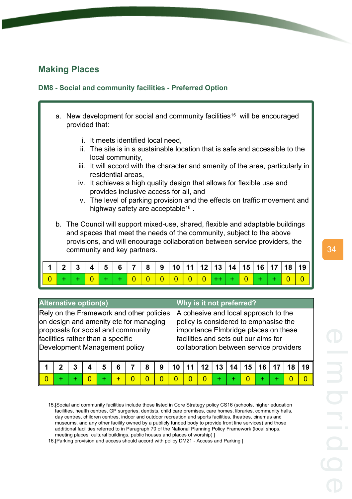# **Making Places**

# **DM8 - Social and community facilities - Preferred Option**

- a. New development for social and community facilities<sup>15</sup> will be encouraged provided that:
	- i. It meets identified local need,
	- ii. The site is in a sustainable location that is safe and accessible to the local community,
	- iii. It will accord with the character and amenity of the area, particularly in residential areas,
	- iv. It achieves a high quality design that allows for flexible use and provides inclusive access for all, and
	- v. The level of parking provision and the effects on traffic movement and highway safety are acceptable<sup>16</sup>.
- b. The Council will support mixed-use, shared, flexible and adaptable buildings and spaces that meet the needs of the community, subject to the above provisions, and will encourage collaboration between service providers, the community and key partners.

| $\begin{array}{ c c } \hline \mathbf{0} \end{array}$ |  |  |  |  | <mark>  0   0   0   0   0   0  </mark> ++   +   <mark>0  </mark> |  |  |  |  |  |
|------------------------------------------------------|--|--|--|--|------------------------------------------------------------------|--|--|--|--|--|

| <b>Alternative option(s)</b>                                                                                                                                                                   |   | Why is it not preferred?                                                                                                                                                                                 |         |    |    |    |    |    |          |    |
|------------------------------------------------------------------------------------------------------------------------------------------------------------------------------------------------|---|----------------------------------------------------------------------------------------------------------------------------------------------------------------------------------------------------------|---------|----|----|----|----|----|----------|----|
| Rely on the Framework and other policies<br>on design and amenity etc for managing<br>proposals for social and community<br>facilities rather than a specific<br>Development Management policy |   | A cohesive and local approach to the<br>policy is considered to emphasise the<br>importance Elmbridge places on these<br>facilities and sets out our aims for<br>collaboration between service providers |         |    |    |    |    |    |          |    |
| 6<br>3<br>5<br>8<br>$\mathbf 2$                                                                                                                                                                | 9 | 10                                                                                                                                                                                                       | $12 \,$ | 13 | 14 | 15 | 16 | 17 | 18       | 19 |
| $\overline{0}$<br>N<br>∩<br>0<br>÷<br>÷                                                                                                                                                        | O | O                                                                                                                                                                                                        |         | ÷  |    | ∩  | ÷  |    | $\Omega$ | ſ  |

<sup>15.[</sup>Social and community facilities include those listed in Core Strategy policy CS16 (schools, higher education facilities, health centres, GP surgeries, dentists, child care premises, care homes, libraries, community halls, day centres, children centres, indoor and outdoor recreation and sports facilities, theatres, cinemas and museums, and any other facility owned by a publicly funded body to provide front line services) and those additional facilities referred to in Paragraph 70 of the National Planning Policy Framework (local shops, meeting places, cultural buildings, public houses and places of worship) ]

16.[Parking provision and access should accord with policy DM21 - Access and Parking ]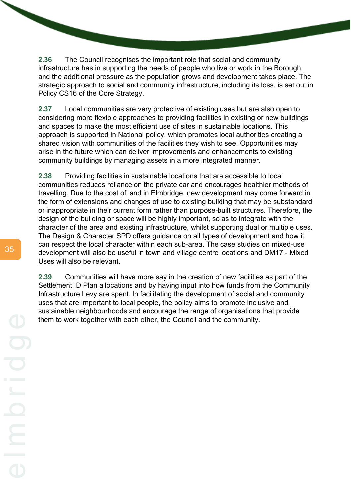**2.36** The Council recognises the important role that social and community infrastructure has in supporting the needs of people who live or work in the Borough and the additional pressure as the population grows and development takes place. The strategic approach to social and community infrastructure, including its loss, is set out in Policy CS16 of the Core Strategy.

**2.37** Local communities are very protective of existing uses but are also open to considering more flexible approaches to providing facilities in existing or new buildings and spaces to make the most efficient use of sites in sustainable locations. This approach is supported in National policy, which promotes local authorities creating a shared vision with communities of the facilities they wish to see. Opportunities may arise in the future which can deliver improvements and enhancements to existing community buildings by managing assets in a more integrated manner.

**2.38** Providing facilities in sustainable locations that are accessible to local communities reduces reliance on the private car and encourages healthier methods of travelling. Due to the cost of land in Elmbridge, new development may come forward in the form of extensions and changes of use to existing building that may be substandard or inappropriate in their current form rather than purpose-built structures. Therefore, the design of the building or space will be highly important, so as to integrate with the character of the area and existing infrastructure, whilst supporting dual or multiple uses. The Design & Character SPD offers guidance on all types of development and how it can respect the local character within each sub-area. The case studies on mixed-use development will also be useful in town and village centre locations and DM17 - Mixed Uses will also be relevant.

**2.39** Communities will have more say in the creation of new facilities as part of the Settlement ID Plan allocations and by having input into how funds from the Community Infrastructure Levy are spent. In facilitating the development of social and community uses that are important to local people, the policy aims to promote inclusive and sustainable neighbourhoods and encourage the range of organisations that provide them to work together with each other, the Council and the community.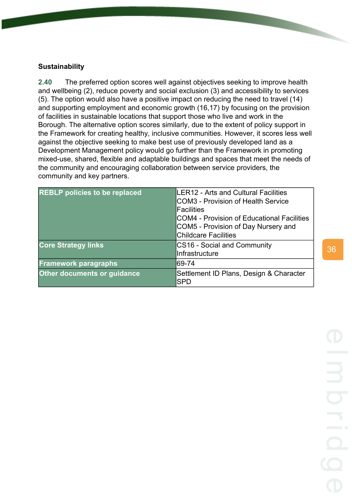# **Sustainability**

**2.40** The preferred option scores well against objectives seeking to improve health and wellbeing (2), reduce poverty and social exclusion (3) and accessibility to services (5). The option would also have a positive impact on reducing the need to travel (14) and supporting employment and economic growth (16,17) by focusing on the provision of facilities in sustainable locations that support those who live and work in the Borough. The alternative option scores similarly, due to the extent of policy support in the Framework for creating healthy, inclusive communities. However, it scores less well against the objective seeking to make best use of previously developed land as a Development Management policy would go further than the Framework in promoting mixed-use, shared, flexible and adaptable buildings and spaces that meet the needs of the community and encouraging collaboration between service providers, the community and key partners.

| <b>REBLP policies to be replaced</b> | <b>ILER12 - Arts and Cultural Facilities</b><br>COM3 - Provision of Health Service<br><b>IFacilities</b><br>ICOM4 - Provision of Educational Facilities<br>COM5 - Provision of Day Nursery and<br><b>Childcare Facilities</b> |
|--------------------------------------|-------------------------------------------------------------------------------------------------------------------------------------------------------------------------------------------------------------------------------|
| <b>Core Strategy links</b>           | CS16 - Social and Community<br>Infrastructure                                                                                                                                                                                 |
| <b>Framework paragraphs</b>          | 69-74                                                                                                                                                                                                                         |
| <b>Other documents or guidance</b>   | Settlement ID Plans, Design & Character<br><b>SPD</b>                                                                                                                                                                         |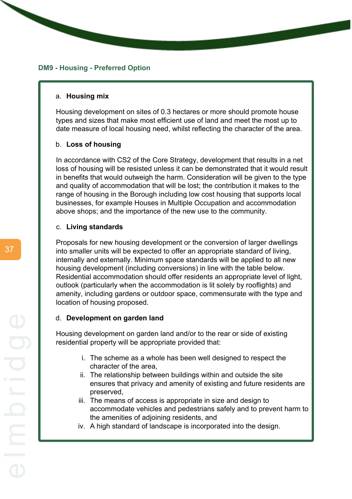#### **DM9 - Housing - Preferred Option**

#### a. **Housing mix**

Housing development on sites of 0.3 hectares or more should promote house types and sizes that make most efficient use of land and meet the most up to date measure of local housing need, whilst reflecting the character of the area.

#### b. **Loss of housing**

In accordance with CS2 of the Core Strategy, development that results in a net loss of housing will be resisted unless it can be demonstrated that it would result in benefits that would outweigh the harm. Consideration will be given to the type and quality of accommodation that will be lost; the contribution it makes to the range of housing in the Borough including low cost housing that supports local businesses, for example Houses in Multiple Occupation and accommodation above shops; and the importance of the new use to the community.

#### c. **Living standards**

Proposals for new housing development or the conversion of larger dwellings into smaller units will be expected to offer an appropriate standard of living, internally and externally. Minimum space standards will be applied to all new housing development (including conversions) in line with the table below. Residential accommodation should offer residents an appropriate level of light, outlook (particularly when the accommodation is lit solely by rooflights) and amenity, including gardens or outdoor space, commensurate with the type and location of housing proposed.

#### d. **Development on garden land**

Housing development on garden land and/or to the rear or side of existing residential property will be appropriate provided that:

- i. The scheme as a whole has been well designed to respect the character of the area,
- ii. The relationship between buildings within and outside the site ensures that privacy and amenity of existing and future residents are preserved,
- iii. The means of access is appropriate in size and design to accommodate vehicles and pedestrians safely and to prevent harm to the amenities of adjoining residents, and
- iv. A high standard of landscape is incorporated into the design.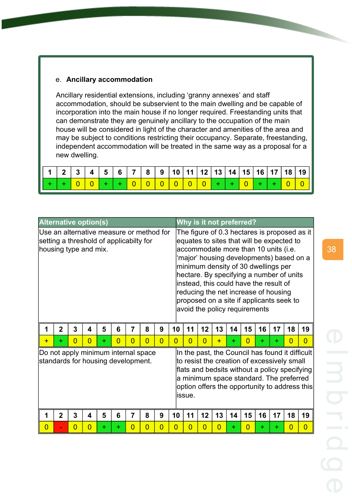#### e. **Ancillary accommodation**

Ancillary residential extensions, including 'granny annexes' and staff accommodation, should be subservient to the main dwelling and be capable of incorporation into the main house if no longer required. Freestanding units that can demonstrate they are genuinely ancillary to the occupation of the main house will be considered in light of the character and amenities of the area and may be subject to conditions restricting their occupancy. Separate, freestanding, independent accommodation will be treated in the same way as a proposal for a new dwelling.

|  |  |  |  |  |  |  |  |  | 1   2   3   4   5   6   7   8   9   10   11   12   13   14   15   16   17   18   19 |
|--|--|--|--|--|--|--|--|--|-------------------------------------------------------------------------------------|
|  |  |  |  |  |  |  |  |  |                                                                                     |

|                                                                                                              | <b>Alternative option(s)</b> |                     |                                     |   |                |                |                |                |                |                |                      | Why is it not preferred?                                                                                                                                                                                                                                                                                                                                                                                                        |    |                      |    |    |                      |                                               |
|--------------------------------------------------------------------------------------------------------------|------------------------------|---------------------|-------------------------------------|---|----------------|----------------|----------------|----------------|----------------|----------------|----------------------|---------------------------------------------------------------------------------------------------------------------------------------------------------------------------------------------------------------------------------------------------------------------------------------------------------------------------------------------------------------------------------------------------------------------------------|----|----------------------|----|----|----------------------|-----------------------------------------------|
| Use an alternative measure or method for<br>setting a threshold of applicabilty for<br>housing type and mix. |                              |                     |                                     |   |                |                |                |                |                |                |                      | The figure of 0.3 hectares is proposed as it<br>equates to sites that will be expected to<br>accommodate more than 10 units (i.e.<br>'major' housing developments) based on a<br>minimum density of 30 dwellings per<br>hectare. By specifying a number of units<br>instead, this could have the result of<br>reducing the net increase of housing<br>proposed on a site if applicants seek to<br>avoid the policy requirements |    |                      |    |    |                      |                                               |
| 1                                                                                                            | $\overline{2}$               | 3                   | 4                                   | 5 | 6              | 7              | 8              | 9              | 10             | 11             | 12                   | 13                                                                                                                                                                                                                                                                                                                                                                                                                              | 14 | 15                   | 16 | 17 | 18                   | 19                                            |
| $+$                                                                                                          | ÷                            | $\overline{0}$      | $\Omega$                            | ÷ | $\overline{0}$ | $\overline{0}$ | $\overline{0}$ | $\overline{0}$ | $\overline{0}$ | $\Omega$       |                      |                                                                                                                                                                                                                                                                                                                                                                                                                                 |    |                      |    |    |                      |                                               |
|                                                                                                              |                              |                     |                                     |   |                |                |                |                |                |                | $\overline{0}$       | $+$                                                                                                                                                                                                                                                                                                                                                                                                                             | ÷  | $\overline{0}$       | ÷  | ÷  | $\Omega$             | $\overline{0}$                                |
| Do not apply minimum internal space<br>standards for housing development.                                    |                              |                     |                                     |   |                |                |                |                |                | lissue.        |                      | In the past, the Council has found it difficult<br>to resist the creation of excessively small<br>flats and bedsits without a policy specifying<br>a minimum space standard. The preferred                                                                                                                                                                                                                                      |    |                      |    |    |                      | option offers the opportunity to address this |
| 1<br>$\overline{0}$                                                                                          | $\overline{2}$               | 3<br>$\overline{0}$ | $\overline{\mathbf{4}}$<br>$\Omega$ | 5 | 6              | 7<br>$\Omega$  | 8<br>0         | 9<br>0         | 10<br>0        | 11<br>$\Omega$ | 12<br>$\overline{0}$ | 13<br>$\overline{0}$                                                                                                                                                                                                                                                                                                                                                                                                            | 14 | 15<br>$\overline{0}$ | 16 | 17 | 18<br>$\overline{0}$ | 19<br>$\overline{0}$                          |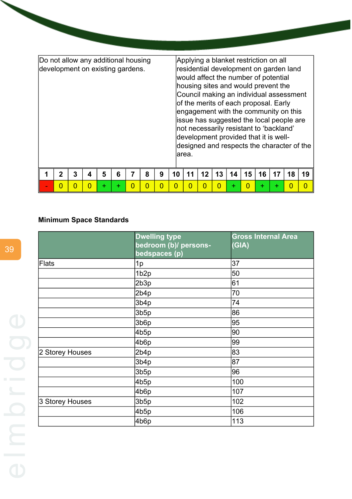| Do not allow any additional housing<br>development on existing gardens. |              |   |   |   |   |   |   |    | larea. | Applying a blanket restriction on all<br>residential development on garden land<br>would affect the number of potential<br>housing sites and would prevent the<br>Council making an individual assessment<br>of the merits of each proposal. Early<br>engagement with the community on this<br>issue has suggested the local people are<br>not necessarily resistant to 'backland'<br>development provided that it is well- |    |    |    |    |    |    | designed and respects the character of the |
|-------------------------------------------------------------------------|--------------|---|---|---|---|---|---|----|--------|-----------------------------------------------------------------------------------------------------------------------------------------------------------------------------------------------------------------------------------------------------------------------------------------------------------------------------------------------------------------------------------------------------------------------------|----|----|----|----|----|----|--------------------------------------------|
|                                                                         | $\mathbf{2}$ | 3 | 4 | 5 | 6 | 8 | 9 | 10 | 11     | 12                                                                                                                                                                                                                                                                                                                                                                                                                          | 13 | 14 | 15 | 16 | 17 | 18 | 19                                         |
|                                                                         | N            | O |   | ÷ |   | O |   |    |        |                                                                                                                                                                                                                                                                                                                                                                                                                             |    |    |    |    | ٠  | O  |                                            |

# **Minimum Space Standards**

|                 | <b>Dwelling type</b><br>bedroom (b)/ persons-<br>bedspaces (p) | <b>Gross Internal Area</b><br>(GIA) |
|-----------------|----------------------------------------------------------------|-------------------------------------|
| <b>Flats</b>    | 1p                                                             | 37                                  |
|                 | 1b <sub>2p</sub>                                               | 50                                  |
|                 | 2b3p                                                           | 61                                  |
|                 | 2b4p                                                           | 70                                  |
|                 | 3b4p                                                           | 74                                  |
|                 | 3b5p                                                           | 86                                  |
|                 | 3b6p                                                           | 95                                  |
|                 | 4b5p                                                           | 90                                  |
|                 | 4b6p                                                           | 99                                  |
| 2 Storey Houses | 2b4p                                                           | 83                                  |
|                 | 3b4p                                                           | 87                                  |
|                 | 3b5p                                                           | 96                                  |
|                 | 4b5p                                                           | 100                                 |
|                 | 4b6p                                                           | 107                                 |
| 3 Storey Houses | 3b5p                                                           | 102                                 |
|                 | 4b5p                                                           | 106                                 |
|                 | 4b6p                                                           | 113                                 |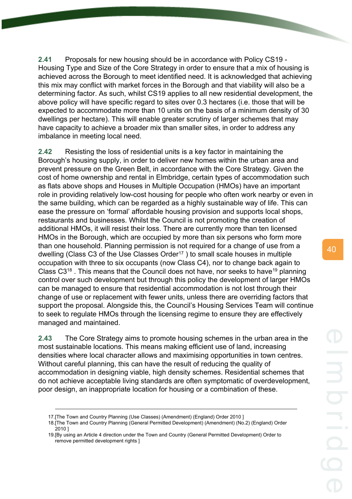**2.41** Proposals for new housing should be in accordance with Policy CS19 - Housing Type and Size of the Core Strategy in order to ensure that a mix of housing is achieved across the Borough to meet identified need. It is acknowledged that achieving this mix may conflict with market forces in the Borough and that viability will also be a determining factor. As such, whilst CS19 applies to all new residential development, the above policy will have specific regard to sites over 0.3 hectares (i.e. those that will be expected to accommodate more than 10 units on the basis of a minimum density of 30 dwellings per hectare). This will enable greater scrutiny of larger schemes that may have capacity to achieve a broader mix than smaller sites, in order to address any imbalance in meeting local need.

**2.42** Resisting the loss of residential units is a key factor in maintaining the Borough's housing supply, in order to deliver new homes within the urban area and prevent pressure on the Green Belt, in accordance with the Core Strategy. Given the cost of home ownership and rental in Elmbridge, certain types of accommodation such as flats above shops and Houses in Multiple Occupation (HMOs) have an important role in providing relatively low-cost housing for people who often work nearby or even in the same building, which can be regarded as a highly sustainable way of life. This can ease the pressure on 'formal' affordable housing provision and supports local shops, restaurants and businesses. Whilst the Council is not promoting the creation of additional HMOs, it will resist their loss. There are currently more than ten licensed HMOs in the Borough, which are occupied by more than six persons who form more than one household. Planning permission is not required for a change of use from a dwelling (Class C3 of the Use Classes Order<sup>17</sup>) to small scale houses in multiple occupation with three to six occupants (now Class C4), nor to change back again to Class  $C3^{18}$ . This means that the Council does not have, nor seeks to have<sup>19</sup> planning control over such development but through this policy the development of larger HMOs can be managed to ensure that residential accommodation is not lost through their change of use or replacement with fewer units, unless there are overriding factors that support the proposal. Alongside this, the Council's Housing Services Team will continue to seek to regulate HMOs through the licensing regime to ensure they are effectively managed and maintained.

**2.43** The Core Strategy aims to promote housing schemes in the urban area in the most sustainable locations. This means making efficient use of land, increasing densities where local character allows and maximising opportunities in town centres. Without careful planning, this can have the result of reducing the quality of accommodation in designing viable, high density schemes. Residential schemes that do not achieve acceptable living standards are often symptomatic of overdevelopment, poor design, an inappropriate location for housing or a combination of these.

<sup>17.[</sup>The Town and Country Planning (Use Classes) (Amendment) (England) Order 2010 ]

<sup>18.[</sup>The Town and Country Planning (General Permitted Development) (Amendment) (No.2) (England) Order 2010 ]

<sup>19.[</sup>By using an Article 4 direction under the Town and Country (General Permitted Development) Order to remove permitted development rights ]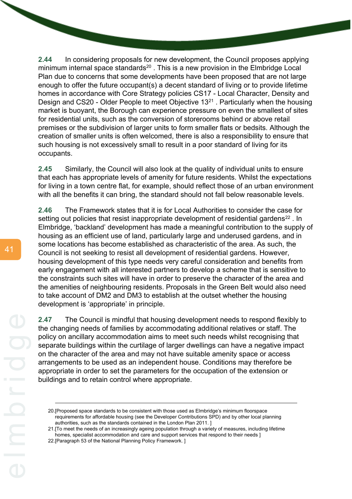**2.44** In considering proposals for new development, the Council proposes applying minimum internal space standards<sup>20</sup>. This is a new provision in the Elmbridge Local Plan due to concerns that some developments have been proposed that are not large enough to offer the future occupant(s) a decent standard of living or to provide lifetime homes in accordance with Core Strategy policies CS17 - Local Character, Density and Design and CS20 - Older People to meet Objective 13<sup>21</sup> . Particularly when the housing market is buoyant, the Borough can experience pressure on even the smallest of sites for residential units, such as the conversion of storerooms behind or above retail premises or the subdivision of larger units to form smaller flats or bedsits. Although the creation of smaller units is often welcomed, there is also a responsibility to ensure that such housing is not excessively small to result in a poor standard of living for its occupants.

**2.45** Similarly, the Council will also look at the quality of individual units to ensure that each has appropriate levels of amenity for future residents. Whilst the expectations for living in a town centre flat, for example, should reflect those of an urban environment with all the benefits it can bring, the standard should not fall below reasonable levels.

**2.46** The Framework states that it is for Local Authorities to consider the case for setting out policies that resist inappropriate development of residential gardens<sup>22</sup>. In Elmbridge, 'backland' development has made a meaningful contribution to the supply of housing as an efficient use of land, particularly large and underused gardens, and in some locations has become established as characteristic of the area. As such, the Council is not seeking to resist all development of residential gardens. However, housing development of this type needs very careful consideration and benefits from early engagement with all interested partners to develop a scheme that is sensitive to the constraints such sites will have in order to preserve the character of the area and the amenities of neighbouring residents. Proposals in the Green Belt would also need to take account of DM2 and DM3 to establish at the outset whether the housing development is 'appropriate' in principle.

**2.47** The Council is mindful that housing development needs to respond flexibly to the changing needs of families by accommodating additional relatives or staff. The policy on ancillary accommodation aims to meet such needs whilst recognising that separate buildings within the curtilage of larger dwellings can have a negative impact on the character of the area and may not have suitable amenity space or access arrangements to be used as an independent house. Conditions may therefore be appropriate in order to set the parameters for the occupation of the extension or buildings and to retain control where appropriate.

<sup>20.[</sup>Proposed space standards to be consistent with those used as Elmbridge's minimum floorspace requirements for affordable housing (see the Developer Contributions SPD) and by other local planning authorities, such as the standards contained in the London Plan 2011. ]

<sup>21.[</sup>To meet the needs of an increasingly ageing population through a variety of measures, including lifetime homes, specialist accommodation and care and support services that respond to their needs ]

<sup>22.[</sup>Paragraph 53 of the National Planning Policy Framework. ]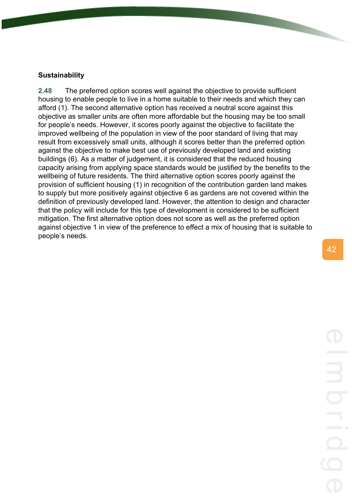#### **Sustainability**

**2.48** The preferred option scores well against the objective to provide sufficient housing to enable people to live in a home suitable to their needs and which they can afford (1). The second alternative option has received a neutral score against this objective as smaller units are often more affordable but the housing may be too small for people's needs. However, it scores poorly against the objective to facilitate the improved wellbeing of the population in view of the poor standard of living that may result from excessively small units, although it scores better than the preferred option against the objective to make best use of previously developed land and existing buildings (6). As a matter of judgement, it is considered that the reduced housing capacity arising from applying space standards would be justified by the benefits to the wellbeing of future residents. The third alternative option scores poorly against the provision of sufficient housing (1) in recognition of the contribution garden land makes to supply but more positively against objective 6 as gardens are not covered within the definition of previously developed land. However, the attention to design and character that the policy will include for this type of development is considered to be sufficient mitigation. The first alternative option does not score as well as the preferred option against objective 1 in view of the preference to effect a mix of housing that is suitable to people's needs.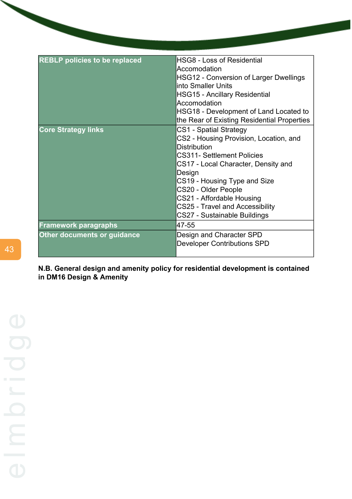| <b>REBLP policies to be replaced</b> | <b>HSG8 - Loss of Residential</b><br>Accomodation<br><b>HSG12 - Conversion of Larger Dwellings</b><br>linto Smaller Units<br><b>HSG15 - Ancillary Residential</b><br>Accomodation<br>HSG18 - Development of Land Located to<br>the Rear of Existing Residential Properties                                                                  |
|--------------------------------------|---------------------------------------------------------------------------------------------------------------------------------------------------------------------------------------------------------------------------------------------------------------------------------------------------------------------------------------------|
| <b>Core Strategy links</b>           | CS1 - Spatial Strategy<br>CS2 - Housing Provision, Location, and<br><b>Distribution</b><br><b>CS311- Settlement Policies</b><br>CS17 - Local Character, Density and<br>Design<br>CS19 - Housing Type and Size<br>CS20 - Older People<br>CS21 - Affordable Housing<br><b>CS25 - Travel and Accessibility</b><br>CS27 - Sustainable Buildings |
| <b>Framework paragraphs</b>          | 47-55                                                                                                                                                                                                                                                                                                                                       |
| <b>Other documents or guidance</b>   | Design and Character SPD<br><b>Developer Contributions SPD</b>                                                                                                                                                                                                                                                                              |

**N.B. General design and amenity policy for residential development is contained in DM16 Design & Amenity**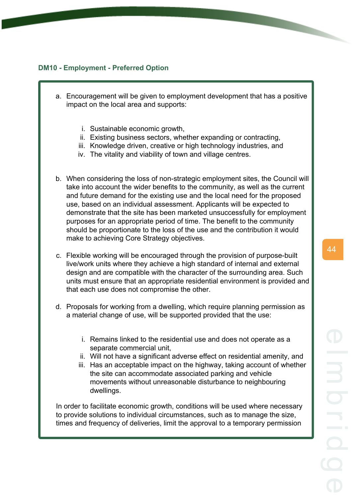# **DM10 - Employment - Preferred Option**

- a. Encouragement will be given to employment development that has a positive impact on the local area and supports:
	- i. Sustainable economic growth,
	- ii. Existing business sectors, whether expanding or contracting,
	- iii. Knowledge driven, creative or high technology industries, and
	- iv. The vitality and viability of town and village centres.
- b. When considering the loss of non-strategic employment sites, the Council will take into account the wider benefits to the community, as well as the current and future demand for the existing use and the local need for the proposed use, based on an individual assessment. Applicants will be expected to demonstrate that the site has been marketed unsuccessfully for employment purposes for an appropriate period of time. The benefit to the community should be proportionate to the loss of the use and the contribution it would make to achieving Core Strategy objectives.
- c. Flexible working will be encouraged through the provision of purpose-built live/work units where they achieve a high standard of internal and external design and are compatible with the character of the surrounding area. Such units must ensure that an appropriate residential environment is provided and that each use does not compromise the other.
- d. Proposals for working from a dwelling, which require planning permission as a material change of use, will be supported provided that the use:
	- i. Remains linked to the residential use and does not operate as a separate commercial unit,
	- ii. Will not have a significant adverse effect on residential amenity, and
	- iii. Has an acceptable impact on the highway, taking account of whether the site can accommodate associated parking and vehicle movements without unreasonable disturbance to neighbouring dwellings.

In order to facilitate economic growth, conditions will be used where necessary to provide solutions to individual circumstances, such as to manage the size, times and frequency of deliveries, limit the approval to a temporary permission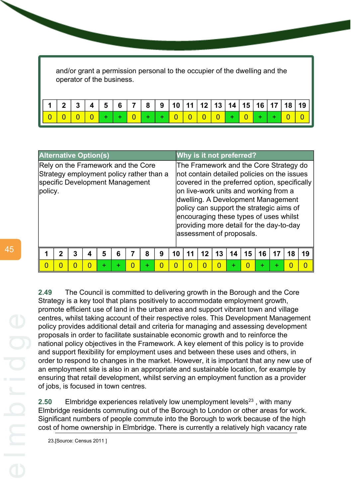and/or grant a permission personal to the occupier of the dwelling and the operator of the business.

| <b>Alternative Option(s)</b>                                                                                                 | Why is it not preferred?                                                                                                                                                                                                                                                                                                                                                            |  |  |  |  |  |  |  |  |  |
|------------------------------------------------------------------------------------------------------------------------------|-------------------------------------------------------------------------------------------------------------------------------------------------------------------------------------------------------------------------------------------------------------------------------------------------------------------------------------------------------------------------------------|--|--|--|--|--|--|--|--|--|
| Rely on the Framework and the Core<br>Strategy employment policy rather than a<br>specific Development Management<br>policy. | The Framework and the Core Strategy do<br>not contain detailed policies on the issues<br>covered in the preferred option, specifically<br>on live-work units and working from a<br>dwelling. A Development Management<br>policy can support the strategic aims of<br>encouraging these types of uses whilst<br>providing more detail for the day-to-day<br>assessment of proposals. |  |  |  |  |  |  |  |  |  |
| 5<br>$\mathbf{2}$<br>3<br>6<br>8<br>4<br>9                                                                                   | 16<br>19<br>10<br>12<br>15<br>13<br>18<br>11<br>14<br>17                                                                                                                                                                                                                                                                                                                            |  |  |  |  |  |  |  |  |  |
| $\overline{0}$<br>$\overline{0}$<br>0<br>0<br>0<br>$\Omega$<br>÷<br>÷<br>÷                                                   | O<br>∩<br>0<br>0                                                                                                                                                                                                                                                                                                                                                                    |  |  |  |  |  |  |  |  |  |

**2.49** The Council is committed to delivering growth in the Borough and the Core Strategy is a key tool that plans positively to accommodate employment growth, promote efficient use of land in the urban area and support vibrant town and village centres, whilst taking account of their respective roles. This Development Management policy provides additional detail and criteria for managing and assessing development proposals in order to facilitate sustainable economic growth and to reinforce the national policy objectives in the Framework. A key element of this policy is to provide and support flexibility for employment uses and between these uses and others, in order to respond to changes in the market. However, it is important that any new use of an employment site is also in an appropriate and sustainable location, for example by ensuring that retail development, whilst serving an employment function as a provider of jobs, is focused in town centres.

**2.50** Elmbridge experiences relatively low unemployment levels<sup>23</sup>, with many Elmbridge residents commuting out of the Borough to London or other areas for work. Significant numbers of people commute into the Borough to work because of the high cost of home ownership in Elmbridge. There is currently a relatively high vacancy rate

23.[Source: Census 2011 ]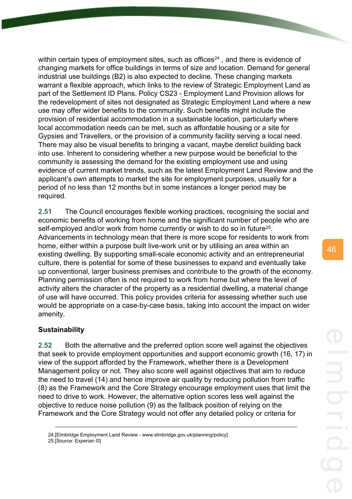within certain types of employment sites, such as offices<sup>24</sup>, and there is evidence of changing markets for office buildings in terms of size and location. Demand for general industrial use buildings (B2) is also expected to decline. These changing markets warrant a flexible approach, which links to the review of Strategic Employment Land as part of the Settlement ID Plans. Policy CS23 - Employment Land Provision allows for the redevelopment of sites not designated as Strategic Employment Land where a new use may offer wider benefits to the community. Such benefits might include the provision of residential accommodation in a sustainable location, particularly where local accommodation needs can be met, such as affordable housing or a site for Gypsies and Travellers, or the provision of a community facility serving a local need. There may also be visual benefits to bringing a vacant, maybe derelict building back into use. Inherent to considering whether a new purpose would be beneficial to the community is assessing the demand for the existing employment use and using evidence of current market trends, such as the latest Employment Land Review and the applicant's own attempts to market the site for employment purposes, usually for a period of no less than 12 months but in some instances a longer period may be required.

**2.51** The Council encourages flexible working practices, recognising the social and economic benefits of working from home and the significant number of people who are self-employed and/or work from home currently or wish to do so in future<sup>25</sup>. Advancements in technology mean that there is more scope for residents to work from home, either within a purpose built live-work unit or by utilising an area within an existing dwelling. By supporting small-scale economic activity and an entrepreneurial culture, there is potential for some of these businesses to expand and eventually take up conventional, larger business premises and contribute to the growth of the economy. Planning permission often is not required to work from home but where the level of activity alters the character of the property as a residential dwelling, a material change of use will have occurred. This policy provides criteria for assessing whether such use would be appropriate on a case-by-case basis, taking into account the impact on wider amenity.

# **Sustainability**

**2.52** Both the alternative and the preferred option score well against the objectives that seek to provide employment opportunities and support economic growth (16, 17) in view of the support afforded by the Framework, whether there is a Development Management policy or not. They also score well against objectives that aim to reduce the need to travel (14) and hence improve air quality by reducing pollution from traffic (8) as the Framework and the Core Strategy encourage employment uses that limit the need to drive to work. However, the alternative option scores less well against the objective to reduce noise pollution (9) as the fallback position of relying on the Framework and the Core Strategy would not offer any detailed policy or criteria for

<sup>24.[</sup>Elmbridge Employment Land Review - www.elmbridge.gov.uk/planning/policy]

<sup>25.[</sup>Source: Experian ©]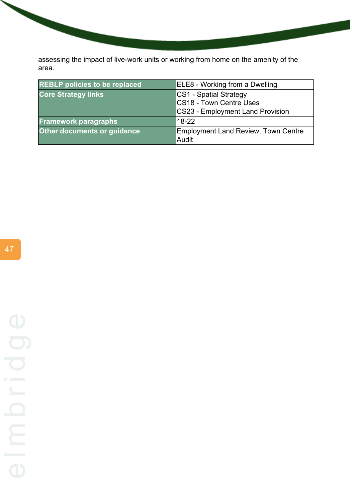assessing the impact of live-work units or working from home on the amenity of the area.

| <b>REBLP</b> policies to be replaced | ELE8 - Working from a Dwelling      |
|--------------------------------------|-------------------------------------|
| <b>Core Strategy links</b>           | CS1 - Spatial Strategy              |
|                                      | CS18 - Town Centre Uses             |
|                                      | CS23 - Employment Land Provision    |
| <b>Framework paragraphs</b>          | 18-22                               |
| <b>Other documents or guidance</b>   | Employment Land Review, Town Centre |
|                                      | Audit                               |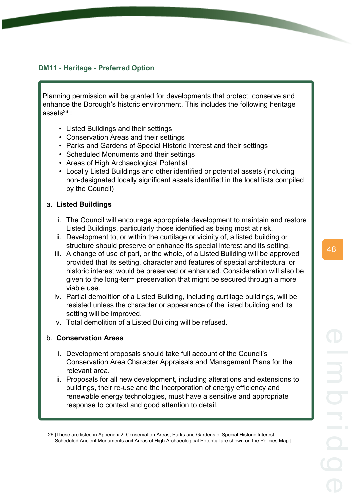# **DM11 - Heritage - Preferred Option**

Planning permission will be granted for developments that protect, conserve and enhance the Borough's historic environment. This includes the following heritage assets $26$ :

- Listed Buildings and their settings
- Conservation Areas and their settings
- Parks and Gardens of Special Historic Interest and their settings
- Scheduled Monuments and their settings
- Areas of High Archaeological Potential
- Locally Listed Buildings and other identified or potential assets (including non-designated locally significant assets identified in the local lists compiled by the Council)

# a. **Listed Buildings**

- i. The Council will encourage appropriate development to maintain and restore Listed Buildings, particularly those identified as being most at risk.
- ii. Development to, or within the curtilage or vicinity of, a listed building or structure should preserve or enhance its special interest and its setting.
- iii. A change of use of part, or the whole, of a Listed Building will be approved provided that its setting, character and features of special architectural or historic interest would be preserved or enhanced. Consideration will also be given to the long-term preservation that might be secured through a more viable use.
- iv. Partial demolition of a Listed Building, including curtilage buildings, will be resisted unless the character or appearance of the listed building and its setting will be improved.
- v. Total demolition of a Listed Building will be refused.

#### b. **Conservation Areas**

- i. Development proposals should take full account of the Council's Conservation Area Character Appraisals and Management Plans for the relevant area.
- ii. Proposals for all new development, including alterations and extensions to buildings, their re-use and the incorporation of energy efficiency and renewable energy technologies, must have a sensitive and appropriate response to context and good attention to detail.

<sup>26.[</sup>These are listed in Appendix 2. Conservation Areas, Parks and Gardens of Special Historic Interest, Scheduled Ancient Monuments and Areas of High Archaeological Potential are shown on the Policies Map ]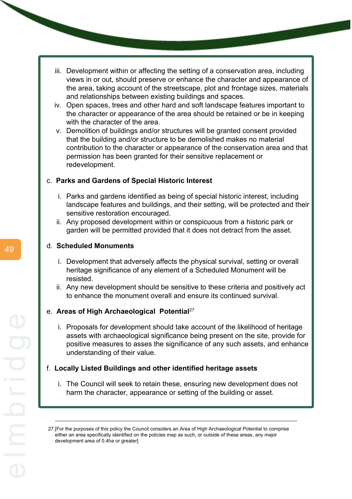- iii. Development within or affecting the setting of a conservation area, including views in or out, should preserve or enhance the character and appearance of the area, taking account of the streetscape, plot and frontage sizes, materials and relationships between existing buildings and spaces.
- iv. Open spaces, trees and other hard and soft landscape features important to the character or appearance of the area should be retained or be in keeping with the character of the area.
- v. Demolition of buildings and/or structures will be granted consent provided that the building and/or structure to be demolished makes no material contribution to the character or appearance of the conservation area and that permission has been granted for their sensitive replacement or redevelopment.

# c. **Parks and Gardens of Special Historic Interest**

- i. Parks and gardens identified as being of special historic interest, including landscape features and buildings, and their setting, will be protected and their sensitive restoration encouraged.
- ii. Any proposed development within or conspicuous from a historic park or garden will be permitted provided that it does not detract from the asset.

#### d. **Scheduled Monuments**

- i. Development that adversely affects the physical survival, setting or overall heritage significance of any element of a Scheduled Monument will be resisted.
- ii. Any new development should be sensitive to these criteria and positively act to enhance the monument overall and ensure its continued survival.

#### e. **Areas of High Archaeological Potential**<sup>27</sup>

i. Proposals for development should take account of the likelihood of heritage assets with archaeological significance being present on the site, provide for positive measures to asses the significance of any such assets, and enhance understanding of their value.

#### f. **Locally Listed Buildings and other identified heritage assets**

i. The Council will seek to retain these, ensuring new development does not harm the character, appearance or setting of the building or asset.

<sup>27.[</sup>For the purposes of this policy the Council considers an Area of High Archaeological Potential to comprise either an area specifically identified on the policies map as such, or outside of these areas, any major development area of 0.4ha or greater]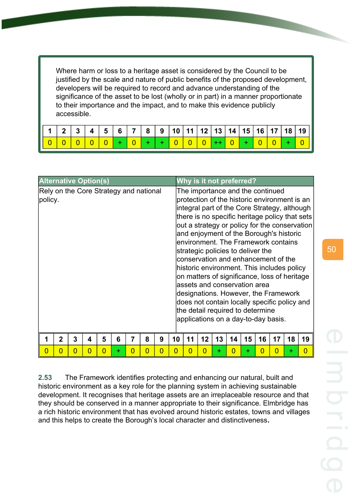Where harm or loss to a heritage asset is considered by the Council to be justified by the scale and nature of public benefits of the proposed development, developers will be required to record and advance understanding of the significance of the asset to be lost (wholly or in part) in a manner proportionate to their importance and the impact, and to make this evidence publicly accessible.

| 1123 |  |  |  |  |  |  |  |  | │ 4 │ 5 │ 6 │ 7 │ 8 │ 9 │10 │11 │12 │13 │14 │15 │16 │17 │18 │19 │ |
|------|--|--|--|--|--|--|--|--|-------------------------------------------------------------------|
|      |  |  |  |  |  |  |  |  |                                                                   |

| <b>Alternative Option(s)</b>                      |                |   |   |   |   |          |   |          |    |    | Why is it not preferred?                                                                                                                                                                                                                                                                                                                                                                                                                                                                                                                                                                        |    |    |    |    |                |    |                                                                                                 |
|---------------------------------------------------|----------------|---|---|---|---|----------|---|----------|----|----|-------------------------------------------------------------------------------------------------------------------------------------------------------------------------------------------------------------------------------------------------------------------------------------------------------------------------------------------------------------------------------------------------------------------------------------------------------------------------------------------------------------------------------------------------------------------------------------------------|----|----|----|----|----------------|----|-------------------------------------------------------------------------------------------------|
| Rely on the Core Strategy and national<br>policy. |                |   |   |   |   |          |   |          |    |    | The importance and the continued<br>protection of the historic environment is an<br>integral part of the Core Strategy, although<br>and enjoyment of the Borough's historic<br>environment. The Framework contains<br>strategic policies to deliver the<br>conservation and enhancement of the<br>historic environment. This includes policy<br>on matters of significance, loss of heritage<br>assets and conservation area<br>designations. However, the Framework<br>does not contain locally specific policy and<br>the detail required to determine<br>applications on a day-to-day basis. |    |    |    |    |                |    | there is no specific heritage policy that sets<br>out a strategy or policy for the conservation |
|                                                   | $\overline{2}$ | 3 | 4 | 5 | 6 | 7        | 8 | 9        | 10 | 11 | 12                                                                                                                                                                                                                                                                                                                                                                                                                                                                                                                                                                                              | 13 | 14 | 15 | 16 | 17             | 18 | 19                                                                                              |
| $\overline{0}$                                    | 0              | 0 | 0 | 0 | ÷ | $\Omega$ | 0 | $\Omega$ | 0  | 0  | O                                                                                                                                                                                                                                                                                                                                                                                                                                                                                                                                                                                               | ÷  | 0  | ÷  | 0  | $\overline{0}$ | ÷  | $\overline{0}$                                                                                  |

**2.53** The Framework identifies protecting and enhancing our natural, built and historic environment as a key role for the planning system in achieving sustainable development. It recognises that heritage assets are an irreplaceable resource and that they should be conserved in a manner appropriate to their significance. Elmbridge has a rich historic environment that has evolved around historic estates, towns and villages and this helps to create the Borough's local character and distinctiveness**.**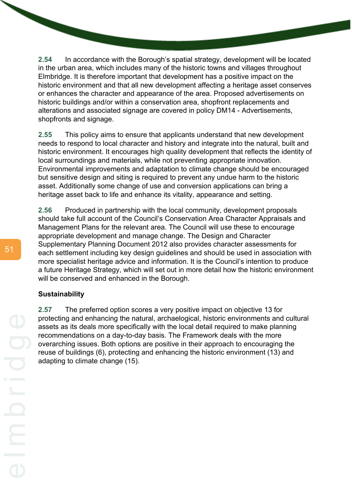**2.54** In accordance with the Borough's spatial strategy, development will be located in the urban area, which includes many of the historic towns and villages throughout Elmbridge. It is therefore important that development has a positive impact on the historic environment and that all new development affecting a heritage asset conserves or enhances the character and appearance of the area. Proposed advertisements on historic buildings and/or within a conservation area, shopfront replacements and alterations and associated signage are covered in policy DM14 - Advertisements, shopfronts and signage.

**2.55** This policy aims to ensure that applicants understand that new development needs to respond to local character and history and integrate into the natural, built and historic environment. It encourages high quality development that reflects the identity of local surroundings and materials, while not preventing appropriate innovation. Environmental improvements and adaptation to climate change should be encouraged but sensitive design and siting is required to prevent any undue harm to the historic asset. Additionally some change of use and conversion applications can bring a heritage asset back to life and enhance its vitality, appearance and setting.

**2.56** Produced in partnership with the local community, development proposals should take full account of the Council's Conservation Area Character Appraisals and Management Plans for the relevant area. The Council will use these to encourage appropriate development and manage change. The Design and Character Supplementary Planning Document 2012 also provides character assessments for each settlement including key design guidelines and should be used in association with more specialist heritage advice and information. It is the Council's intention to produce a future Heritage Strategy, which will set out in more detail how the historic environment will be conserved and enhanced in the Borough.

#### **Sustainability**

**2.57** The preferred option scores a very positive impact on objective 13 for protecting and enhancing the natural, archaelogical, historic environments and cultural assets as its deals more specifically with the local detail required to make planning recommendations on a day-to-day basis. The Framework deals with the more overarching issues. Both options are positive in their approach to encouraging the reuse of buildings (6), protecting and enhancing the historic environment (13) and adapting to climate change (15).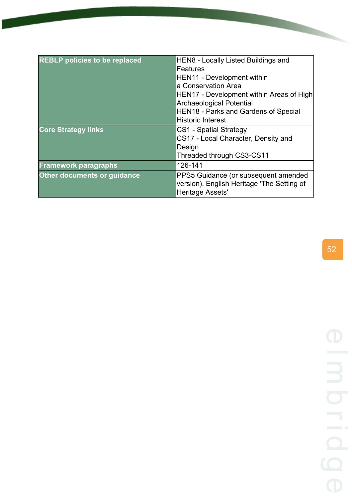| <b>REBLP policies to be replaced</b> | HEN8 - Locally Listed Buildings and<br>Features                                                               |
|--------------------------------------|---------------------------------------------------------------------------------------------------------------|
|                                      | HEN11 - Development within                                                                                    |
|                                      | a Conservation Area                                                                                           |
|                                      | HEN17 - Development within Areas of High                                                                      |
|                                      | <b>Archaeological Potential</b>                                                                               |
|                                      | HEN18 - Parks and Gardens of Special                                                                          |
|                                      | <b>Historic Interest</b>                                                                                      |
| <b>Core Strategy links</b>           | <b>CS1 - Spatial Strategy</b>                                                                                 |
|                                      | CS17 - Local Character, Density and                                                                           |
|                                      | Design                                                                                                        |
|                                      | Threaded through CS3-CS11                                                                                     |
| <b>Framework paragraphs</b>          | 126-141                                                                                                       |
| Other documents or guidance          | PPS5 Guidance (or subsequent amended<br>version), English Heritage 'The Setting of<br><b>Heritage Assets'</b> |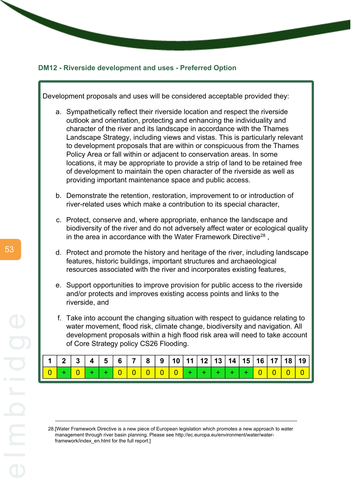#### **DM12 - Riverside development and uses - Preferred Option**



28.[Water Framework Directive is a new piece of European legislation which promotes a new approach to water management through river basin planning. Please see http://ec.europa.eu/environment/water/waterframework/index\_en.html for the full report.]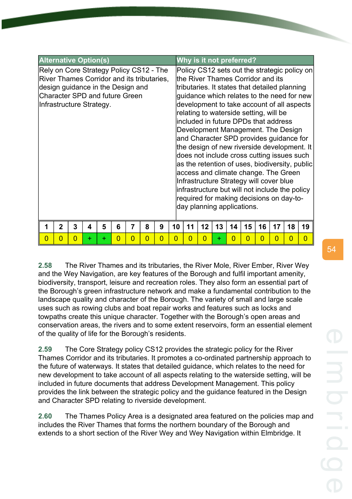| <b>Alternative Option(s)</b>                                                                                                                                                             |    |    |    |    | Why is it not preferred?   |    |                                                                                                                                                                  |    |                                                                                                                                                                                                                                                                                                                                                                                                                                                               |                                                                                                |
|------------------------------------------------------------------------------------------------------------------------------------------------------------------------------------------|----|----|----|----|----------------------------|----|------------------------------------------------------------------------------------------------------------------------------------------------------------------|----|---------------------------------------------------------------------------------------------------------------------------------------------------------------------------------------------------------------------------------------------------------------------------------------------------------------------------------------------------------------------------------------------------------------------------------------------------------------|------------------------------------------------------------------------------------------------|
| Rely on Core Strategy Policy CS12 - The<br>River Thames Corridor and its tributaries,<br>design guidance in the Design and<br>Character SPD and future Green<br>Infrastructure Strategy. |    |    |    |    | day planning applications. |    | lthe River Thames Corridor and its<br>relating to waterside setting, will be<br>lincluded in future DPDs that address<br>Infrastructure Strategy will cover blue |    | tributaries. It states that detailed planning<br>quidance which relates to the need for new<br>development to take account of all aspects<br>Development Management. The Design<br>and Character SPD provides guidance for<br>the design of new riverside development. It<br>does not include cross cutting issues such<br>access and climate change. The Green<br>infrastructure but will not include the policy<br>required for making decisions on day-to- | Policy CS12 sets out the strategic policy on<br>as the retention of uses, biodiversity, public |
| 2<br>8<br>9<br>3<br>5<br>6                                                                                                                                                               | 10 | 11 | 12 | 13 | 14                         | 15 | 16                                                                                                                                                               | 17 | 18                                                                                                                                                                                                                                                                                                                                                                                                                                                            | 19                                                                                             |

**2.58** The River Thames and its tributaries, the River Mole, River Ember, River Wey and the Wey Navigation, are key features of the Borough and fulfil important amenity, biodiversity, transport, leisure and recreation roles. They also form an essential part of the Borough's green infrastructure network and make a fundamental contribution to the landscape quality and character of the Borough. The variety of small and large scale uses such as rowing clubs and boat repair works and features such as locks and towpaths create this unique character. Together with the Borough's open areas and conservation areas, the rivers and to some extent reservoirs, form an essential element of the quality of life for the Borough's residents.

0 0 0 + + 0 0 0 0 0 0 0 + 0 0 0 0 0 0

**2.59** The Core Strategy policy CS12 provides the strategic policy for the River Thames Corridor and its tributaries. It promotes a co-ordinated partnership approach to the future of waterways. It states that detailed guidance, which relates to the need for new development to take account of all aspects relating to the waterside setting, will be included in future documents that address Development Management. This policy provides the link between the strategic policy and the guidance featured in the Design and Character SPD relating to riverside development.

**2.60** The Thames Policy Area is a designated area featured on the policies map and includes the River Thames that forms the northern boundary of the Borough and extends to a short section of the River Wey and Wey Navigation within Elmbridge. It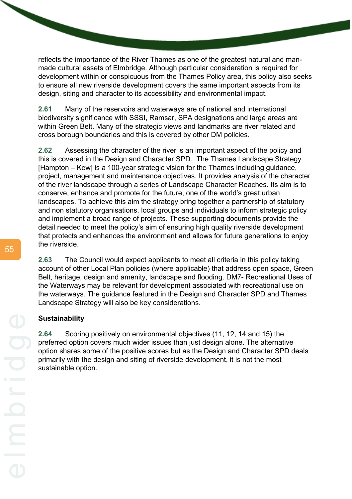reflects the importance of the River Thames as one of the greatest natural and manmade cultural assets of Elmbridge. Although particular consideration is required for development within or conspicuous from the Thames Policy area, this policy also seeks to ensure all new riverside development covers the same important aspects from its design, siting and character to its accessibility and environmental impact.

**2.61** Many of the reservoirs and waterways are of national and international biodiversity significance with SSSI, Ramsar, SPA designations and large areas are within Green Belt. Many of the strategic views and landmarks are river related and cross borough boundaries and this is covered by other DM policies.

**2.62** Assessing the character of the river is an important aspect of the policy and this is covered in the Design and Character SPD. The Thames Landscape Strategy [Hampton – Kew] is a 100-year strategic vision for the Thames including guidance, project, management and maintenance objectives. It provides analysis of the character of the river landscape through a series of Landscape Character Reaches. Its aim is to conserve, enhance and promote for the future, one of the world's great urban landscapes. To achieve this aim the strategy bring together a partnership of statutory and non statutory organisations, local groups and individuals to inform strategic policy and implement a broad range of projects. These supporting documents provide the detail needed to meet the policy's aim of ensuring high quality riverside development that protects and enhances the environment and allows for future generations to enjoy the riverside.

**2.63** The Council would expect applicants to meet all criteria in this policy taking account of other Local Plan policies (where applicable) that address open space, Green Belt, heritage, design and amenity, landscape and flooding. DM7- Recreational Uses of the Waterways may be relevant for development associated with recreational use on the waterways. The guidance featured in the Design and Character SPD and Thames Landscape Strategy will also be key considerations.

#### **Sustainability**

**2.64** Scoring positively on environmental objectives (11, 12, 14 and 15) the preferred option covers much wider issues than just design alone. The alternative option shares some of the positive scores but as the Design and Character SPD deals primarily with the design and siting of riverside development, it is not the most sustainable option.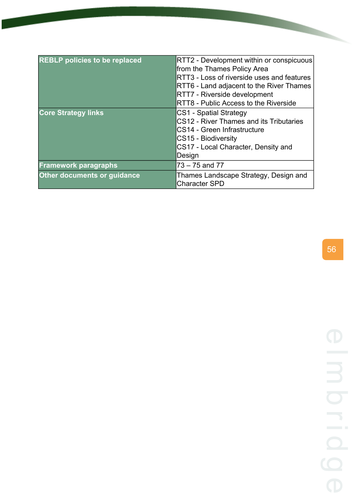| <b>REBLP</b> policies to be replaced | RTT2 - Development within or conspicuous<br>from the Thames Policy Area<br>RTT3 - Loss of riverside uses and features<br>RTT6 - Land adjacent to the River Thames<br>RTT7 - Riverside development<br>RTT8 - Public Access to the Riverside |
|--------------------------------------|--------------------------------------------------------------------------------------------------------------------------------------------------------------------------------------------------------------------------------------------|
| <b>Core Strategy links</b>           | CS1 - Spatial Strategy<br>CS12 - River Thames and its Tributaries<br>CS14 - Green Infrastructure<br>CS15 - Biodiversity<br>CS17 - Local Character, Density and<br>Design                                                                   |
| <b>Framework paragraphs</b>          | 73 – 75 and 77                                                                                                                                                                                                                             |
| <b>Other documents or guidance</b>   | Thames Landscape Strategy, Design and<br><b>Character SPD</b>                                                                                                                                                                              |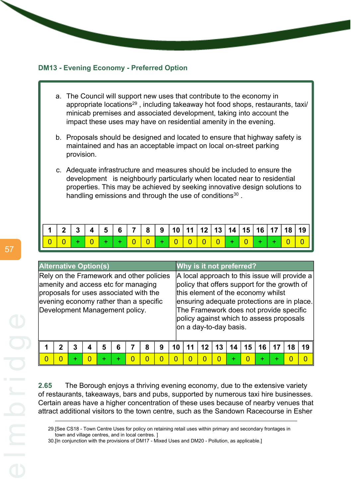# **DM13 - Evening Economy - Preferred Option**

- a. The Council will support new uses that contribute to the economy in appropriate locations<sup>29</sup>, including takeaway hot food shops, restaurants, taxi/ minicab premises and associated development, taking into account the impact these uses may have on residential amenity in the evening.
- b. Proposals should be designed and located to ensure that highway safety is maintained and has an acceptable impact on local on-street parking provision.
- c. Adequate infrastructure and measures should be included to ensure the development is neighbourly particularly when located near to residential properties. This may be achieved by seeking innovative design solutions to handling emissions and through the use of conditions<sup>30</sup>.

|  |  |  |  |  |  |  |  |  | 1   2   3   4   5   6   7   8   9   10   11   12   13   14   15   16   17   18   19 |
|--|--|--|--|--|--|--|--|--|-------------------------------------------------------------------------------------|
|  |  |  |  |  |  |  |  |  |                                                                                     |

| <b>Alternative Option(s)</b>                                                                                                                                                                          |  |   |   |   |   |  |   |   | Why is it not preferred? |                                                                                                                                                                                                                                                                                                     |    |    |  |    |    |    |    |    |
|-------------------------------------------------------------------------------------------------------------------------------------------------------------------------------------------------------|--|---|---|---|---|--|---|---|--------------------------|-----------------------------------------------------------------------------------------------------------------------------------------------------------------------------------------------------------------------------------------------------------------------------------------------------|----|----|--|----|----|----|----|----|
| Rely on the Framework and other policies<br>amenity and access etc for managing<br>proposals for uses associated with the<br>evening economy rather than a specific<br>Development Management policy. |  |   |   |   |   |  |   |   |                          | A local approach to this issue will provide a<br>policy that offers support for the growth of<br>this element of the economy whilst<br>ensuring adequate protections are in place.<br>The Framework does not provide specific<br>policy against which to assess proposals<br>on a day-to-day basis. |    |    |  |    |    |    |    |    |
|                                                                                                                                                                                                       |  | 3 | 4 | 5 | 6 |  | 8 | 9 | 10                       |                                                                                                                                                                                                                                                                                                     | 12 | 13 |  | 15 | 16 | 17 | 18 | 19 |
| $\Omega$<br>$\Omega$<br>O<br>÷<br>÷<br>O<br>÷                                                                                                                                                         |  |   |   |   |   |  |   |   |                          |                                                                                                                                                                                                                                                                                                     |    |    |  |    | ÷  | ٠  | 0  | O  |

**2.65** The Borough enjoys a thriving evening economy, due to the extensive variety of restaurants, takeaways, bars and pubs, supported by numerous taxi hire businesses. Certain areas have a higher concentration of these uses because of nearby venues that attract additional visitors to the town centre, such as the Sandown Racecourse in Esher

<sup>29.[</sup>See CS18 - Town Centre Uses for policy on retaining retail uses within primary and secondary frontages in town and village centres, and in local centres. ]

<sup>30.[</sup>In conjunction with the provisions of DM17 - Mixed Uses and DM20 - Pollution, as applicable.]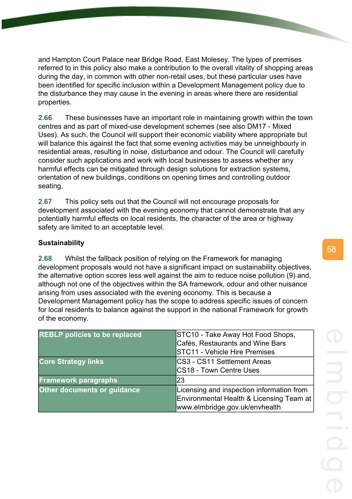and Hampton Court Palace near Bridge Road, East Molesey. The types of premises referred to in this policy also make a contribution to the overall vitality of shopping areas during the day, in common with other non-retail uses, but these particular uses have been identified for specific inclusion within a Development Management policy due to the disturbance they may cause in the evening in areas where there are residential properties.

**2.66** These businesses have an important role in maintaining growth within the town centres and as part of mixed-use development schemes (see also DM17 - Mixed Uses). As such, the Council will support their economic viability where appropriate but will balance this against the fact that some evening activities may be unneighbourly in residential areas, resulting in noise, disturbance and odour. The Council will carefully consider such applications and work with local businesses to assess whether any harmful effects can be mitigated through design solutions for extraction systems, orientation of new buildings, conditions on opening times and controlling outdoor seating.

**2.67** This policy sets out that the Council will not encourage proposals for development associated with the evening economy that cannot demonstrate that any potentially harmful effects on local residents, the character of the area or highway safety are limited to an acceptable level.

# **Sustainability**

**2.68** Whilst the fallback position of relying on the Framework for managing development proposals would not have a significant impact on sustainability objectives, the alternative option scores less well against the aim to reduce noise pollution (9) and, although not one of the objectives within the SA framework, odour and other nuisance arising from uses associated with the evening economy. This is because a Development Management policy has the scope to address specific issues of concern for local residents to balance against the support in the national Framework for growth of the economy.

| <b>REBLP policies to be replaced</b> | STC10 - Take Away Hot Food Shops,<br>Cafés, Restaurants and Wine Bars<br><b>STC11 - Vehicle Hire Premises</b>           |
|--------------------------------------|-------------------------------------------------------------------------------------------------------------------------|
| <b>Core Strategy links</b>           | CS3 - CS11 Settlement Areas<br><b>CS18 - Town Centre Uses</b>                                                           |
| <b>Framework paragraphs</b>          | 23                                                                                                                      |
| <b>Other documents or guidance</b>   | Licensing and inspection information from<br>Environmental Health & Licensing Team at<br>www.elmbridge.gov.uk/envhealth |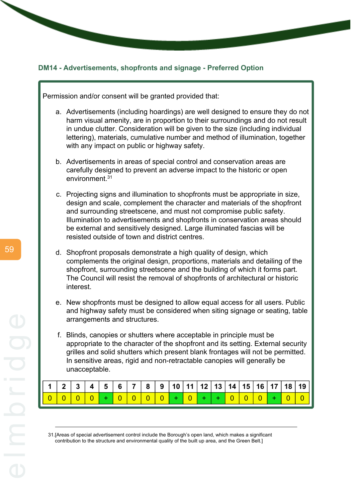# **DM14 - Advertisements, shopfronts and signage - Preferred Option**

Permission and/or consent will be granted provided that:

- a. Advertisements (including hoardings) are well designed to ensure they do not harm visual amenity, are in proportion to their surroundings and do not result in undue clutter. Consideration will be given to the size (including individual lettering), materials, cumulative number and method of illumination, together with any impact on public or highway safety.
- b. Advertisements in areas of special control and conservation areas are carefully designed to prevent an adverse impact to the historic or open environment.<sup>31</sup>
- c. Projecting signs and illumination to shopfronts must be appropriate in size, design and scale, complement the character and materials of the shopfront and surrounding streetscene, and must not compromise public safety. Illumination to advertisements and shopfronts in conservation areas should be external and sensitively designed. Large illuminated fascias will be resisted outside of town and district centres.
- d. Shopfront proposals demonstrate a high quality of design, which complements the original design, proportions, materials and detailing of the shopfront, surrounding streetscene and the building of which it forms part. The Council will resist the removal of shopfronts of architectural or historic interest.
- e. New shopfronts must be designed to allow equal access for all users. Public and highway safety must be considered when siting signage or seating, table arrangements and structures.
- f. Blinds, canopies or shutters where acceptable in principle must be appropriate to the character of the shopfront and its setting. External security grilles and solid shutters which present blank frontages will not be permitted. In sensitive areas, rigid and non-retractable canopies will generally be unacceptable.

|  |  |  |  |  |  |  |  |  | 0 0 0 0 0 + 0 0 0 0 0 0 + 0 + 0 + 0 0 0 0 + 0 0 0 |
|--|--|--|--|--|--|--|--|--|---------------------------------------------------|

31.[Areas of special advertisement control include the Borough's open land, which makes a significant contribution to the structure and environmental quality of the built up area, and the Green Belt.]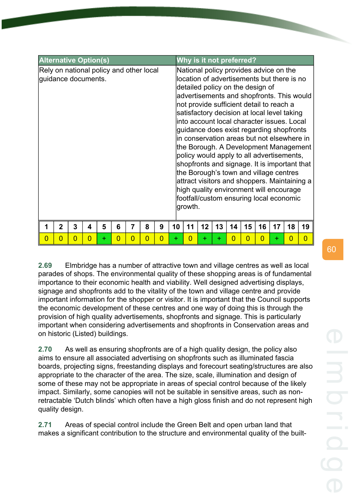**2.69** Elmbridge has a number of attractive town and village centres as well as local parades of shops. The environmental quality of these shopping areas is of fundamental importance to their economic health and viability. Well designed advertising displays, signage and shopfronts add to the vitality of the town and village centre and provide important information for the shopper or visitor. It is important that the Council supports the economic development of these centres and one way of doing this is through the provision of high quality advertisements, shopfronts and signage. This is particularly important when considering advertisements and shopfronts in Conservation areas and on historic (Listed) buildings.

**2.70** As well as ensuring shopfronts are of a high quality design, the policy also aims to ensure all associated advertising on shopfronts such as illuminated fascia boards, projecting signs, freestanding displays and forecourt seating/structures are also appropriate to the character of the area. The size, scale, illumination and design of some of these may not be appropriate in areas of special control because of the likely impact. Similarly, some canopies will not be suitable in sensitive areas, such as nonretractable 'Dutch blinds' which often have a high gloss finish and do not represent high quality design.

**2.71** Areas of special control include the Green Belt and open urban land that makes a significant contribution to the structure and environmental quality of the built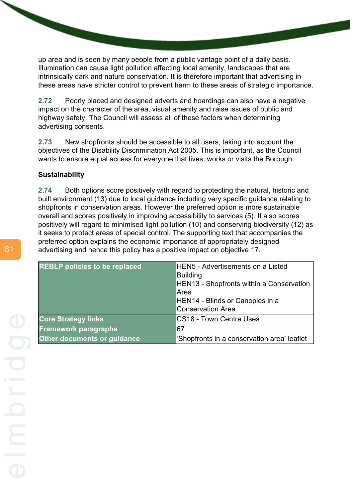up area and is seen by many people from a public vantage point of a daily basis. Illumination can cause light pollution affecting local amenity, landscapes that are intrinsically dark and nature conservation. It is therefore important that advertising in these areas have stricter control to prevent harm to these areas of strategic importance.

**2.72** Poorly placed and designed adverts and hoardings can also have a negative impact on the character of the area, visual amenity and raise issues of public and highway safety. The Council will assess all of these factors when determining advertising consents.

**2.73** New shopfronts should be accessible to all users, taking into account the objectives of the Disability Discrimination Act 2005. This is important, as the Council wants to ensure equal access for everyone that lives, works or visits the Borough.

# **Sustainability**

**2.74** Both options score positively with regard to protecting the natural, historic and built environment (13) due to local guidance including very specific guidance relating to shopfronts in conservation areas. However the preferred option is more sustainable overall and scores positively in improving accessibility to services (5). It also scores positively will regard to minimised light pollution (10) and conserving biodiversity (12) as it seeks to protect areas of special control. The supporting text that accompanies the preferred option explains the economic importance of appropriately designed advertising and hence this policy has a positive impact on objective 17.

| <b>REBLP policies to be replaced</b> | <b>HEN5</b> - Advertisements on a Listed    |
|--------------------------------------|---------------------------------------------|
|                                      | Building                                    |
|                                      | HEN13 - Shopfronts within a Conservation    |
|                                      | lArea                                       |
|                                      | HEN14 - Blinds or Canopies in a             |
|                                      | Conservation Area                           |
| <b>Core Strategy links</b>           | CS18 - Town Centre Uses                     |
| <b>Framework paragraphs</b>          | <b>67</b>                                   |
| <b>Other documents or guidance</b>   | 'Shopfronts in a conservation area' leaflet |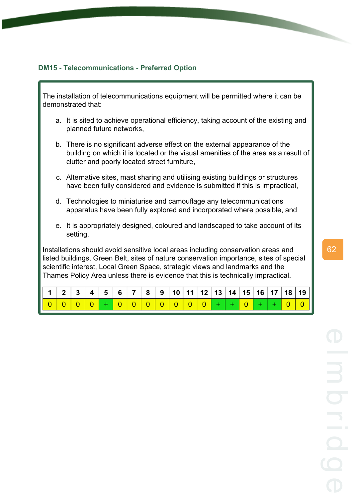# **DM15 - Telecommunications - Preferred Option**

The installation of telecommunications equipment will be permitted where it can be demonstrated that:

- a. It is sited to achieve operational efficiency, taking account of the existing and planned future networks,
- b. There is no significant adverse effect on the external appearance of the building on which it is located or the visual amenities of the area as a result of clutter and poorly located street furniture,
- c. Alternative sites, mast sharing and utilising existing buildings or structures have been fully considered and evidence is submitted if this is impractical,
- d. Technologies to miniaturise and camouflage any telecommunications apparatus have been fully explored and incorporated where possible, and
- e. It is appropriately designed, coloured and landscaped to take account of its setting.

Installations should avoid sensitive local areas including conservation areas and listed buildings, Green Belt, sites of nature conservation importance, sites of special scientific interest, Local Green Space, strategic views and landmarks and the Thames Policy Area unless there is evidence that this is technically impractical.

|  |  |  |  |  |  |  |  |  | │ 1 │ 2 │ 3 │ 4 │ 5 │ 6 │ 7 │ 8 │ 9 │10 │11 │12 │13 │14 │15 │16 │17 │18 │19 ││ |
|--|--|--|--|--|--|--|--|--|--------------------------------------------------------------------------------|
|  |  |  |  |  |  |  |  |  | 00000+000000000++0+                                                            |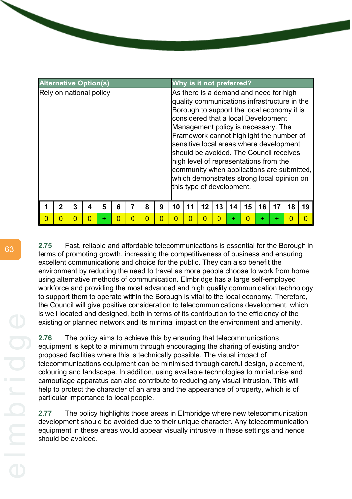| <b>Alternative Option(s)</b> |   |   |          |   |          |   |   |   | Why is it not preferred? |    |                                                                                                                                                                                                                                                                                                                                                                                                                                                                           |    |    |    |    |    |    |                                            |
|------------------------------|---|---|----------|---|----------|---|---|---|--------------------------|----|---------------------------------------------------------------------------------------------------------------------------------------------------------------------------------------------------------------------------------------------------------------------------------------------------------------------------------------------------------------------------------------------------------------------------------------------------------------------------|----|----|----|----|----|----|--------------------------------------------|
| Rely on national policy      |   |   |          |   |          |   |   |   |                          |    | As there is a demand and need for high<br>quality communications infrastructure in the<br>Borough to support the local economy it is<br>considered that a local Development<br>Management policy is necessary. The<br>Framework cannot highlight the number of<br>sensitive local areas where development<br>should be avoided. The Council receives<br>high level of representations from the<br>which demonstrates strong local opinion on<br>this type of development. |    |    |    |    |    |    | community when applications are submitted, |
| 1                            | 2 | 3 | 4        | 5 | 6        |   | 8 | 9 | 10                       | 11 | 12                                                                                                                                                                                                                                                                                                                                                                                                                                                                        | 13 | 14 | 15 | 16 | 17 | 18 | 19                                         |
| $\overline{0}$               | N | 0 | $\Omega$ | ٠ | $\Omega$ | 0 | ი | n | O                        |    | Ω                                                                                                                                                                                                                                                                                                                                                                                                                                                                         |    |    |    | ÷  | ÷  | 0  |                                            |

**2.75** Fast, reliable and affordable telecommunications is essential for the Borough in terms of promoting growth, increasing the competitiveness of business and ensuring excellent communications and choice for the public. They can also benefit the environment by reducing the need to travel as more people choose to work from home using alternative methods of communication. Elmbridge has a large self-employed workforce and providing the most advanced and high quality communication technology to support them to operate within the Borough is vital to the local economy. Therefore, the Council will give positive consideration to telecommunications development, which is well located and designed, both in terms of its contribution to the efficiency of the existing or planned network and its minimal impact on the environment and amenity.

**2.76** The policy aims to achieve this by ensuring that telecommunications equipment is kept to a minimum through encouraging the sharing of existing and/or proposed facilities where this is technically possible. The visual impact of telecommunications equipment can be minimised through careful design, placement, colouring and landscape. In addition, using available technologies to miniaturise and camouflage apparatus can also contribute to reducing any visual intrusion. This will help to protect the character of an area and the appearance of property, which is of particular importance to local people.

**2.77** The policy highlights those areas in Elmbridge where new telecommunication development should be avoided due to their unique character. Any telecommunication equipment in these areas would appear visually intrusive in these settings and hence should be avoided.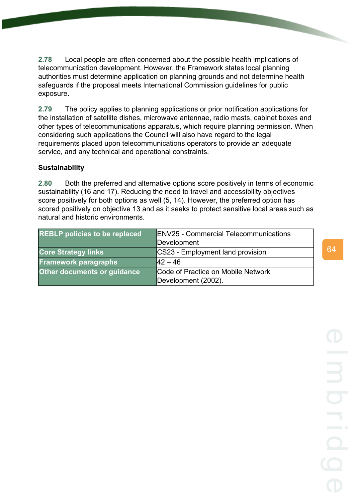**2.78** Local people are often concerned about the possible health implications of telecommunication development. However, the Framework states local planning authorities must determine application on planning grounds and not determine health safeguards if the proposal meets International Commission guidelines for public exposure.

**2.79** The policy applies to planning applications or prior notification applications for the installation of satellite dishes, microwave antennae, radio masts, cabinet boxes and other types of telecommunications apparatus, which require planning permission. When considering such applications the Council will also have regard to the legal requirements placed upon telecommunications operators to provide an adequate service, and any technical and operational constraints.

# **Sustainability**

**2.80** Both the preferred and alternative options score positively in terms of economic sustainability (16 and 17). Reducing the need to travel and accessibility objectives score positively for both options as well (5, 14). However, the preferred option has scored positively on objective 13 and as it seeks to protect sensitive local areas such as natural and historic environments.

| <b>REBLP policies to be replaced</b> | <b>ENV25 - Commercial Telecommunications</b><br>Development |
|--------------------------------------|-------------------------------------------------------------|
| <b>Core Strategy links</b>           | CS23 - Employment land provision                            |
| <b>Framework paragraphs</b>          | $ 42 - 46 $                                                 |
| Other documents or guidance          | Code of Practice on Mobile Network                          |
|                                      | Development (2002).                                         |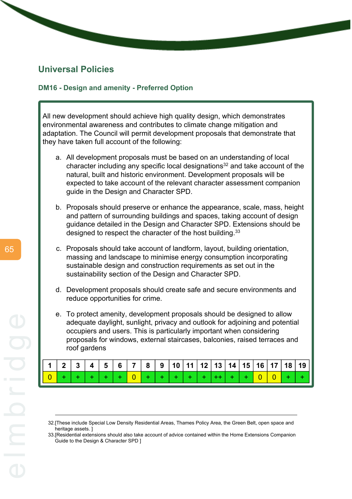# **Universal Policies**

## **DM16 - Design and amenity - Preferred Option**

All new development should achieve high quality design, which demonstrates environmental awareness and contributes to climate change mitigation and adaptation. The Council will permit development proposals that demonstrate that they have taken full account of the following:

- a. All development proposals must be based on an understanding of local character including any specific local designations<sup>32</sup> and take account of the natural, built and historic environment. Development proposals will be expected to take account of the relevant character assessment companion guide in the Design and Character SPD.
- b. Proposals should preserve or enhance the appearance, scale, mass, height and pattern of surrounding buildings and spaces, taking account of design guidance detailed in the Design and Character SPD. Extensions should be designed to respect the character of the host building.<sup>33</sup>
- c. Proposals should take account of landform, layout, building orientation, massing and landscape to minimise energy consumption incorporating sustainable design and construction requirements as set out in the sustainability section of the Design and Character SPD.
- d. Development proposals should create safe and secure environments and reduce opportunities for crime.
- e. To protect amenity, development proposals should be designed to allow adequate daylight, sunlight, privacy and outlook for adjoining and potential occupiers and users. This is particularly important when considering proposals for windows, external staircases, balconies, raised terraces and roof gardens

|  |  |  |  |  |  |  |  |  | $\mid$ 1 $\mid$ 2 $\mid$ 3 $\mid$ 4 $\mid$ 5 $\mid$ 6 $\mid$ 7 $\mid$ 8 $\mid$ 9 $\mid$ 10 $\mid$ 11 $\mid$ 12 $\mid$ 13 $\mid$ 14 $\mid$ 15 $\mid$ 16 $\mid$ 17 $\mid$ 18 $\mid$ 19 $\mid$ |
|--|--|--|--|--|--|--|--|--|---------------------------------------------------------------------------------------------------------------------------------------------------------------------------------------------|
|  |  |  |  |  |  |  |  |  | $0 +   +   +   +   +   0   +   +   +   +   +   +   +   +   0   0   +   +  $                                                                                                                 |

<sup>32.[</sup>These include Special Low Density Residential Areas, Thames Policy Area, the Green Belt, open space and heritage assets. ]

<sup>33.[</sup>Residential extensions should also take account of advice contained within the Home Extensions Companion Guide to the Design & Character SPD ]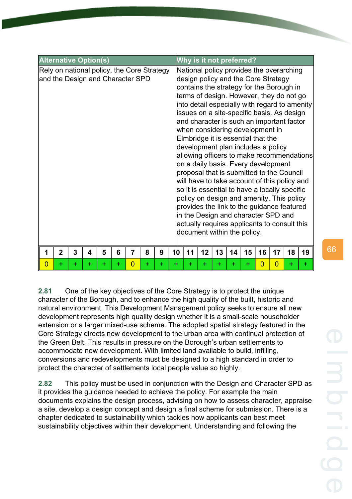| <b>Alternative Option(s)</b>                                                   |                             |        |         |        |        |                                  |        |        |    |    | Why is it not preferred?                                                                                                                                                                                                                                        |    |    |         |                      |                      |                                                                                                                                                                                                                                                                                                                                                                                                                                                                                                                      |                                                                                            |
|--------------------------------------------------------------------------------|-----------------------------|--------|---------|--------|--------|----------------------------------|--------|--------|----|----|-----------------------------------------------------------------------------------------------------------------------------------------------------------------------------------------------------------------------------------------------------------------|----|----|---------|----------------------|----------------------|----------------------------------------------------------------------------------------------------------------------------------------------------------------------------------------------------------------------------------------------------------------------------------------------------------------------------------------------------------------------------------------------------------------------------------------------------------------------------------------------------------------------|--------------------------------------------------------------------------------------------|
| Rely on national policy, the Core Strategy<br>and the Design and Character SPD |                             |        |         |        |        |                                  |        |        |    |    | design policy and the Core Strategy<br>when considering development in<br>Elmbridge it is essential that the<br>development plan includes a policy<br>on a daily basis. Every development<br>in the Design and character SPD and<br>document within the policy. |    |    |         |                      |                      | National policy provides the overarching<br>contains the strategy for the Borough in<br>terms of design. However, they do not go<br>issues on a site-specific basis. As design<br>and character is such an important factor<br>proposal that is submitted to the Council<br>will have to take account of this policy and<br>so it is essential to have a locally specific<br>policy on design and amenity. This policy<br>provides the link to the guidance featured<br>actually requires applicants to consult this | into detail especially with regard to amenity<br>allowing officers to make recommendations |
| $\overline{0}$                                                                 | $\overline{2}$<br>$\ddot{}$ | 3<br>÷ | 4<br>÷. | 5<br>÷ | 6<br>÷ | $\overline{7}$<br>$\overline{0}$ | 8<br>÷ | 9<br>÷ | 10 | 11 | 12                                                                                                                                                                                                                                                              | 13 | 14 | 15<br>÷ | 16<br>$\overline{0}$ | 17<br>$\overline{0}$ | 18                                                                                                                                                                                                                                                                                                                                                                                                                                                                                                                   | 19                                                                                         |
|                                                                                |                             |        |         |        |        |                                  |        |        | +  | +  | ÷                                                                                                                                                                                                                                                               | ÷  | ÷  |         |                      |                      | +                                                                                                                                                                                                                                                                                                                                                                                                                                                                                                                    | +                                                                                          |

**2.81** One of the key objectives of the Core Strategy is to protect the unique character of the Borough, and to enhance the high quality of the built, historic and natural environment. This Development Management policy seeks to ensure all new development represents high quality design whether it is a small-scale householder extension or a larger mixed-use scheme. The adopted spatial strategy featured in the Core Strategy directs new development to the urban area with continual protection of the Green Belt. This results in pressure on the Borough's urban settlements to accommodate new development. With limited land available to build, infilling, conversions and redevelopments must be designed to a high standard in order to protect the character of settlements local people value so highly.

**2.82** This policy must be used in conjunction with the Design and Character SPD as it provides the guidance needed to achieve the policy. For example the main documents explains the design process, advising on how to assess character, appraise a site, develop a design concept and design a final scheme for submission. There is a chapter dedicated to sustainability which tackles how applicants can best meet sustainability objectives within their development. Understanding and following the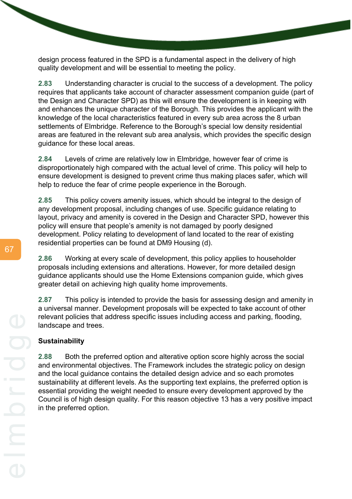design process featured in the SPD is a fundamental aspect in the delivery of high quality development and will be essential to meeting the policy.

**2.83** Understanding character is crucial to the success of a development. The policy requires that applicants take account of character assessment companion guide (part of the Design and Character SPD) as this will ensure the development is in keeping with and enhances the unique character of the Borough. This provides the applicant with the knowledge of the local characteristics featured in every sub area across the 8 urban settlements of Elmbridge. Reference to the Borough's special low density residential areas are featured in the relevant sub area analysis, which provides the specific design guidance for these local areas.

**2.84** Levels of crime are relatively low in Elmbridge, however fear of crime is disproportionately high compared with the actual level of crime. This policy will help to ensure development is designed to prevent crime thus making places safer, which will help to reduce the fear of crime people experience in the Borough.

**2.85** This policy covers amenity issues, which should be integral to the design of any development proposal, including changes of use. Specific guidance relating to layout, privacy and amenity is covered in the Design and Character SPD, however this policy will ensure that people's amenity is not damaged by poorly designed development. Policy relating to development of land located to the rear of existing residential properties can be found at DM9 Housing (d).

**2.86** Working at every scale of development, this policy applies to householder proposals including extensions and alterations. However, for more detailed design guidance applicants should use the Home Extensions companion guide, which gives greater detail on achieving high quality home improvements.

**2.87** This policy is intended to provide the basis for assessing design and amenity in a universal manner. Development proposals will be expected to take account of other relevant policies that address specific issues including access and parking, flooding, landscape and trees.

# **Sustainability**

**2.88** Both the preferred option and alterative option score highly across the social and environmental objectives. The Framework includes the strategic policy on design and the local guidance contains the detailed design advice and so each promotes sustainability at different levels. As the supporting text explains, the preferred option is essential providing the weight needed to ensure every development approved by the Council is of high design quality. For this reason objective 13 has a very positive impact in the preferred option.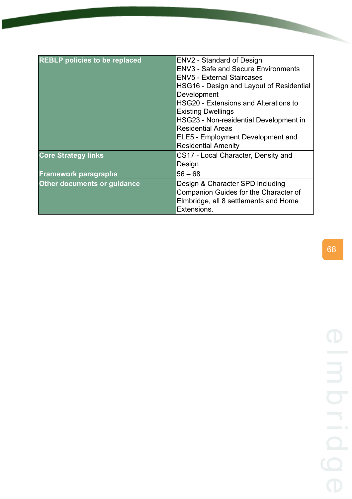| <b>REBLP policies to be replaced</b> | <b>ENV2 - Standard of Design</b><br><b>ENV3 - Safe and Secure Environments</b><br><b>ENV5 - External Staircases</b><br>HSG16 - Design and Layout of Residential<br>Development<br><b>HSG20 - Extensions and Alterations to</b><br><b>Existing Dwellings</b><br>HSG23 - Non-residential Development in<br><b>Residential Areas</b><br><b>ELE5 - Employment Development and</b><br><b>Residential Amenity</b> |
|--------------------------------------|-------------------------------------------------------------------------------------------------------------------------------------------------------------------------------------------------------------------------------------------------------------------------------------------------------------------------------------------------------------------------------------------------------------|
| <b>Core Strategy links</b>           | CS17 - Local Character, Density and<br>Design                                                                                                                                                                                                                                                                                                                                                               |
| <b>Framework paragraphs</b>          | $56 - 68$                                                                                                                                                                                                                                                                                                                                                                                                   |
| <b>Other documents or guidance</b>   | Design & Character SPD including<br>Companion Guides for the Character of<br>Elmbridge, all 8 settlements and Home<br>Extensions.                                                                                                                                                                                                                                                                           |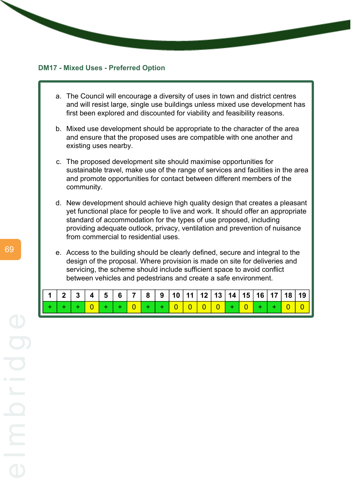#### **DM17 - Mixed Uses - Preferred Option**

- a. The Council will encourage a diversity of uses in town and district centres and will resist large, single use buildings unless mixed use development has first been explored and discounted for viability and feasibility reasons.
- b. Mixed use development should be appropriate to the character of the area and ensure that the proposed uses are compatible with one another and existing uses nearby.
- c. The proposed development site should maximise opportunities for sustainable travel, make use of the range of services and facilities in the area and promote opportunities for contact between different members of the community.
- d. New development should achieve high quality design that creates a pleasant yet functional place for people to live and work. It should offer an appropriate standard of accommodation for the types of use proposed, including providing adequate outlook, privacy, ventilation and prevention of nuisance from commercial to residential uses.
- e. Access to the building should be clearly defined, secure and integral to the design of the proposal. Where provision is made on site for deliveries and servicing, the scheme should include sufficient space to avoid conflict between vehicles and pedestrians and create a safe environment.

|  |  |  |  |  |  |  |  |  | 1   2   3   4   5   6   7   8   9   10   11   12   13   14   15   16   17   18   19 |
|--|--|--|--|--|--|--|--|--|-------------------------------------------------------------------------------------|
|  |  |  |  |  |  |  |  |  |                                                                                     |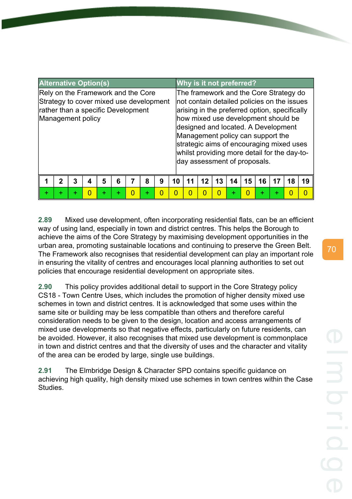| <b>Alternative Option(s)</b>                                                                                                             |             |   |   |   |   |          |   |   |    | Why is it not preferred?                                                                                                                                                                                                                                                                                                                                                              |    |    |    |   |    |    |    |
|------------------------------------------------------------------------------------------------------------------------------------------|-------------|---|---|---|---|----------|---|---|----|---------------------------------------------------------------------------------------------------------------------------------------------------------------------------------------------------------------------------------------------------------------------------------------------------------------------------------------------------------------------------------------|----|----|----|---|----|----|----|
| Rely on the Framework and the Core<br>Strategy to cover mixed use development<br>rather than a specific Development<br>Management policy |             |   |   |   |   |          |   |   |    | The framework and the Core Strategy do<br>not contain detailed policies on the issues<br>arising in the preferred option, specifically<br>how mixed use development should be<br>designed and located. A Development<br>Management policy can support the<br>strategic aims of encouraging mixed uses<br>whilst providing more detail for the day-to-<br>day assessment of proposals. |    |    |    |   |    |    |    |
|                                                                                                                                          | $\mathbf 2$ | 3 | 4 | 5 | 6 |          | 8 | 9 | 10 | 11                                                                                                                                                                                                                                                                                                                                                                                    | 12 | 13 | 14 | 5 | 16 | 18 | 19 |
| ÷                                                                                                                                        | ÷           | ÷ | n | ÷ | ÷ | $\Omega$ | ÷ | ი | ი  | n                                                                                                                                                                                                                                                                                                                                                                                     |    |    |    |   |    |    |    |

**2.89** Mixed use development, often incorporating residential flats, can be an efficient way of using land, especially in town and district centres. This helps the Borough to achieve the aims of the Core Strategy by maximising development opportunities in the urban area, promoting sustainable locations and continuing to preserve the Green Belt. The Framework also recognises that residential development can play an important role in ensuring the vitality of centres and encourages local planning authorities to set out policies that encourage residential development on appropriate sites.

**2.90** This policy provides additional detail to support in the Core Strategy policy CS18 - Town Centre Uses, which includes the promotion of higher density mixed use schemes in town and district centres. It is acknowledged that some uses within the same site or building may be less compatible than others and therefore careful consideration needs to be given to the design, location and access arrangements of mixed use developments so that negative effects, particularly on future residents, can be avoided. However, it also recognises that mixed use development is commonplace in town and district centres and that the diversity of uses and the character and vitality of the area can be eroded by large, single use buildings.

**2.91** The Elmbridge Design & Character SPD contains specific guidance on achieving high quality, high density mixed use schemes in town centres within the Case **Studies**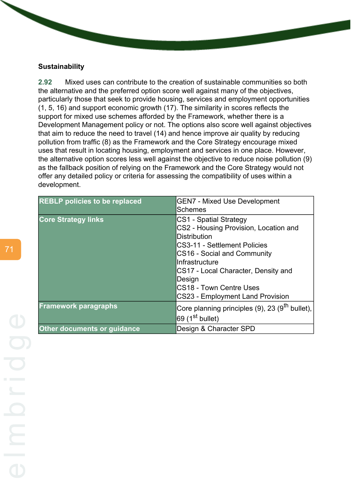#### **Sustainability**

**2.92** Mixed uses can contribute to the creation of sustainable communities so both the alternative and the preferred option score well against many of the objectives, particularly those that seek to provide housing, services and employment opportunities (1, 5, 16) and support economic growth (17). The similarity in scores reflects the support for mixed use schemes afforded by the Framework, whether there is a Development Management policy or not. The options also score well against objectives that aim to reduce the need to travel (14) and hence improve air quality by reducing pollution from traffic (8) as the Framework and the Core Strategy encourage mixed uses that result in locating housing, employment and services in one place. However, the alternative option scores less well against the objective to reduce noise pollution (9) as the fallback position of relying on the Framework and the Core Strategy would not offer any detailed policy or criteria for assessing the compatibility of uses within a development.

| <b>REBLP policies to be replaced</b> | <b>GEN7 - Mixed Use Development</b>                        |
|--------------------------------------|------------------------------------------------------------|
|                                      |                                                            |
|                                      | <b>Schemes</b>                                             |
| <b>Core Strategy links</b>           | CS1 - Spatial Strategy                                     |
|                                      | CS2 - Housing Provision, Location and                      |
|                                      | <b>Distribution</b>                                        |
|                                      | CS3-11 - Settlement Policies                               |
|                                      | CS16 - Social and Community                                |
|                                      | Infrastructure                                             |
|                                      | CS17 - Local Character, Density and                        |
|                                      | Design                                                     |
|                                      | <b>CS18 - Town Centre Uses</b>                             |
|                                      | CS23 - Employment Land Provision                           |
| <b>Framework paragraphs</b>          | Core planning principles (9), 23 (9 <sup>th</sup> bullet), |
|                                      | 69  (1 <sup>st</sup> bullet)                               |
| Other documents or guidance          | Design & Character SPD                                     |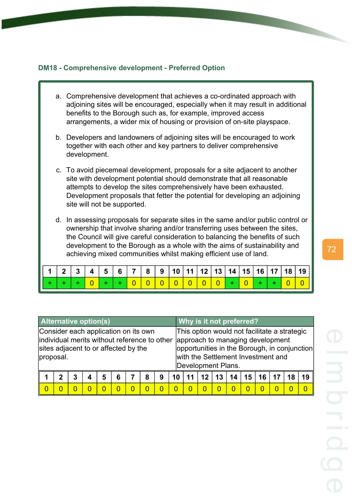## **DM18 - Comprehensive development - Preferred Option**

- a. Comprehensive development that achieves a co-ordinated approach with adjoining sites will be encouraged, especially when it may result in additional benefits to the Borough such as, for example, improved access arrangements, a wider mix of housing or provision of on-site playspace.
- b. Developers and landowners of adjoining sites will be encouraged to work together with each other and key partners to deliver comprehensive development.
- c. To avoid piecemeal development, proposals for a site adjacent to another site with development potential should demonstrate that all reasonable attempts to develop the sites comprehensively have been exhausted. Development proposals that fetter the potential for developing an adjoining site will not be supported.
- d. In assessing proposals for separate sites in the same and/or public control or ownership that involve sharing and/or transferring uses between the sites, the Council will give careful consideration to balancing the benefits of such development to the Borough as a whole with the aims of sustainability and achieving mixed communities whilst making efficient use of land.

|  |  |  |  | $\sqrt{1 + \alpha} \sqrt{\alpha} \sqrt{\alpha} \sqrt{\alpha} \sqrt{\alpha} \sqrt{\alpha} \sqrt{\alpha} \sqrt{\alpha}$ |  |  |  |  |  |
|--|--|--|--|-----------------------------------------------------------------------------------------------------------------------|--|--|--|--|--|

| <b>Alternative option(s)</b>                                                                                                              |   |   |   |   |        |  |   |   |  | Why is it not preferred? |    |          |    |                                                                                                                        |        |    |                                              |
|-------------------------------------------------------------------------------------------------------------------------------------------|---|---|---|---|--------|--|---|---|--|--------------------------|----|----------|----|------------------------------------------------------------------------------------------------------------------------|--------|----|----------------------------------------------|
| Consider each application on its own<br>individual merits without reference to other<br>sites adjacent to or affected by the<br>proposal. |   |   |   |   |        |  |   |   |  | Development Plans.       |    |          |    | This option would not facilitate a strategic<br>approach to managing development<br>with the Settlement Investment and |        |    | opportunities in the Borough, in conjunction |
|                                                                                                                                           |   | 3 |   | 5 | 6      |  | 8 | 9 |  | 12 <sup>1</sup>          | 13 | 14       | 15 | 16                                                                                                                     | 17     | 18 | 19                                           |
| $\Omega$                                                                                                                                  | O |   | O |   | $\cup$ |  |   |   |  | O                        |    | $\Omega$ |    | O                                                                                                                      | $\cup$ | O  | O                                            |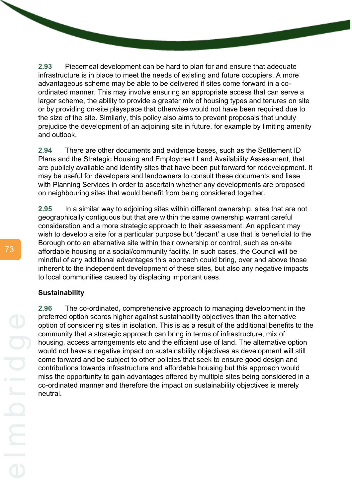**2.93** Piecemeal development can be hard to plan for and ensure that adequate infrastructure is in place to meet the needs of existing and future occupiers. A more advantageous scheme may be able to be delivered if sites come forward in a coordinated manner. This may involve ensuring an appropriate access that can serve a larger scheme, the ability to provide a greater mix of housing types and tenures on site or by providing on-site playspace that otherwise would not have been required due to the size of the site. Similarly, this policy also aims to prevent proposals that unduly prejudice the development of an adjoining site in future, for example by limiting amenity and outlook.

**2.94** There are other documents and evidence bases, such as the Settlement ID Plans and the Strategic Housing and Employment Land Availability Assessment, that are publicly available and identify sites that have been put forward for redevelopment. It may be useful for developers and landowners to consult these documents and liase with Planning Services in order to ascertain whether any developments are proposed on neighbouring sites that would benefit from being considered together.

**2.95** In a similar way to adjoining sites within different ownership, sites that are not geographically contiguous but that are within the same ownership warrant careful consideration and a more strategic approach to their assessment. An applicant may wish to develop a site for a particular purpose but 'decant' a use that is beneficial to the Borough onto an alternative site within their ownership or control, such as on-site affordable housing or a social/community facility. In such cases, the Council will be mindful of any additional advantages this approach could bring, over and above those inherent to the independent development of these sites, but also any negative impacts to local communities caused by displacing important uses.

## **Sustainability**

**2.96** The co-ordinated, comprehensive approach to managing development in the preferred option scores higher against sustainability objectives than the alternative option of considering sites in isolation. This is as a result of the additional benefits to the community that a strategic approach can bring in terms of infrastructure, mix of housing, access arrangements etc and the efficient use of land. The alternative option would not have a negative impact on sustainability objectives as development will still come forward and be subject to other policies that seek to ensure good design and contributions towards infrastructure and affordable housing but this approach would miss the opportunity to gain advantages offered by multiple sites being considered in a co-ordinated manner and therefore the impact on sustainability objectives is merely neutral.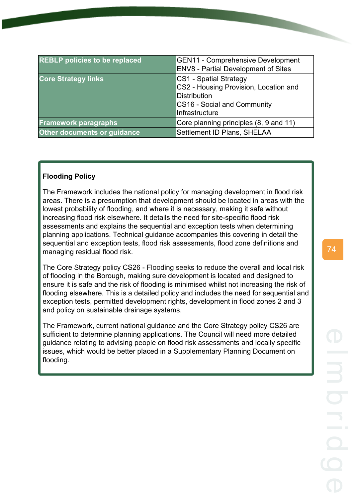| <b>REBLP</b> policies to be replaced | <b>GEN11 - Comprehensive Development</b><br><b>ENV8</b> - Partial Development of Sites |
|--------------------------------------|----------------------------------------------------------------------------------------|
| <b>Core Strategy links</b>           | CS1 - Spatial Strategy                                                                 |
|                                      | CS2 - Housing Provision, Location and                                                  |
|                                      | <b>Distribution</b>                                                                    |
|                                      | CS16 - Social and Community                                                            |
|                                      | Infrastructure                                                                         |
| <b>Framework paragraphs</b>          | Core planning principles (8, 9 and 11)                                                 |
| <b>Other documents or guidance</b>   | Settlement ID Plans, SHELAA                                                            |

# **Flooding Policy**

The Framework includes the national policy for managing development in flood risk areas. There is a presumption that development should be located in areas with the lowest probability of flooding, and where it is necessary, making it safe without increasing flood risk elsewhere. It details the need for site-specific flood risk assessments and explains the sequential and exception tests when determining planning applications. Technical guidance accompanies this covering in detail the sequential and exception tests, flood risk assessments, flood zone definitions and managing residual flood risk.

The Core Strategy policy CS26 - Flooding seeks to reduce the overall and local risk of flooding in the Borough, making sure development is located and designed to ensure it is safe and the risk of flooding is minimised whilst not increasing the risk of flooding elsewhere. This is a detailed policy and includes the need for sequential and exception tests, permitted development rights, development in flood zones 2 and 3 and policy on sustainable drainage systems.

The Framework, current national guidance and the Core Strategy policy CS26 are sufficient to determine planning applications. The Council will need more detailed guidance relating to advising people on flood risk assessments and locally specific issues, which would be better placed in a Supplementary Planning Document on flooding.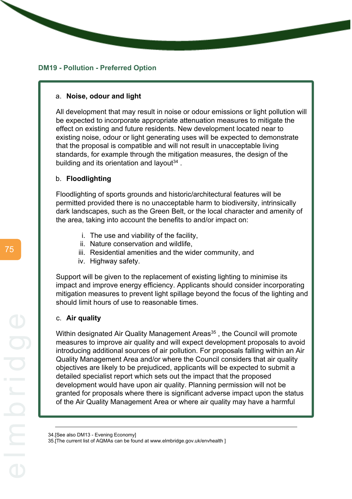### **DM19 - Pollution - Preferred Option**

#### a. **Noise, odour and light**

All development that may result in noise or odour emissions or light pollution will be expected to incorporate appropriate attenuation measures to mitigate the effect on existing and future residents. New development located near to existing noise, odour or light generating uses will be expected to demonstrate that the proposal is compatible and will not result in unacceptable living standards, for example through the mitigation measures, the design of the building and its orientation and layout $34$ .

#### b. **Floodlighting**

Floodlighting of sports grounds and historic/architectural features will be permitted provided there is no unacceptable harm to biodiversity, intrinsically dark landscapes, such as the Green Belt, or the local character and amenity of the area, taking into account the benefits to and/or impact on:

- i. The use and viability of the facility,
- ii. Nature conservation and wildlife,
- iii. Residential amenities and the wider community, and
- iv. Highway safety.

Support will be given to the replacement of existing lighting to minimise its impact and improve energy efficiency. Applicants should consider incorporating mitigation measures to prevent light spillage beyond the focus of the lighting and should limit hours of use to reasonable times.

#### c. **Air quality**

Within designated Air Quality Management Areas<sup>35</sup>, the Council will promote measures to improve air quality and will expect development proposals to avoid introducing additional sources of air pollution. For proposals falling within an Air Quality Management Area and/or where the Council considers that air quality objectives are likely to be prejudiced, applicants will be expected to submit a detailed specialist report which sets out the impact that the proposed development would have upon air quality. Planning permission will not be granted for proposals where there is significant adverse impact upon the status of the Air Quality Management Area or where air quality may have a harmful

<sup>34.[</sup>See also DM13 - Evening Economy]

<sup>35.[</sup>The current list of AQMAs can be found at www.elmbridge.gov.uk/envhealth ]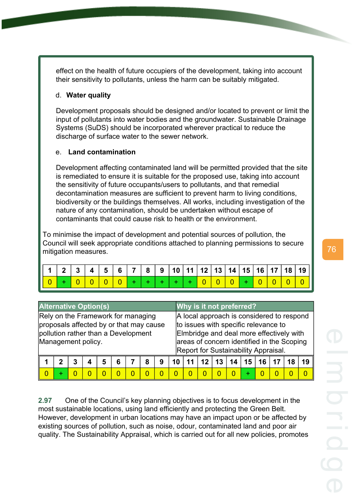effect on the health of future occupiers of the development, taking into account their sensitivity to pollutants, unless the harm can be suitably mitigated.

# d. **Water quality**

Development proposals should be designed and/or located to prevent or limit the input of pollutants into water bodies and the groundwater. Sustainable Drainage Systems (SuDS) should be incorporated wherever practical to reduce the discharge of surface water to the sewer network.

# e. **Land contamination**

Development affecting contaminated land will be permitted provided that the site is remediated to ensure it is suitable for the proposed use, taking into account the sensitivity of future occupants/users to pollutants, and that remedial decontamination measures are sufficient to prevent harm to living conditions, biodiversity or the buildings themselves. All works, including investigation of the nature of any contamination, should be undertaken without escape of contaminants that could cause risk to health or the environment.

To minimise the impact of development and potential sources of pollution, the Council will seek appropriate conditions attached to planning permissions to secure mitigation measures.

|  |  |  |  | $  +   +   +   +   0   0   0   +   0   0   0$ |  |  |  |  |  |
|--|--|--|--|-----------------------------------------------|--|--|--|--|--|

| <b>Alternative Option(s)</b> |                                                                                                                                            |   |  |   |   |  |   |   |    |   |    |    | Why is it not preferred?                                                                                                                                                                                            |    |    |  |    |
|------------------------------|--------------------------------------------------------------------------------------------------------------------------------------------|---|--|---|---|--|---|---|----|---|----|----|---------------------------------------------------------------------------------------------------------------------------------------------------------------------------------------------------------------------|----|----|--|----|
|                              | Rely on the Framework for managing<br>proposals affected by or that may cause<br>pollution rather than a Development<br>Management policy. |   |  |   |   |  |   |   |    |   |    |    | A local approach is considered to respond<br>to issues with specific relevance to<br>Elmbridge and deal more effectively with<br>areas of concern identified in the Scoping<br>Report for Sustainability Appraisal. |    |    |  |    |
|                              | 7                                                                                                                                          | 3 |  | 5 | 6 |  | 8 | 9 | 10 |   | 12 | 13 | 14                                                                                                                                                                                                                  | 15 | 16 |  | 19 |
|                              | ÷                                                                                                                                          |   |  |   |   |  | n |   |    | O |    |    |                                                                                                                                                                                                                     |    |    |  |    |

**2.97** One of the Council's key planning objectives is to focus development in the most sustainable locations, using land efficiently and protecting the Green Belt. However, development in urban locations may have an impact upon or be affected by existing sources of pollution, such as noise, odour, contaminated land and poor air quality. The Sustainability Appraisal, which is carried out for all new policies, promotes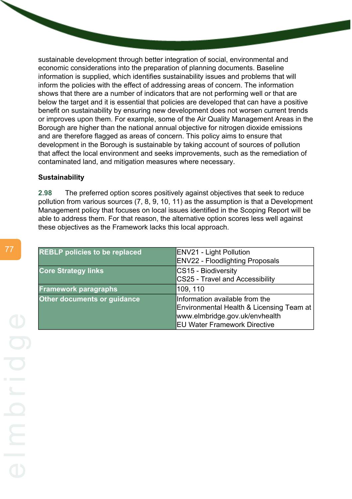sustainable development through better integration of social, environmental and economic considerations into the preparation of planning documents. Baseline information is supplied, which identifies sustainability issues and problems that will inform the policies with the effect of addressing areas of concern. The information shows that there are a number of indicators that are not performing well or that are below the target and it is essential that policies are developed that can have a positive benefit on sustainability by ensuring new development does not worsen current trends or improves upon them. For example, some of the Air Quality Management Areas in the Borough are higher than the national annual objective for nitrogen dioxide emissions and are therefore flagged as areas of concern. This policy aims to ensure that development in the Borough is sustainable by taking account of sources of pollution that affect the local environment and seeks improvements, such as the remediation of contaminated land, and mitigation measures where necessary.

#### **Sustainability**

**2.98** The preferred option scores positively against objectives that seek to reduce pollution from various sources (7, 8, 9, 10, 11) as the assumption is that a Development Management policy that focuses on local issues identified in the Scoping Report will be able to address them. For that reason, the alternative option scores less well against these objectives as the Framework lacks this local approach.

| <b>REBLP</b> policies to be replaced | <b>ENV21 - Light Pollution</b>           |
|--------------------------------------|------------------------------------------|
|                                      | <b>ENV22 - Floodlighting Proposals</b>   |
| <b>Core Strategy links</b>           | CS15 - Biodiversity                      |
|                                      | CS25 - Travel and Accessibility          |
| <b>Framework paragraphs</b>          | 109, 110                                 |
| <b>Other documents or guidance</b>   | Information available from the           |
|                                      | Environmental Health & Licensing Team at |
|                                      | www.elmbridge.gov.uk/envhealth           |
|                                      | <b>EU Water Framework Directive</b>      |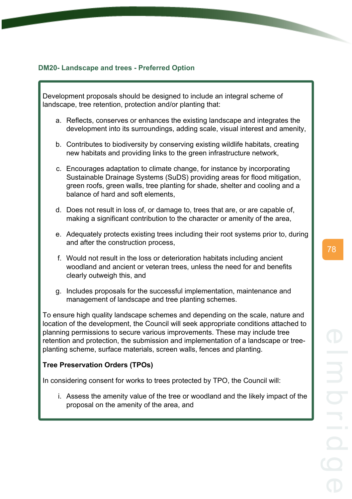# **DM20- Landscape and trees - Preferred Option**

Development proposals should be designed to include an integral scheme of landscape, tree retention, protection and/or planting that:

- a. Reflects, conserves or enhances the existing landscape and integrates the development into its surroundings, adding scale, visual interest and amenity,
- b. Contributes to biodiversity by conserving existing wildlife habitats, creating new habitats and providing links to the green infrastructure network,
- c. Encourages adaptation to climate change, for instance by incorporating Sustainable Drainage Systems (SuDS) providing areas for flood mitigation, green roofs, green walls, tree planting for shade, shelter and cooling and a balance of hard and soft elements,
- d. Does not result in loss of, or damage to, trees that are, or are capable of, making a significant contribution to the character or amenity of the area,
- e. Adequately protects existing trees including their root systems prior to, during and after the construction process,
- f. Would not result in the loss or deterioration habitats including ancient woodland and ancient or veteran trees, unless the need for and benefits clearly outweigh this, and
- g. Includes proposals for the successful implementation, maintenance and management of landscape and tree planting schemes.

To ensure high quality landscape schemes and depending on the scale, nature and location of the development, the Council will seek appropriate conditions attached to planning permissions to secure various improvements. These may include tree retention and protection, the submission and implementation of a landscape or treeplanting scheme, surface materials, screen walls, fences and planting.

### **Tree Preservation Orders (TPOs)**

In considering consent for works to trees protected by TPO, the Council will:

i. Assess the amenity value of the tree or woodland and the likely impact of the proposal on the amenity of the area, and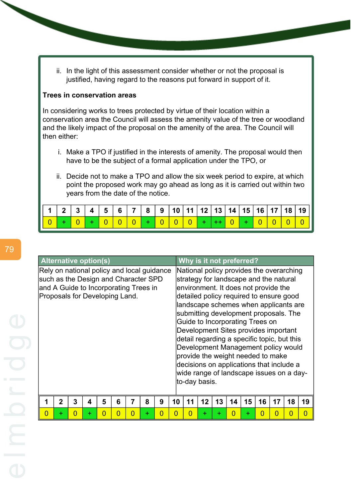ii. In the light of this assessment consider whether or not the proposal is justified, having regard to the reasons put forward in support of it.

## **Trees in conservation areas**

In considering works to trees protected by virtue of their location within a conservation area the Council will assess the amenity value of the tree or woodland and the likely impact of the proposal on the amenity of the area. The Council will then either:

- i. Make a TPO if justified in the interests of amenity. The proposal would then have to be the subject of a formal application under the TPO, or
- ii. Decide not to make a TPO and allow the six week period to expire, at which point the proposed work may go ahead as long as it is carried out within two years from the date of the notice.

|  |  |  |  |  |  |  |  |  | $1 \mid 2 \mid 3 \mid 4 \mid 5 \mid 6 \mid 7 \mid 8 \mid 9 \mid 10 \mid 11 \mid 12 \mid 13 \mid 14 \mid 15 \mid 16 \mid 17 \mid 18 \mid 19 \mid$ |
|--|--|--|--|--|--|--|--|--|--------------------------------------------------------------------------------------------------------------------------------------------------|
|  |  |  |  |  |  |  |  |  | 0 + 0 + 0 0 0 0 + 0 0 0 0 + + 0 + 0 0 0 0 0 0                                                                                                    |

|   | <b>Alternative option(s)</b>                                                  |   |   |   |   |          |   |   |                                                                                | Why is it not preferred?                                                             |    |    |    |    |    |    |    |          |  |  |
|---|-------------------------------------------------------------------------------|---|---|---|---|----------|---|---|--------------------------------------------------------------------------------|--------------------------------------------------------------------------------------|----|----|----|----|----|----|----|----------|--|--|
|   | Rely on national policy and local guidance                                    |   |   |   |   |          |   |   |                                                                                | National policy provides the overarching<br>strategy for landscape and the natural   |    |    |    |    |    |    |    |          |  |  |
|   | such as the Design and Character SPD<br>and A Guide to Incorporating Trees in |   |   |   |   |          |   |   |                                                                                | environment. It does not provide the                                                 |    |    |    |    |    |    |    |          |  |  |
|   | Proposals for Developing Land.                                                |   |   |   |   |          |   |   |                                                                                | detailed policy required to ensure good                                              |    |    |    |    |    |    |    |          |  |  |
|   |                                                                               |   |   |   |   |          |   |   | landscape schemes when applicants are<br>submitting development proposals. The |                                                                                      |    |    |    |    |    |    |    |          |  |  |
|   |                                                                               |   |   |   |   |          |   |   |                                                                                | Guide to Incorporating Trees on                                                      |    |    |    |    |    |    |    |          |  |  |
|   |                                                                               |   |   |   |   |          |   |   |                                                                                | Development Sites provides important<br>detail regarding a specific topic, but this  |    |    |    |    |    |    |    |          |  |  |
|   |                                                                               |   |   |   |   |          |   |   |                                                                                | Development Management policy would                                                  |    |    |    |    |    |    |    |          |  |  |
|   |                                                                               |   |   |   |   |          |   |   |                                                                                | provide the weight needed to make                                                    |    |    |    |    |    |    |    |          |  |  |
|   |                                                                               |   |   |   |   |          |   |   |                                                                                | decisions on applications that include a<br>wide range of landscape issues on a day- |    |    |    |    |    |    |    |          |  |  |
|   |                                                                               |   |   |   |   |          |   |   |                                                                                | to-day basis.                                                                        |    |    |    |    |    |    |    |          |  |  |
|   |                                                                               |   |   |   |   |          |   |   |                                                                                |                                                                                      |    |    |    |    |    |    |    |          |  |  |
|   | $\mathbf 2$                                                                   | 3 | 4 | 5 | 6 | 7        | 8 | 9 | 10                                                                             | 11                                                                                   | 12 | 13 | 14 | 15 | 16 | 17 | 18 | 19       |  |  |
| N | ÷.                                                                            | N | + |   |   | $\Omega$ | ÷ | 0 | 0                                                                              | N                                                                                    | ÷. | ÷  | O  | ÷  |    | O  | 0  | $\Omega$ |  |  |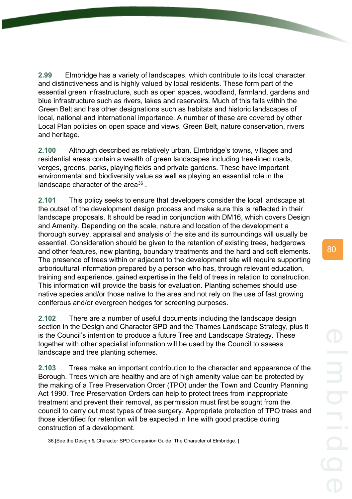**2.99** Elmbridge has a variety of landscapes, which contribute to its local character and distinctiveness and is highly valued by local residents. These form part of the essential green infrastructure, such as open spaces, woodland, farmland, gardens and blue infrastructure such as rivers, lakes and reservoirs. Much of this falls within the Green Belt and has other designations such as habitats and historic landscapes of local, national and international importance. A number of these are covered by other Local Plan policies on open space and views, Green Belt, nature conservation, rivers and heritage.

**2.100** Although described as relatively urban, Elmbridge's towns, villages and residential areas contain a wealth of green landscapes including tree-lined roads, verges, greens, parks, playing fields and private gardens. These have important environmental and biodiversity value as well as playing an essential role in the landscape character of the area $36$ .

**2.101** This policy seeks to ensure that developers consider the local landscape at the outset of the development design process and make sure this is reflected in their landscape proposals. It should be read in conjunction with DM16, which covers Design and Amenity. Depending on the scale, nature and location of the development a thorough survey, appraisal and analysis of the site and its surroundings will usually be essential. Consideration should be given to the retention of existing trees, hedgerows and other features, new planting, boundary treatments and the hard and soft elements. The presence of trees within or adjacent to the development site will require supporting arboricultural information prepared by a person who has, through relevant education, training and experience, gained expertise in the field of trees in relation to construction. This information will provide the basis for evaluation. Planting schemes should use native species and/or those native to the area and not rely on the use of fast growing coniferous and/or evergreen hedges for screening purposes.

**2.102** There are a number of useful documents including the landscape design section in the Design and Character SPD and the Thames Landscape Strategy, plus it is the Council's intention to produce a future Tree and Landscape Strategy. These together with other specialist information will be used by the Council to assess landscape and tree planting schemes.

**2.103** Trees make an important contribution to the character and appearance of the Borough. Trees which are healthy and are of high amenity value can be protected by the making of a Tree Preservation Order (TPO) under the Town and Country Planning Act 1990. Tree Preservation Orders can help to protect trees from inappropriate treatment and prevent their removal, as permission must first be sought from the council to carry out most types of tree surgery. Appropriate protection of TPO trees and those identified for retention will be expected in line with good practice during construction of a development.

<sup>36.[</sup>See the Design & Character SPD Companion Guide: The Character of Elmbridge. ]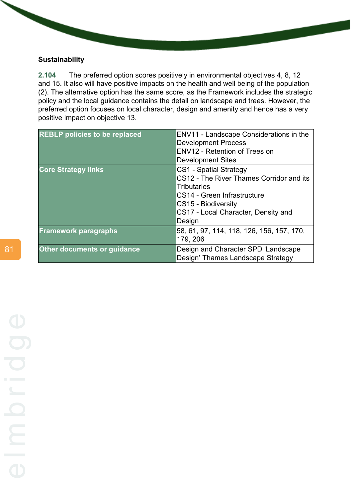# **Sustainability**

**2.104** The preferred option scores positively in environmental objectives 4, 8, 12 and 15. It also will have positive impacts on the health and well being of the population (2). The alternative option has the same score, as the Framework includes the strategic policy and the local guidance contains the detail on landscape and trees. However, the preferred option focuses on local character, design and amenity and hence has a very positive impact on objective 13.

| <b>REBLP policies to be replaced</b> | ENV11 - Landscape Considerations in the<br><b>Development Process</b><br>ENV12 - Retention of Trees on<br><b>Development Sites</b>                                                              |
|--------------------------------------|-------------------------------------------------------------------------------------------------------------------------------------------------------------------------------------------------|
| <b>Core Strategy links</b>           | CS1 - Spatial Strategy<br>CS12 - The River Thames Corridor and its<br><b>Tributaries</b><br>CS14 - Green Infrastructure<br>CS15 - Biodiversity<br>CS17 - Local Character, Density and<br>Design |
| <b>Framework paragraphs</b>          | 58, 61, 97, 114, 118, 126, 156, 157, 170,<br>179, 206                                                                                                                                           |
| Other documents or guidance          | Design and Character SPD 'Landscape<br>Design' Thames Landscape Strategy                                                                                                                        |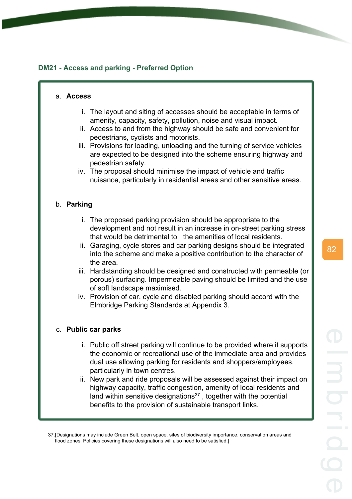# **DM21 - Access and parking - Preferred Option**

#### a. **Access**

- i. The layout and siting of accesses should be acceptable in terms of amenity, capacity, safety, pollution, noise and visual impact.
- ii. Access to and from the highway should be safe and convenient for pedestrians, cyclists and motorists.
- iii. Provisions for loading, unloading and the turning of service vehicles are expected to be designed into the scheme ensuring highway and pedestrian safety.
- iv. The proposal should minimise the impact of vehicle and traffic nuisance, particularly in residential areas and other sensitive areas.

## b. **Parking**

- i. The proposed parking provision should be appropriate to the development and not result in an increase in on-street parking stress that would be detrimental to the amenities of local residents.
- ii. Garaging, cycle stores and car parking designs should be integrated into the scheme and make a positive contribution to the character of the area.
- iii. Hardstanding should be designed and constructed with permeable (or porous) surfacing. Impermeable paving should be limited and the use of soft landscape maximised.
- iv. Provision of car, cycle and disabled parking should accord with the Elmbridge Parking Standards at Appendix 3.

## c. **Public car parks**

- i. Public off street parking will continue to be provided where it supports the economic or recreational use of the immediate area and provides dual use allowing parking for residents and shoppers/employees, particularly in town centres.
- ii. New park and ride proposals will be assessed against their impact on highway capacity, traffic congestion, amenity of local residents and land within sensitive designations<sup>37</sup>, together with the potential benefits to the provision of sustainable transport links.

<sup>37.[</sup>Designations may include Green Belt, open space, sites of biodiversity importance, conservation areas and flood zones. Policies covering these designations will also need to be satisfied.]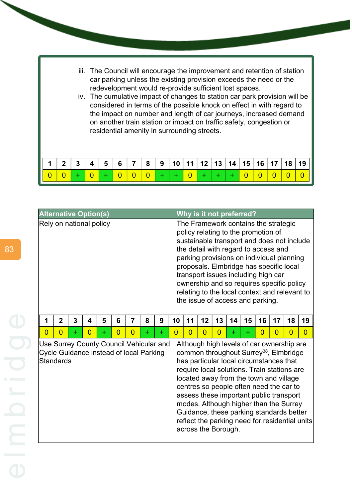- iii. The Council will encourage the improvement and retention of station car parking unless the existing provision exceeds the need or the redevelopment would re-provide sufficient lost spaces.
- iv. The cumulative impact of changes to station car park provision will be considered in terms of the possible knock on effect in with regard to the impact on number and length of car journeys, increased demand on another train station or impact on traffic safety, congestion or residential amenity in surrounding streets.

| $\mid$ 1 $\mid$ 2 $\mid$ 3 $\mid$ 4 $\mid$ 5 $\mid$ 6 $\mid$ 7 $\mid$ 8 $\mid$ 9 $\mid$ 10 $\mid$ 11 $\mid$ 12 $\mid$ 13 $\mid$ 14 $\mid$ 15 $\mid$ 16 $\mid$ 17 $\mid$ 18 $\mid$ 19 $\mid$ |  |  |  |  |  |  |  |  |                                           |
|---------------------------------------------------------------------------------------------------------------------------------------------------------------------------------------------|--|--|--|--|--|--|--|--|-------------------------------------------|
|                                                                                                                                                                                             |  |  |  |  |  |  |  |  | $0 + 0 0 0 0 + + 0 + 0 + + + 0 0 0 0 0 0$ |

|                         |                                                                                                        | <b>Alternative Option(s)</b> |                         |           |                |                |       |       | Why is it not preferred?                                                                                                        |                                                                                                                                                                                                                                                                                                                                                                                                                                    |                     |  |  |  |                                                                                                                                                                                                                                                                                                                                                                                                                                                                   |  |  |  |
|-------------------------|--------------------------------------------------------------------------------------------------------|------------------------------|-------------------------|-----------|----------------|----------------|-------|-------|---------------------------------------------------------------------------------------------------------------------------------|------------------------------------------------------------------------------------------------------------------------------------------------------------------------------------------------------------------------------------------------------------------------------------------------------------------------------------------------------------------------------------------------------------------------------------|---------------------|--|--|--|-------------------------------------------------------------------------------------------------------------------------------------------------------------------------------------------------------------------------------------------------------------------------------------------------------------------------------------------------------------------------------------------------------------------------------------------------------------------|--|--|--|
| Rely on national policy |                                                                                                        |                              |                         |           |                |                |       |       |                                                                                                                                 | The Framework contains the strategic<br>policy relating to the promotion of<br>sustainable transport and does not include<br>the detail with regard to access and<br>parking provisions on individual planning<br>proposals. Elmbridge has specific local<br>transport issues including high car<br>ownership and so requires specific policy<br>relating to the local context and relevant to<br>the issue of access and parking. |                     |  |  |  |                                                                                                                                                                                                                                                                                                                                                                                                                                                                   |  |  |  |
| 1                       | $\overline{2}$                                                                                         | 3                            | $\overline{\mathbf{4}}$ | 5         | 6              | $\overline{7}$ | 8     | 9     | 10<br>12<br>13<br>11<br>14<br>15<br>16<br>18<br>19<br>17                                                                        |                                                                                                                                                                                                                                                                                                                                                                                                                                    |                     |  |  |  |                                                                                                                                                                                                                                                                                                                                                                                                                                                                   |  |  |  |
| $\overline{0}$          | $\overline{0}$                                                                                         | $\ddot{}$                    | $\overline{0}$          | $\ddot{}$ | $\overline{0}$ | $\overline{0}$ | $\pm$ | $\pm$ | $\Omega$<br>$\overline{0}$<br>$\overline{0}$<br>$\Omega$<br>$\Omega$<br>$\Omega$<br>$\overline{0}$<br>$\overline{0}$<br>÷.<br>÷ |                                                                                                                                                                                                                                                                                                                                                                                                                                    |                     |  |  |  |                                                                                                                                                                                                                                                                                                                                                                                                                                                                   |  |  |  |
|                         | Use Surrey County Council Vehicular and<br>Cycle Guidance instead of local Parking<br><b>Standards</b> |                              |                         |           |                |                |       |       |                                                                                                                                 |                                                                                                                                                                                                                                                                                                                                                                                                                                    | across the Borough. |  |  |  | Although high levels of car ownership are<br>common throughout Surrey <sup>38</sup> , Elmbridge<br>has particular local circumstances that<br>require local solutions. Train stations are<br>located away from the town and village<br>centres so people often need the car to<br>assess these important public transport<br>modes. Although higher than the Surrey<br>Guidance, these parking standards better<br>reflect the parking need for residential units |  |  |  |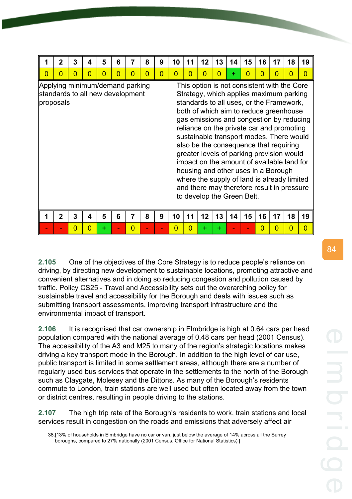|                                                                                  | 2 | 3 | 4 | 5        | 6        |                | 8              | 9              | 10 | 11 | 12                                                                                                                                                                                                                                                                                                                                                                                                                                                                                                                                                                                                                       | 13 | 14 | 15       | 16             | 17 | 18       | 19             |
|----------------------------------------------------------------------------------|---|---|---|----------|----------|----------------|----------------|----------------|----|----|--------------------------------------------------------------------------------------------------------------------------------------------------------------------------------------------------------------------------------------------------------------------------------------------------------------------------------------------------------------------------------------------------------------------------------------------------------------------------------------------------------------------------------------------------------------------------------------------------------------------------|----|----|----------|----------------|----|----------|----------------|
| $\overline{0}$                                                                   | 0 | 0 | 0 | $\Omega$ | $\Omega$ | $\Omega$       | $\overline{0}$ | $\overline{0}$ | N  | O  | n                                                                                                                                                                                                                                                                                                                                                                                                                                                                                                                                                                                                                        | 0  | ÷  | $\Omega$ | $\Omega$       | 0  | $\Omega$ | $\overline{0}$ |
| Applying minimum/demand parking<br>standards to all new development<br>proposals |   |   |   |          |          |                |                |                |    |    | This option is not consistent with the Core<br>Strategy, which applies maximum parking<br>standards to all uses, or the Framework,<br>both of which aim to reduce greenhouse<br>gas emissions and congestion by reducing<br>reliance on the private car and promoting<br>sustainable transport modes. There would<br>also be the consequence that requiring<br>greater levels of parking provision would<br>impact on the amount of available land for<br>housing and other uses in a Borough<br>where the supply of land is already limited<br>and there may therefore result in pressure<br>to develop the Green Belt. |    |    |          |                |    |          |                |
|                                                                                  | 2 | 3 | 4 | 5        | 6        |                | 8              | 9              | 10 | 11 | 12                                                                                                                                                                                                                                                                                                                                                                                                                                                                                                                                                                                                                       | 13 | 14 | 15       | 16             | 17 | 18       | 19             |
|                                                                                  |   | 0 | 0 | ÷        |          | $\overline{0}$ |                |                | ი  | n  | ÷                                                                                                                                                                                                                                                                                                                                                                                                                                                                                                                                                                                                                        | ÷  |    |          | $\overline{0}$ | 0  | 0        | $\overline{0}$ |

**2.105** One of the objectives of the Core Strategy is to reduce people's reliance on driving, by directing new development to sustainable locations, promoting attractive and convenient alternatives and in doing so reducing congestion and pollution caused by traffic. Policy CS25 - Travel and Accessibility sets out the overarching policy for sustainable travel and accessibility for the Borough and deals with issues such as submitting transport assessments, improving transport infrastructure and the environmental impact of transport.

**2.106** It is recognised that car ownership in Elmbridge is high at 0.64 cars per head population compared with the national average of 0.48 cars per head (2001 Census). The accessibility of the A3 and M25 to many of the region's strategic locations makes driving a key transport mode in the Borough. In addition to the high level of car use, public transport is limited in some settlement areas, although there are a number of regularly used bus services that operate in the settlements to the north of the Borough such as Claygate, Molesey and the Dittons. As many of the Borough's residents commute to London, train stations are well used but often located away from the town or district centres, resulting in people driving to the stations.

**2.107** The high trip rate of the Borough's residents to work, train stations and local services result in congestion on the roads and emissions that adversely affect air

<sup>38.[13%</sup> of households in Elmbridge have no car or van, just below the average of 14% across all the Surrey boroughs, compared to 27% nationally (2001 Census, Office for National Statistics) ]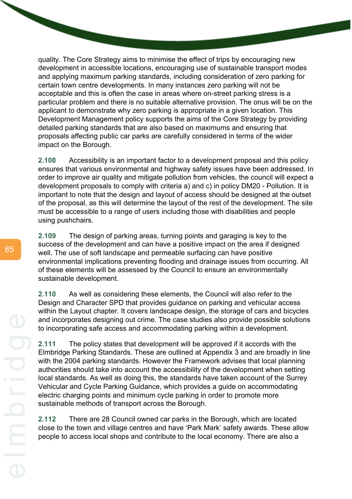quality. The Core Strategy aims to minimise the effect of trips by encouraging new development in accessible locations, encouraging use of sustainable transport modes and applying maximum parking standards, including consideration of zero parking for certain town centre developments. In many instances zero parking will not be acceptable and this is often the case in areas where on-street parking stress is a particular problem and there is no suitable alternative provision. The onus will be on the applicant to demonstrate why zero parking is appropriate in a given location. This Development Management policy supports the aims of the Core Strategy by providing detailed parking standards that are also based on maximums and ensuring that proposals affecting public car parks are carefully considered in terms of the wider impact on the Borough.

**2.108** Accessibility is an important factor to a development proposal and this policy ensures that various environmental and highway safety issues have been addressed. In order to improve air quality and mitigate pollution from vehicles, the council will expect a development proposals to comply with criteria a) and c) in policy DM20 - Pollution. It is important to note that the design and layout of access should be designed at the outset of the proposal, as this will determine the layout of the rest of the development. The site must be accessible to a range of users including those with disabilities and people using pushchairs.

**2.109** The design of parking areas, turning points and garaging is key to the success of the development and can have a positive impact on the area if designed well. The use of soft landscape and permeable surfacing can have positive environmental implications preventing flooding and drainage issues from occurring. All of these elements will be assessed by the Council to ensure an environmentally sustainable development.

**2.110** As well as considering these elements, the Council will also refer to the Design and Character SPD that provides guidance on parking and vehicular access within the Layout chapter. It covers landscape design, the storage of cars and bicycles and incorporates designing out crime. The case studies also provide possible solutions to incorporating safe access and accommodating parking within a development.

**2.111** The policy states that development will be approved if it accords with the Elmbridge Parking Standards. These are outlined at Appendix 3 and are broadly in line with the 2004 parking standards. However the Framework advises that local planning authorities should take into account the accessibility of the development when setting local standards. As well as doing this, the standards have taken account of the Surrey Vehicular and Cycle Parking Guidance, which provides a guide on accommodating electric charging points and minimum cycle parking in order to promote more sustainable methods of transport across the Borough.

**2.112** There are 28 Council owned car parks in the Borough, which are located close to the town and village centres and have 'Park Mark' safety awards. These allow people to access local shops and contribute to the local economy. There are also a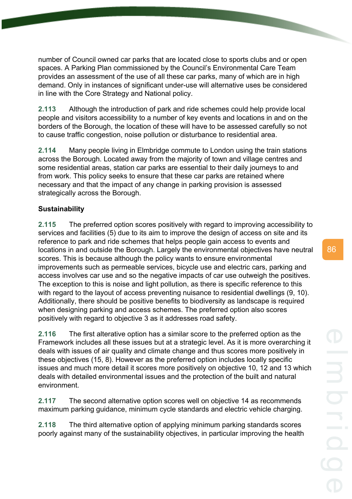number of Council owned car parks that are located close to sports clubs and or open spaces. A Parking Plan commissioned by the Council's Environmental Care Team provides an assessment of the use of all these car parks, many of which are in high demand. Only in instances of significant under-use will alternative uses be considered in line with the Core Strategy and National policy.

**2.113** Although the introduction of park and ride schemes could help provide local people and visitors accessibility to a number of key events and locations in and on the borders of the Borough, the location of these will have to be assessed carefully so not to cause traffic congestion, noise pollution or disturbance to residential area.

**2.114** Many people living in Elmbridge commute to London using the train stations across the Borough. Located away from the majority of town and village centres and some residential areas, station car parks are essential to their daily journeys to and from work. This policy seeks to ensure that these car parks are retained where necessary and that the impact of any change in parking provision is assessed strategically across the Borough.

# **Sustainability**

**2.115** The preferred option scores positively with regard to improving accessibility to services and facilities (5) due to its aim to improve the design of access on site and its reference to park and ride schemes that helps people gain access to events and locations in and outside the Borough. Largely the environmental objectives have neutral scores. This is because although the policy wants to ensure environmental improvements such as permeable services, bicycle use and electric cars, parking and access involves car use and so the negative impacts of car use outweigh the positives. The exception to this is noise and light pollution, as there is specific reference to this with regard to the layout of access preventing nuisance to residential dwellings (9, 10). Additionally, there should be positive benefits to biodiversity as landscape is required when designing parking and access schemes. The preferred option also scores positively with regard to objective 3 as it addresses road safety.

**2.116** The first alterative option has a similar score to the preferred option as the Framework includes all these issues but at a strategic level. As it is more overarching it deals with issues of air quality and climate change and thus scores more positively in these objectives (15, 8). However as the preferred option includes locally specific issues and much more detail it scores more positively on objective 10, 12 and 13 which deals with detailed environmental issues and the protection of the built and natural environment.

**2.117** The second alternative option scores well on objective 14 as recommends maximum parking guidance, minimum cycle standards and electric vehicle charging.

**2.118** The third alternative option of applying minimum parking standards scores poorly against many of the sustainability objectives, in particular improving the health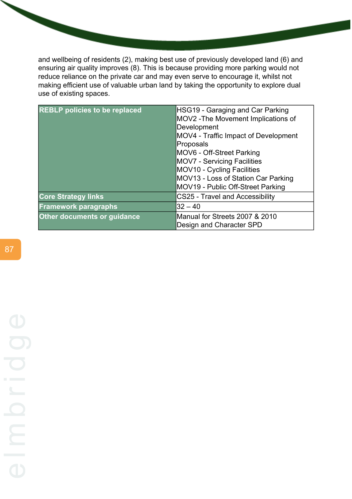and wellbeing of residents (2), making best use of previously developed land (6) and ensuring air quality improves (8). This is because providing more parking would not reduce reliance on the private car and may even serve to encourage it, whilst not making efficient use of valuable urban land by taking the opportunity to explore dual use of existing spaces.

| <b>REBLP policies to be replaced</b> | HSG19 - Garaging and Car Parking<br>MOV2 - The Movement Implications of<br>Development<br>MOV4 - Traffic Impact of Development<br>Proposals<br>MOV6 - Off-Street Parking<br><b>MOV7 - Servicing Facilities</b><br>MOV10 - Cycling Facilities<br>MOV13 - Loss of Station Car Parking<br>MOV19 - Public Off-Street Parking |
|--------------------------------------|--------------------------------------------------------------------------------------------------------------------------------------------------------------------------------------------------------------------------------------------------------------------------------------------------------------------------|
| <b>Core Strategy links</b>           | <b>CS25 - Travel and Accessibility</b>                                                                                                                                                                                                                                                                                   |
| <b>Framework paragraphs</b>          | $32 - 40$                                                                                                                                                                                                                                                                                                                |
| <b>Other documents or guidance</b>   | Manual for Streets 2007 & 2010<br>Design and Character SPD                                                                                                                                                                                                                                                               |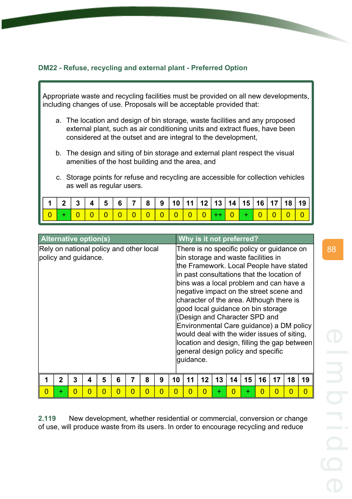# **DM22 - Refuse, recycling and external plant - Preferred Option**

Appropriate waste and recycling facilities must be provided on all new developments, including changes of use. Proposals will be acceptable provided that:

- a. The location and design of bin storage, waste facilities and any proposed external plant, such as air conditioning units and extract flues, have been considered at the outset and are integral to the development,
- b. The design and siting of bin storage and external plant respect the visual amenities of the host building and the area, and
- c. Storage points for refuse and recycling are accessible for collection vehicles as well as regular users.

| $\mid 1 \mid 2 \mid 3 \mid 4 \mid 5 \mid 6 \mid 7 \mid 8 \mid 9 \mid 10 \mid 11 \mid 12 \mid 13 \mid 14 \mid 15 \mid 16 \mid 17 \mid 18 \mid 19 \mid$ |  |  |  |  |  |  |  |  |  |
|-------------------------------------------------------------------------------------------------------------------------------------------------------|--|--|--|--|--|--|--|--|--|
|                                                                                                                                                       |  |  |  |  |  |  |  |  |  |

| <b>Alternative option(s)</b>                                    |             |   |          |   |   |   |   |   |    |           |          |    |          | Why is it not preferred?                                             |          |                                                                                                                                                                                                                                                                                                                                                                                                  |          |                                                                                          |
|-----------------------------------------------------------------|-------------|---|----------|---|---|---|---|---|----|-----------|----------|----|----------|----------------------------------------------------------------------|----------|--------------------------------------------------------------------------------------------------------------------------------------------------------------------------------------------------------------------------------------------------------------------------------------------------------------------------------------------------------------------------------------------------|----------|------------------------------------------------------------------------------------------|
| Rely on national policy and other local<br>policy and guidance. |             |   |          |   |   |   |   |   |    | guidance. |          |    |          | bin storage and waste facilities in<br>(Design and Character SPD and |          | There is no specific policy or guidance on<br>the Framework. Local People have stated<br>in past consultations that the location of<br>bins was a local problem and can have a<br>negative impact on the street scene and<br>character of the area. Although there is<br>good local guidance on bin storage<br>would deal with the wider issues of siting,<br>general design policy and specific |          | Environmental Care guidance) a DM policy<br>location and design, filling the gap between |
|                                                                 | $\mathbf 2$ | 3 | 4        | 5 | 6 |   | 8 | 9 | 10 | 11        | 12       | 13 | 14       | 15                                                                   | 16       | 17                                                                                                                                                                                                                                                                                                                                                                                               | 18       | 19                                                                                       |
| $\overline{0}$                                                  | ÷           | 0 | $\Omega$ | 0 | 0 | 0 | 0 | O | O  | O         | $\Omega$ | ÷  | $\Omega$ | ÷                                                                    | $\Omega$ | 0                                                                                                                                                                                                                                                                                                                                                                                                | $\Omega$ | 0                                                                                        |

**2.119** New development, whether residential or commercial, conversion or change of use, will produce waste from its users. In order to encourage recycling and reduce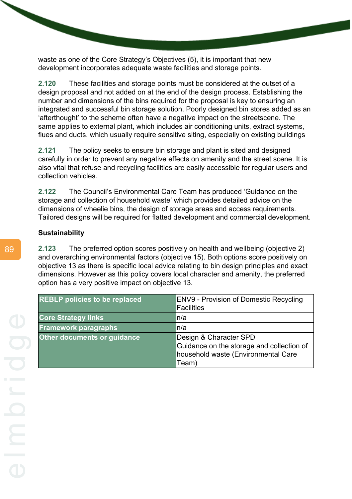waste as one of the Core Strategy's Objectives (5), it is important that new development incorporates adequate waste facilities and storage points.

**2.120** These facilities and storage points must be considered at the outset of a design proposal and not added on at the end of the design process. Establishing the number and dimensions of the bins required for the proposal is key to ensuring an integrated and successful bin storage solution. Poorly designed bin stores added as an 'afterthought' to the scheme often have a negative impact on the streetscene. The same applies to external plant, which includes air conditioning units, extract systems, flues and ducts, which usually require sensitive siting, especially on existing buildings

**2.121** The policy seeks to ensure bin storage and plant is sited and designed carefully in order to prevent any negative effects on amenity and the street scene. It is also vital that refuse and recycling facilities are easily accessible for regular users and collection vehicles.

**2.122** The Council's Environmental Care Team has produced 'Guidance on the storage and collection of household waste' which provides detailed advice on the dimensions of wheelie bins, the design of storage areas and access requirements. Tailored designs will be required for flatted development and commercial development.

#### **Sustainability**

**2.123** The preferred option scores positively on health and wellbeing (objective 2) and overarching environmental factors (objective 15). Both options score positively on objective 13 as there is specific local advice relating to bin design principles and exact dimensions. However as this policy covers local character and amenity, the preferred option has a very positive impact on objective 13.

| <b>REBLP policies to be replaced</b> | <b>ENV9 - Provision of Domestic Recycling</b> |
|--------------------------------------|-----------------------------------------------|
|                                      | <b>IFacilities</b>                            |
| <b>Core Strategy links</b>           | ln/a                                          |
| <b>Framework paragraphs</b>          | ln/a                                          |
| <b>Other documents or guidance</b>   | Design & Character SPD                        |
|                                      | Guidance on the storage and collection of     |
|                                      | household waste (Environmental Care           |
|                                      | Team)                                         |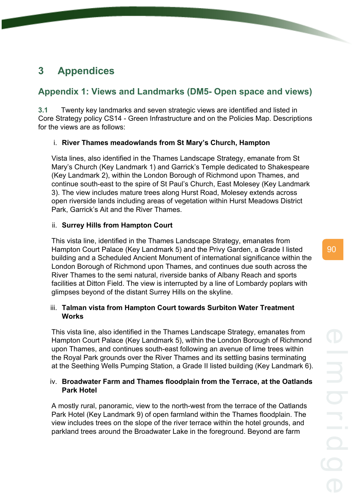# **3 Appendices**

# **Appendix 1: Views and Landmarks (DM5- Open space and views)**

**3.1** Twenty key landmarks and seven strategic views are identified and listed in Core Strategy policy CS14 - Green Infrastructure and on the Policies Map. Descriptions for the views are as follows:

# i. **River Thames meadowlands from St Mary's Church, Hampton**

Vista lines, also identified in the Thames Landscape Strategy, emanate from St Mary's Church (Key Landmark 1) and Garrick's Temple dedicated to Shakespeare (Key Landmark 2), within the London Borough of Richmond upon Thames, and continue south-east to the spire of St Paul's Church, East Molesey (Key Landmark 3). The view includes mature trees along Hurst Road, Molesey extends across open riverside lands including areas of vegetation within Hurst Meadows District Park, Garrick's Ait and the River Thames.

# ii. **Surrey Hills from Hampton Court**

This vista line, identified in the Thames Landscape Strategy, emanates from Hampton Court Palace (Key Landmark 5) and the Privy Garden, a Grade I listed building and a Scheduled Ancient Monument of international significance within the London Borough of Richmond upon Thames, and continues due south across the River Thames to the semi natural, riverside banks of Albany Reach and sports facilities at Ditton Field. The view is interrupted by a line of Lombardy poplars with glimpses beyond of the distant Surrey Hills on the skyline.

# iii. **Talman vista from Hampton Court towards Surbiton Water Treatment Works**

This vista line, also identified in the Thames Landscape Strategy, emanates from Hampton Court Palace (Key Landmark 5), within the London Borough of Richmond upon Thames, and continues south-east following an avenue of lime trees within the Royal Park grounds over the River Thames and its settling basins terminating at the Seething Wells Pumping Station, a Grade II listed building (Key Landmark 6).

# iv. **Broadwater Farm and Thames floodplain from the Terrace, at the Oatlands Park Hotel**

A mostly rural, panoramic, view to the north-west from the terrace of the Oatlands Park Hotel (Key Landmark 9) of open farmland within the Thames floodplain. The view includes trees on the slope of the river terrace within the hotel grounds, and parkland trees around the Broadwater Lake in the foreground. Beyond are farm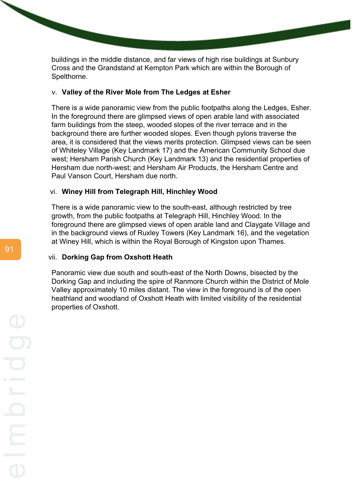buildings in the middle distance, and far views of high rise buildings at Sunbury Cross and the Grandstand at Kempton Park which are within the Borough of Spelthorne.

#### v. **Valley of the River Mole from The Ledges at Esher**

There is a wide panoramic view from the public footpaths along the Ledges, Esher. In the foreground there are glimpsed views of open arable land with associated farm buildings from the steep, wooded slopes of the river terrace and in the background there are further wooded slopes. Even though pylons traverse the area, it is considered that the views merits protection. Glimpsed views can be seen of Whiteley Village (Key Landmark 17) and the American Community School due west; Hersham Parish Church (Key Landmark 13) and the residential properties of Hersham due north-west; and Hersham Air Products, the Hersham Centre and Paul Vanson Court, Hersham due north.

#### vi. **Winey Hill from Telegraph Hill, Hinchley Wood**

There is a wide panoramic view to the south-east, although restricted by tree growth, from the public footpaths at Telegraph Hill, Hinchley Wood. In the foreground there are glimpsed views of open arable land and Claygate Village and in the background views of Ruxley Towers (Key Landmark 16), and the vegetation at Winey Hill, which is within the Royal Borough of Kingston upon Thames.

#### vii. **Dorking Gap from Oxshott Heath**

Panoramic view due south and south-east of the North Downs, bisected by the Dorking Gap and including the spire of Ranmore Church within the District of Mole Valley approximately 10 miles distant. The view in the foreground is of the open heathland and woodland of Oxshott Heath with limited visibility of the residential properties of Oxshott.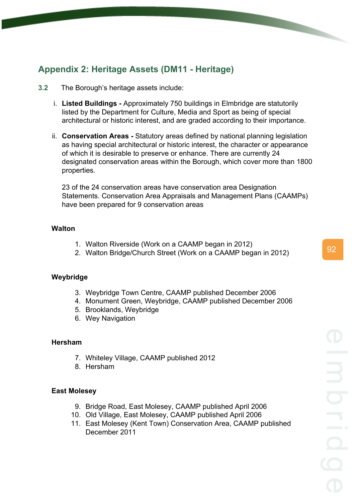# **Appendix 2: Heritage Assets (DM11 - Heritage)**

- **3.2** The Borough's heritage assets include:
	- i. **Listed Buildings -** Approximately 750 buildings in Elmbridge are statutorily listed by the Department for Culture, Media and Sport as being of special architectural or historic interest, and are graded according to their importance.
	- ii. **Conservation Areas -** Statutory areas defined by national planning legislation as having special architectural or historic interest, the character or appearance of which it is desirable to preserve or enhance. There are currently 24 designated conservation areas within the Borough, which cover more than 1800 properties.

23 of the 24 conservation areas have conservation area Designation Statements. Conservation Area Appraisals and Management Plans (CAAMPs) have been prepared for 9 conservation areas

# **Walton**

- 1. Walton Riverside (Work on a CAAMP began in 2012)
- 2. Walton Bridge/Church Street (Work on a CAAMP began in 2012)

## **Weybridge**

- 3. Weybridge Town Centre, CAAMP published December 2006
- 4. Monument Green, Weybridge, CAAMP published December 2006
- 5. Brooklands, Weybridge
- 6. Wey Navigation

## **Hersham**

- 7. Whiteley Village, CAAMP published 2012
- 8. Hersham

## **East Molesey**

- 9. Bridge Road, East Molesey, CAAMP published April 2006
- 10. Old Village, East Molesey, CAAMP published April 2006
- 11. East Molesey (Kent Town) Conservation Area, CAAMP published December 2011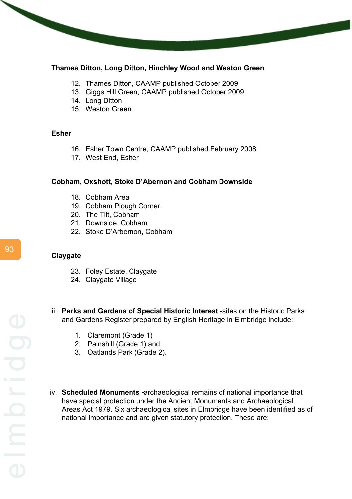## **Thames Ditton, Long Ditton, Hinchley Wood and Weston Green**

- 12. Thames Ditton, CAAMP published October 2009
- 13. Giggs Hill Green, CAAMP published October 2009
- 14. Long Ditton
- 15. Weston Green

#### **Esher**

- 16. Esher Town Centre, CAAMP published February 2008
- 17. West End, Esher

## **Cobham, Oxshott, Stoke D'Abernon and Cobham Downside**

- 18. Cobham Area
- 19. Cobham Plough Corner
- 20. The Tilt, Cobham
- 21. Downside, Cobham
- 22. Stoke D'Arbernon, Cobham

#### **Claygate**

- 23. Foley Estate, Claygate
- 24. Claygate Village
- iii. **Parks and Gardens of Special Historic Interest -**sites on the Historic Parks and Gardens Register prepared by English Heritage in Elmbridge include:
	- 1. Claremont (Grade 1)
	- 2. Painshill (Grade 1) and
	- 3. Oatlands Park (Grade 2).
- iv. **Scheduled Monuments -**archaeological remains of national importance that have special protection under the Ancient Monuments and Archaeological Areas Act 1979. Six archaeological sites in Elmbridge have been identified as of national importance and are given statutory protection. These are: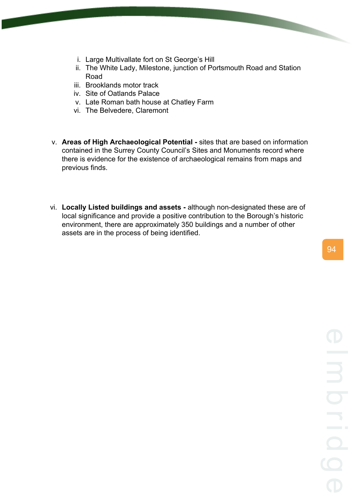- i. Large Multivallate fort on St George's Hill
- ii. The White Lady, Milestone, junction of Portsmouth Road and Station Road
- iii. Brooklands motor track
- iv. Site of Oatlands Palace
- v. Late Roman bath house at Chatley Farm
- vi. The Belvedere, Claremont
- v. **Areas of High Archaeological Potential -** sites that are based on information contained in the Surrey County Council's Sites and Monuments record where there is evidence for the existence of archaeological remains from maps and previous finds.
- vi. **Locally Listed buildings and assets -** although non-designated these are of local significance and provide a positive contribution to the Borough's historic environment, there are approximately 350 buildings and a number of other assets are in the process of being identified.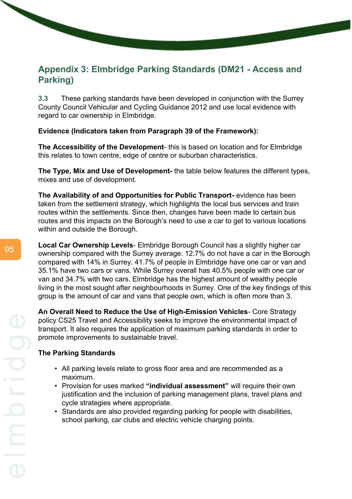# **Appendix 3: Elmbridge Parking Standards (DM21 - Access and Parking)**

**3.3** These parking standards have been developed in conjunction with the Surrey County Council Vehicular and Cycling Guidance 2012 and use local evidence with regard to car ownership in Elmbridge.

# **Evidence (Indicators taken from Paragraph 39 of the Framework):**

**The Accessibility of the Development**- this is based on location and for Elmbridge this relates to town centre, edge of centre or suburban characteristics.

**The Type, Mix and Use of Development-** the table below features the different types, mixes and use of development.

**The Availability of and Opportunities for Public Transport-** evidence has been taken from the settlement strategy, which highlights the local bus services and train routes within the settlements. Since then, changes have been made to certain bus routes and this impacts on the Borough's need to use a car to get to various locations within and outside the Borough.

**Local Car Ownership Levels**- Elmbridge Borough Council has a slightly higher car ownership compared with the Surrey average. 12.7% do not have a car in the Borough compared with 14% in Surrey. 41.7% of people in Elmbridge have one car or van and 35.1% have two cars or vans. While Surrey overall has 40.5% people with one car or van and 34.7% with two cars. Elmbridge has the highest amount of wealthy people living in the most sought after neighbourhoods in Surrey. One of the key findings of this group is the amount of car and vans that people own, which is often more than 3.

**An Overall Need to Reduce the Use of High-Emission Vehicles**- Core Strategy policy CS25 Travel and Accessibility seeks to improve the environmental impact of transport. It also requires the application of maximum parking standards in order to promote improvements to sustainable travel.

## **The Parking Standards**

- All parking levels relate to gross floor area and are recommended as a maximum.
- Provision for uses marked **"individual assessment"** will require their own justification and the inclusion of parking management plans, travel plans and cycle strategies where appropriate.
- Standards are also provided regarding parking for people with disabilities, school parking, car clubs and electric vehicle charging points.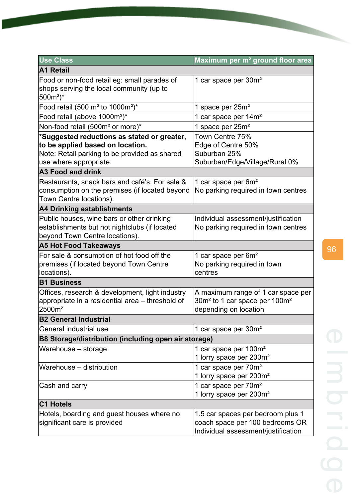| <b>Use Class</b>                                                                                                                                           | Maximum per m <sup>2</sup> ground floor area                                                                         |
|------------------------------------------------------------------------------------------------------------------------------------------------------------|----------------------------------------------------------------------------------------------------------------------|
| A1 Retail                                                                                                                                                  |                                                                                                                      |
| Food or non-food retail eg: small parades of<br>shops serving the local community (up to<br>$500m^2$ <sup>*</sup>                                          | 1 car space per 30m <sup>2</sup>                                                                                     |
| Food retail (500 m <sup>2</sup> to 1000m <sup>2</sup> )*                                                                                                   | 1 space per 25m <sup>2</sup>                                                                                         |
| Food retail (above 1000m <sup>2</sup> )*                                                                                                                   | 1 car space per 14m <sup>2</sup>                                                                                     |
| Non-food retail (500m <sup>2</sup> or more)*                                                                                                               | 1 space per 25m <sup>2</sup>                                                                                         |
| *Suggested reductions as stated or greater,<br>to be applied based on location.<br>Note: Retail parking to be provided as shared<br>use where appropriate. | Town Centre 75%<br>Edge of Centre 50%<br>Suburban 25%<br>Suburban/Edge/Village/Rural 0%                              |
| <b>A3 Food and drink</b>                                                                                                                                   |                                                                                                                      |
| Restaurants, snack bars and café's. For sale &<br>consumption on the premises (if located beyond<br>Town Centre locations).                                | 1 car space per 6m <sup>2</sup><br>No parking required in town centres                                               |
| A4 Drinking establishments                                                                                                                                 |                                                                                                                      |
| Public houses, wine bars or other drinking<br>establishments but not nightclubs (if located<br>beyond Town Centre locations).                              | Individual assessment/justification<br>No parking required in town centres                                           |
| <b>A5 Hot Food Takeaways</b>                                                                                                                               |                                                                                                                      |
| For sale & consumption of hot food off the<br>premises (if located beyond Town Centre<br>locations).                                                       | 1 car space per 6m <sup>2</sup><br>No parking required in town<br>centres                                            |
| <b>B1 Business</b>                                                                                                                                         |                                                                                                                      |
| Offices, research & development, light industry<br>appropriate in a residential area – threshold of<br>2500m <sup>2</sup>                                  | A maximum range of 1 car space per<br>30m <sup>2</sup> to 1 car space per 100m <sup>2</sup><br>depending on location |
| <b>B2 General Industrial</b>                                                                                                                               |                                                                                                                      |
| General industrial use                                                                                                                                     | 1 car space per 30m <sup>2</sup>                                                                                     |
| B8 Storage/distribution (including open air storage)                                                                                                       |                                                                                                                      |
| Warehouse - storage                                                                                                                                        | 1 car space per 100m <sup>2</sup><br>1 lorry space per 200m <sup>2</sup>                                             |
| Warehouse - distribution                                                                                                                                   | 1 car space per 70m <sup>2</sup><br>1 lorry space per 200m <sup>2</sup>                                              |
| Cash and carry                                                                                                                                             | 1 car space per 70m <sup>2</sup><br>1 lorry space per 200m <sup>2</sup>                                              |
| <b>C1 Hotels</b>                                                                                                                                           |                                                                                                                      |
| Hotels, boarding and guest houses where no<br>significant care is provided                                                                                 | 1.5 car spaces per bedroom plus 1<br>coach space per 100 bedrooms OR<br>Individual assessment/justification          |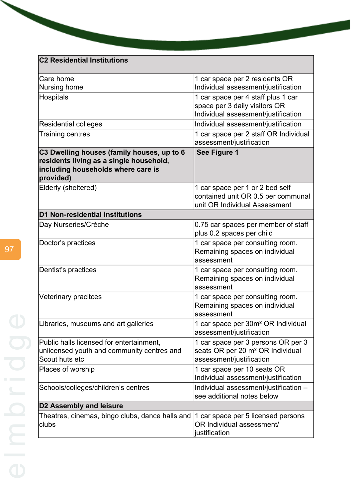# **C2 Residential Institutions**

| 1 car space per 2 residents OR                                                                                                      |  |
|-------------------------------------------------------------------------------------------------------------------------------------|--|
| Individual assessment/justification                                                                                                 |  |
| 1 car space per 4 staff plus 1 car                                                                                                  |  |
| space per 3 daily visitors OR                                                                                                       |  |
| Individual assessment/justification                                                                                                 |  |
| Individual assessment/justification                                                                                                 |  |
| 1 car space per 2 staff OR Individual<br>assessment/justification                                                                   |  |
| See Figure 1                                                                                                                        |  |
| 1 car space per 1 or 2 bed self<br>contained unit OR 0.5 per communal<br>unit OR Individual Assessment                              |  |
|                                                                                                                                     |  |
| 0.75 car spaces per member of staff                                                                                                 |  |
| plus 0.2 spaces per child                                                                                                           |  |
| 1 car space per consulting room.<br>Remaining spaces on individual<br>assessment                                                    |  |
| 1 car space per consulting room.<br>Remaining spaces on individual<br>assessment                                                    |  |
| 1 car space per consulting room.<br>Remaining spaces on individual<br>assessment                                                    |  |
| 1 car space per 30m <sup>2</sup> OR Individual<br>assessment/justification                                                          |  |
| 1 car space per 3 persons OR per 3                                                                                                  |  |
| seats OR per 20 m <sup>2</sup> OR Individual                                                                                        |  |
| assessment/justification                                                                                                            |  |
| 1 car space per 10 seats OR<br>Individual assessment/justification                                                                  |  |
| Individual assessment/justification -<br>see additional notes below                                                                 |  |
| <b>D2 Assembly and leisure</b>                                                                                                      |  |
| Theatres, cinemas, bingo clubs, dance halls and<br>1 car space per 5 licensed persons<br>OR Individual assessment/<br>justification |  |
|                                                                                                                                     |  |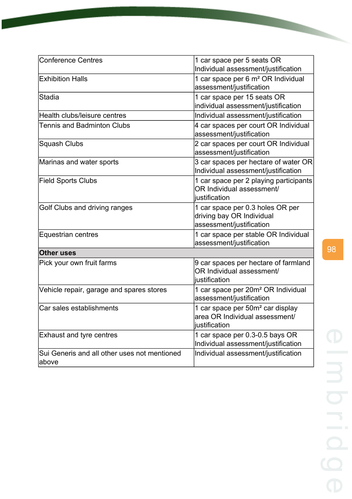| <b>Conference Centres</b>                             | 1 car space per 5 seats OR<br>Individual assessment/justification                               |
|-------------------------------------------------------|-------------------------------------------------------------------------------------------------|
| <b>Exhibition Halls</b>                               | 1 car space per 6 m <sup>2</sup> OR Individual<br>assessment/justification                      |
| <b>Stadia</b>                                         | 1 car space per 15 seats OR<br>individual assessment/justification                              |
| Health clubs/leisure centres                          | Individual assessment/justification                                                             |
| <b>Tennis and Badminton Clubs</b>                     | 4 car spaces per court OR Individual<br>assessment/justification                                |
| Squash Clubs                                          | 2 car spaces per court OR Individual<br>assessment/justification                                |
| Marinas and water sports                              | 3 car spaces per hectare of water OR<br>Individual assessment/justification                     |
| <b>Field Sports Clubs</b>                             | 1 car space per 2 playing participants<br>OR Individual assessment/<br>iustification            |
| Golf Clubs and driving ranges                         | 1 car space per 0.3 holes OR per<br>driving bay OR Individual<br>assessment/justification       |
| Equestrian centres                                    | 1 car space per stable OR Individual<br>assessment/justification                                |
| <b>Other uses</b>                                     |                                                                                                 |
| Pick your own fruit farms                             | 9 car spaces per hectare of farmland<br>OR Individual assessment/<br>iustification              |
| Vehicle repair, garage and spares stores              | 1 car space per 20m <sup>2</sup> OR Individual<br>assessment/justification                      |
| Car sales establishments                              | 1 car space per 50m <sup>2</sup> car display<br>area OR Individual assessment/<br>justification |
| <b>Exhaust and tyre centres</b>                       | 1 car space per 0.3-0.5 bays OR<br>Individual assessment/justification                          |
| Sui Generis and all other uses not mentioned<br>above | Individual assessment/justification                                                             |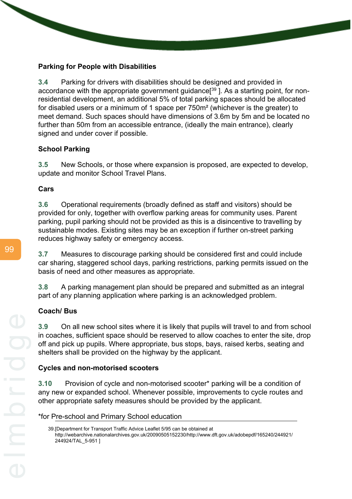# **Parking for People with Disabilities**

**3.4** Parking for drivers with disabilities should be designed and provided in accordance with the appropriate government guidance<sup>[39</sup>]. As a starting point, for nonresidential development, an additional 5% of total parking spaces should be allocated for disabled users or a minimum of 1 space per 750m² (whichever is the greater) to meet demand. Such spaces should have dimensions of 3.6m by 5m and be located no further than 50m from an accessible entrance, (ideally the main entrance), clearly signed and under cover if possible.

# **School Parking**

**3.5** New Schools, or those where expansion is proposed, are expected to develop, update and monitor School Travel Plans.

# **Cars**

**3.6** Operational requirements (broadly defined as staff and visitors) should be provided for only, together with overflow parking areas for community uses. Parent parking, pupil parking should not be provided as this is a disincentive to travelling by sustainable modes. Existing sites may be an exception if further on-street parking reduces highway safety or emergency access.

**3.7** Measures to discourage parking should be considered first and could include car sharing, staggered school days, parking restrictions, parking permits issued on the basis of need and other measures as appropriate.

**3.8** A parking management plan should be prepared and submitted as an integral part of any planning application where parking is an acknowledged problem.

# **Coach/ Bus**

**3.9** On all new school sites where it is likely that pupils will travel to and from school in coaches, sufficient space should be reserved to allow coaches to enter the site, drop off and pick up pupils. Where appropriate, bus stops, bays, raised kerbs, seating and shelters shall be provided on the highway by the applicant.

# **Cycles and non-motorised scooters**

**3.10** Provision of cycle and non-motorised scooter\* parking will be a condition of any new or expanded school. Whenever possible, improvements to cycle routes and other appropriate safety measures should be provided by the applicant.

\*for Pre-school and Primary School education

<sup>39.[</sup>Department for Transport Traffic Advice Leaflet 5/95 can be obtained at http://webarchive.nationalarchives.gov.uk/20090505152230/http://www.dft.gov.uk/adobepdf/165240/244921/ 244924/TAL\_5-951 ]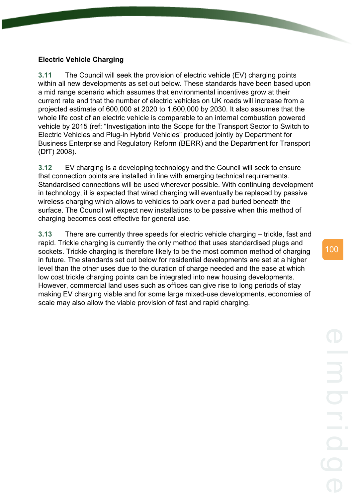#### **Electric Vehicle Charging**

**3.11** The Council will seek the provision of electric vehicle (EV) charging points within all new developments as set out below. These standards have been based upon a mid range scenario which assumes that environmental incentives grow at their current rate and that the number of electric vehicles on UK roads will increase from a projected estimate of 600,000 at 2020 to 1,600,000 by 2030. It also assumes that the whole life cost of an electric vehicle is comparable to an internal combustion powered vehicle by 2015 (ref: "Investigation into the Scope for the Transport Sector to Switch to Electric Vehicles and Plug-in Hybrid Vehicles" produced jointly by Department for Business Enterprise and Regulatory Reform (BERR) and the Department for Transport (DfT) 2008).

**3.12** EV charging is a developing technology and the Council will seek to ensure that connection points are installed in line with emerging technical requirements. Standardised connections will be used wherever possible. With continuing development in technology, it is expected that wired charging will eventually be replaced by passive wireless charging which allows to vehicles to park over a pad buried beneath the surface. The Council will expect new installations to be passive when this method of charging becomes cost effective for general use.

**3.13** There are currently three speeds for electric vehicle charging – trickle, fast and rapid. Trickle charging is currently the only method that uses standardised plugs and sockets. Trickle charging is therefore likely to be the most common method of charging in future. The standards set out below for residential developments are set at a higher level than the other uses due to the duration of charge needed and the ease at which low cost trickle charging points can be integrated into new housing developments. However, commercial land uses such as offices can give rise to long periods of stay making EV charging viable and for some large mixed-use developments, economies of scale may also allow the viable provision of fast and rapid charging.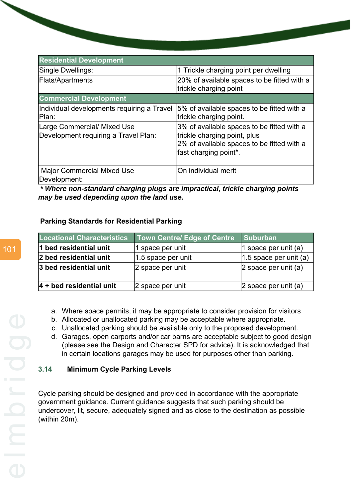| <b>Residential Development</b>                                      |                                                                                                                                                   |
|---------------------------------------------------------------------|---------------------------------------------------------------------------------------------------------------------------------------------------|
| Single Dwellings:                                                   | 1 Trickle charging point per dwelling                                                                                                             |
| Flats/Apartments                                                    | 20% of available spaces to be fitted with a<br>trickle charging point                                                                             |
| <b>Commercial Development</b>                                       |                                                                                                                                                   |
| Individual developments requiring a Travel<br>Plan:                 | 5% of available spaces to be fitted with a<br>trickle charging point.                                                                             |
| Large Commercial/ Mixed Use<br>Development requiring a Travel Plan: | 3% of available spaces to be fitted with a<br>trickle charging point, plus<br>2% of available spaces to be fitted with a<br>fast charging point*. |
| <b>Major Commercial Mixed Use</b><br>Development:                   | On individual merit                                                                                                                               |

*\* Where non-standard charging plugs are impractical, trickle charging points may be used depending upon the land use.*

### **Parking Standards for Residential Parking**

| <b>Locational Characteristics</b> | <b>Town Centre/ Edge of Centre</b> | Suburban                  |
|-----------------------------------|------------------------------------|---------------------------|
| 1 bed residential unit            | 1 space per unit                   | 1 space per unit (a)      |
| 2 bed residential unit            | $ 1.5$ space per unit              | $ 1.5$ space per unit (a) |
| 3 bed residential unit            | 2 space per unit                   | $ 2$ space per unit (a)   |
| $ 4 +$ bed residential unit       | 2 space per unit                   | $ 2$ space per unit (a)   |

- a. Where space permits, it may be appropriate to consider provision for visitors
- b. Allocated or unallocated parking may be acceptable where appropriate.
	- c. Unallocated parking should be available only to the proposed development.
	- d. Garages, open carports and/or car barns are acceptable subject to good design (please see the Design and Character SPD for advice). It is acknowledged that in certain locations garages may be used for purposes other than parking.

## **3.14 Minimum Cycle Parking Levels**

Cycle parking should be designed and provided in accordance with the appropriate government guidance. Current guidance suggests that such parking should be undercover, lit, secure, adequately signed and as close to the destination as possible (within 20m).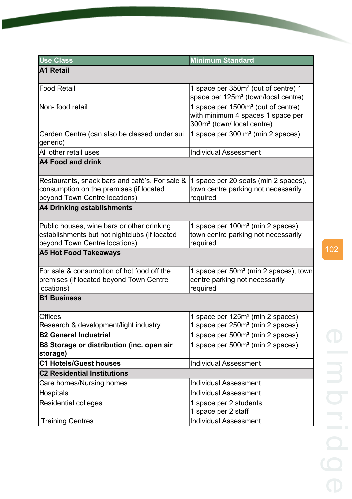| <b>Use Class</b>                                                                                                             | <b>Minimum Standard</b>                                                                                                      |
|------------------------------------------------------------------------------------------------------------------------------|------------------------------------------------------------------------------------------------------------------------------|
| <b>A1 Retail</b>                                                                                                             |                                                                                                                              |
|                                                                                                                              |                                                                                                                              |
| <b>Food Retail</b>                                                                                                           | 1 space per 350m <sup>2</sup> (out of centre) 1<br>space per 125m <sup>2</sup> (town/local centre)                           |
| Non-food retail                                                                                                              | 1 space per 1500m <sup>2</sup> (out of centre)<br>with minimum 4 spaces 1 space per<br>300m <sup>2</sup> (town/local centre) |
| Garden Centre (can also be classed under sui<br>generic)                                                                     | 1 space per 300 m <sup>2</sup> (min 2 spaces)                                                                                |
| All other retail uses                                                                                                        | <b>Individual Assessment</b>                                                                                                 |
| A4 Food and drink                                                                                                            |                                                                                                                              |
| Restaurants, snack bars and café's. For sale &<br>consumption on the premises (if located<br>beyond Town Centre locations)   | 1 space per 20 seats (min 2 spaces),<br>town centre parking not necessarily<br>required                                      |
| <b>A4 Drinking establishments</b>                                                                                            |                                                                                                                              |
| Public houses, wine bars or other drinking<br>establishments but not nightclubs (if located<br>beyond Town Centre locations) | 1 space per 100m <sup>2</sup> (min 2 spaces),<br>town centre parking not necessarily<br>required                             |
| <b>A5 Hot Food Takeaways</b>                                                                                                 |                                                                                                                              |
| For sale & consumption of hot food off the<br>premises (if located beyond Town Centre<br>locations)                          | 1 space per 50m <sup>2</sup> (min 2 spaces), town<br>centre parking not necessarily<br>required                              |
| <b>B1 Business</b>                                                                                                           |                                                                                                                              |
| Offices<br>Research & development/light industry                                                                             | 1 space per 125m <sup>2</sup> (min 2 spaces)<br>1 space per 250m <sup>2</sup> (min 2 spaces)                                 |
| <b>B2 General Industrial</b>                                                                                                 | 1 space per 500m <sup>2</sup> (min 2 spaces)                                                                                 |
| B8 Storage or distribution (inc. open air<br>storage)                                                                        | 1 space per 500m <sup>2</sup> (min 2 spaces)                                                                                 |
| <b>C1 Hotels/Guest houses</b>                                                                                                | <b>Individual Assessment</b>                                                                                                 |
| <b>C2 Residential Institutions</b>                                                                                           |                                                                                                                              |
| Care homes/Nursing homes                                                                                                     | <b>Individual Assessment</b>                                                                                                 |
| Hospitals                                                                                                                    | <b>Individual Assessment</b>                                                                                                 |
| <b>Residential colleges</b>                                                                                                  | 1 space per 2 students<br>1 space per 2 staff                                                                                |
| <b>Training Centres</b>                                                                                                      | <b>Individual Assessment</b>                                                                                                 |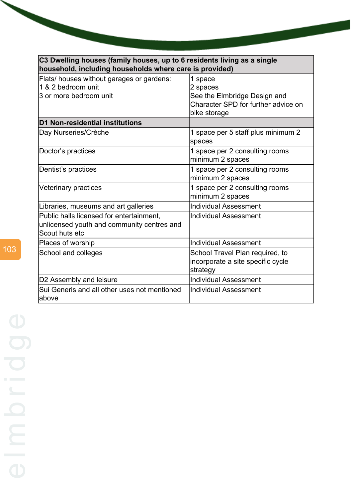| C3 Dwelling houses (family houses, up to 6 residents living as a single<br>household, including households where care is provided) |                                                                                                            |  |
|------------------------------------------------------------------------------------------------------------------------------------|------------------------------------------------------------------------------------------------------------|--|
| Flats/ houses without garages or gardens:<br>1 & 2 bedroom unit<br>3 or more bedroom unit                                          | 1 space<br>2 spaces<br>See the Elmbridge Design and<br>Character SPD for further advice on<br>bike storage |  |
| D1 Non-residential institutions                                                                                                    |                                                                                                            |  |
| Day Nurseries/Crèche                                                                                                               | 1 space per 5 staff plus minimum 2<br>spaces                                                               |  |
| Doctor's practices                                                                                                                 | 1 space per 2 consulting rooms<br>minimum 2 spaces                                                         |  |
| Dentist's practices                                                                                                                | 1 space per 2 consulting rooms<br>minimum 2 spaces                                                         |  |
| Veterinary practices                                                                                                               | 1 space per 2 consulting rooms<br>minimum 2 spaces                                                         |  |
| Libraries, museums and art galleries                                                                                               | <b>Individual Assessment</b>                                                                               |  |
| Public halls licensed for entertainment,<br>unlicensed youth and community centres and<br>Scout huts etc                           | Individual Assessment                                                                                      |  |
| Places of worship                                                                                                                  | <b>Individual Assessment</b>                                                                               |  |
| School and colleges                                                                                                                | School Travel Plan required, to<br>incorporate a site specific cycle<br>strategy                           |  |
| D2 Assembly and leisure                                                                                                            | <b>Individual Assessment</b>                                                                               |  |
| Sui Generis and all other uses not mentioned<br>labove                                                                             | <b>Individual Assessment</b>                                                                               |  |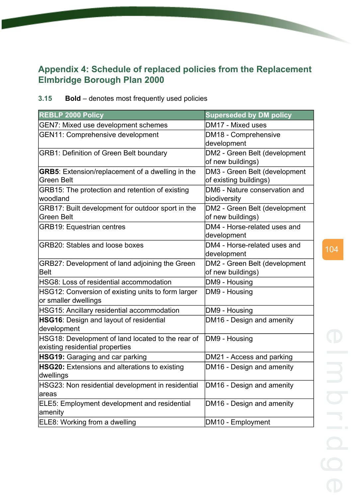## **Appendix 4: Schedule of replaced policies from the Replacement Elmbridge Borough Plan 2000**

| 3.15 | <b>Bold</b> – denotes most frequently used policies |  |  |
|------|-----------------------------------------------------|--|--|
|      |                                                     |  |  |

| <b>REBLP 2000 Policy</b>                                                             | <b>Superseded by DM policy</b>                          |
|--------------------------------------------------------------------------------------|---------------------------------------------------------|
| <b>GEN7: Mixed use development schemes</b>                                           | DM17 - Mixed uses                                       |
| <b>GEN11: Comprehensive development</b>                                              | DM18 - Comprehensive<br>development                     |
| <b>GRB1: Definition of Green Belt boundary</b>                                       | DM2 - Green Belt (development<br>of new buildings)      |
| <b>GRB5:</b> Extension/replacement of a dwelling in the<br>Green Belt                | DM3 - Green Belt (development<br>of existing buildings) |
| GRB15: The protection and retention of existing<br>woodland                          | DM6 - Nature conservation and<br>biodiversity           |
| GRB17: Built development for outdoor sport in the<br>Green Belt                      | DM2 - Green Belt (development<br>of new buildings)      |
| <b>GRB19: Equestrian centres</b>                                                     | DM4 - Horse-related uses and<br>development             |
| <b>GRB20: Stables and loose boxes</b>                                                | DM4 - Horse-related uses and<br>development             |
| GRB27: Development of land adjoining the Green<br>Belt                               | DM2 - Green Belt (development<br>of new buildings)      |
| HSG8: Loss of residential accommodation                                              | DM9 - Housing                                           |
| HSG12: Conversion of existing units to form larger<br>or smaller dwellings           | DM9 - Housing                                           |
| HSG15: Ancillary residential accommodation                                           | DM9 - Housing                                           |
| HSG16: Design and layout of residential<br>development                               | DM16 - Design and amenity                               |
| HSG18: Development of land located to the rear of<br>existing residential properties | DM9 - Housing                                           |
| <b>HSG19:</b> Garaging and car parking                                               | DM21 - Access and parking                               |
| <b>HSG20:</b> Extensions and alterations to existing<br>dwellings                    | DM16 - Design and amenity                               |
| HSG23: Non residential development in residential<br> areas                          | DM16 - Design and amenity                               |
| <b>ELE5: Employment development and residential</b><br>amenity                       | DM16 - Design and amenity                               |
| ELE8: Working from a dwelling                                                        | DM10 - Employment                                       |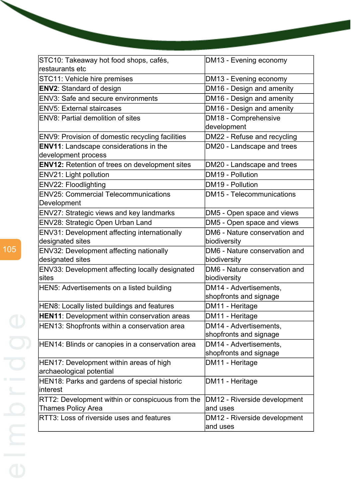| STC10: Takeaway hot food shops, cafés,<br>restaurants etc | DM13 - Evening economy        |
|-----------------------------------------------------------|-------------------------------|
| STC11: Vehicle hire premises                              | DM13 - Evening economy        |
| <b>ENV2: Standard of design</b>                           | DM16 - Design and amenity     |
|                                                           |                               |
| <b>ENV3: Safe and secure environments</b>                 | DM16 - Design and amenity     |
| <b>ENV5: External staircases</b>                          | DM16 - Design and amenity     |
| <b>ENV8: Partial demolition of sites</b>                  | DM18 - Comprehensive          |
|                                                           | development                   |
| ENV9: Provision of domestic recycling facilities          | DM22 - Refuse and recycling   |
| <b>ENV11:</b> Landscape considerations in the             | DM20 - Landscape and trees    |
| development process                                       |                               |
| <b>ENV12:</b> Retention of trees on development sites     | DM20 - Landscape and trees    |
| ENV21: Light pollution                                    | DM19 - Pollution              |
| ENV22: Floodlighting                                      | DM19 - Pollution              |
| <b>ENV25: Commercial Telecommunications</b>               | DM15 - Telecommunications     |
| Development                                               |                               |
| ENV27: Strategic views and key landmarks                  | DM5 - Open space and views    |
| ENV28: Strategic Open Urban Land                          | DM5 - Open space and views    |
| ENV31: Development affecting internationally              | DM6 - Nature conservation and |
| designated sites                                          | biodiversity                  |
| ENV32: Development affecting nationally                   | DM6 - Nature conservation and |
| designated sites                                          | biodiversity                  |
| ENV33: Development affecting locally designated           | DM6 - Nature conservation and |
| sites                                                     | biodiversity                  |
| HEN5: Advertisements on a listed building                 | DM14 - Advertisements,        |
|                                                           | shopfronts and signage        |
| HEN8: Locally listed buildings and features               | DM11 - Heritage               |
| <b>HEN11:</b> Development within conservation areas       | DM11 - Heritage               |
| HEN13: Shopfronts within a conservation area              | DM14 - Advertisements,        |
|                                                           | shopfronts and signage        |
| HEN14: Blinds or canopies in a conservation area          | DM14 - Advertisements,        |
|                                                           | shopfronts and signage        |
| HEN17: Development within areas of high                   | DM11 - Heritage               |
| archaeological potential                                  |                               |
| HEN18: Parks and gardens of special historic              | DM11 - Heritage               |
| interest                                                  |                               |
| RTT2: Development within or conspicuous from the          | DM12 - Riverside development  |
| <b>Thames Policy Area</b>                                 | and uses                      |
| RTT3: Loss of riverside uses and features                 | DM12 - Riverside development  |
|                                                           | and uses                      |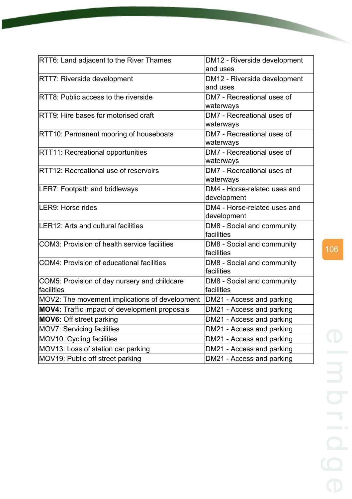| RTT6: Land adjacent to the River Thames                     | DM12 - Riverside development<br>and uses    |
|-------------------------------------------------------------|---------------------------------------------|
| <b>RTT7: Riverside development</b>                          | DM12 - Riverside development<br>and uses    |
| RTT8: Public access to the riverside                        | DM7 - Recreational uses of<br>waterways     |
| RTT9: Hire bases for motorised craft                        | DM7 - Recreational uses of<br>waterways     |
| RTT10: Permanent mooring of houseboats                      | DM7 - Recreational uses of<br>waterways     |
| <b>RTT11: Recreational opportunities</b>                    | DM7 - Recreational uses of<br>waterways     |
| RTT12: Recreational use of reservoirs                       | DM7 - Recreational uses of<br>waterways     |
| <b>LER7: Footpath and bridleways</b>                        | DM4 - Horse-related uses and<br>development |
| LER9: Horse rides                                           | DM4 - Horse-related uses and<br>development |
| LER12: Arts and cultural facilities                         | DM8 - Social and community<br>facilities    |
| <b>COM3: Provision of health service facilities</b>         | DM8 - Social and community<br>facilities    |
| <b>COM4: Provision of educational facilities</b>            | DM8 - Social and community<br>facilities    |
| COM5: Provision of day nursery and childcare<br>lfacilities | DM8 - Social and community<br>facilities    |
| MOV2: The movement implications of development              | DM21 - Access and parking                   |
| <b>MOV4:</b> Traffic impact of development proposals        | DM21 - Access and parking                   |
| <b>MOV6:</b> Off street parking                             | DM21 - Access and parking                   |
| MOV7: Servicing facilities                                  | DM21 - Access and parking                   |
| MOV10: Cycling facilities                                   | DM21 - Access and parking                   |
| MOV13: Loss of station car parking                          | DM21 - Access and parking                   |
| MOV19: Public off street parking                            | DM21 - Access and parking                   |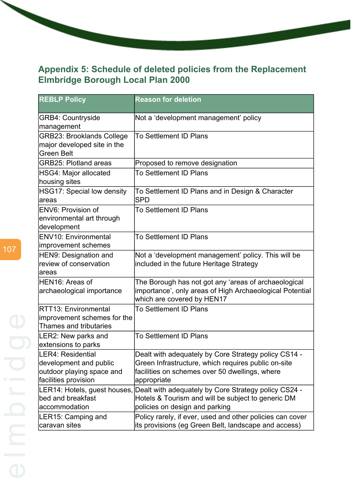# **Appendix 5: Schedule of deleted policies from the Replacement Elmbridge Borough Local Plan 2000**

| <b>REBLP Policy</b>                                                                              | <b>Reason for deletion</b>                                                                                                                                                   |
|--------------------------------------------------------------------------------------------------|------------------------------------------------------------------------------------------------------------------------------------------------------------------------------|
| <b>GRB4: Countryside</b><br>management                                                           | Not a 'development management' policy                                                                                                                                        |
| <b>GRB23: Brooklands College</b><br>major developed site in the<br><b>Green Belt</b>             | To Settlement ID Plans                                                                                                                                                       |
| <b>GRB25: Plotland areas</b>                                                                     | Proposed to remove designation                                                                                                                                               |
| HSG4: Major allocated<br>housing sites                                                           | <b>To Settlement ID Plans</b>                                                                                                                                                |
| HSG17: Special low density<br>areas                                                              | To Settlement ID Plans and in Design & Character<br><b>SPD</b>                                                                                                               |
| ENV6: Provision of<br>environmental art through<br>development                                   | <b>To Settlement ID Plans</b>                                                                                                                                                |
| ENV10: Environmental<br>improvement schemes                                                      | <b>To Settlement ID Plans</b>                                                                                                                                                |
| HEN9: Designation and<br>review of conservation<br>areas                                         | Not a 'development management' policy. This will be<br>included in the future Heritage Strategy                                                                              |
| HEN16: Areas of<br>archaeological importance                                                     | The Borough has not got any 'areas of archaeological<br>importance', only areas of High Archaeological Potential<br>which are covered by HEN17                               |
| RTT13: Environmental<br>improvement schemes for the<br>Thames and tributaries                    | <b>To Settlement ID Plans</b>                                                                                                                                                |
| LER2: New parks and<br>extensions to parks                                                       | <b>To Settlement ID Plans</b>                                                                                                                                                |
| LER4: Residential<br>development and public<br>outdoor playing space and<br>facilities provision | Dealt with adequately by Core Strategy policy CS14 -<br>Green Infrastructure, which requires public on-site<br>facilities on schemes over 50 dwellings, where<br>appropriate |
| LER14: Hotels, guest houses,<br>bed and breakfast<br>accommodation                               | Dealt with adequately by Core Strategy policy CS24 -<br>Hotels & Tourism and will be subject to generic DM<br>policies on design and parking                                 |
| LER15: Camping and<br>caravan sites                                                              | Policy rarely, if ever, used and other policies can cover<br>its provisions (eg Green Belt, landscape and access)                                                            |